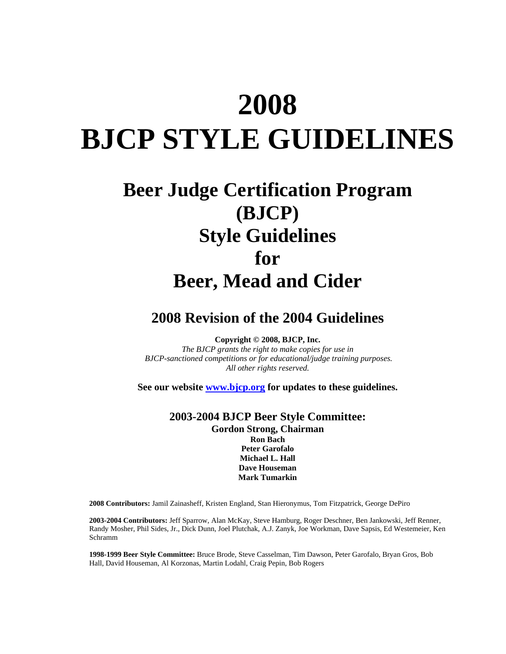# **2008 BJCP STYLE GUIDELINES**

# **Beer Judge Certification Program (BJCP) Style Guidelines for Beer, Mead and Cider**

# **2008 Revision of the 2004 Guidelines**

**Copyright © 2008, BJCP, Inc.** 

*The BJCP grants the right to make copies for use in BJCP-sanctioned competitions or for educational/judge training purposes. All other rights reserved.* 

**See our website [www.bjcp.org](http://www.bjcp.org/) for updates to these guidelines.** 

# **2003-2004 BJCP Beer Style Committee:**

**Gordon Strong, Chairman Ron Bach Peter Garofalo Michael L. Hall Dave Houseman Mark Tumarkin** 

**2008 Contributors:** Jamil Zainasheff, Kristen England, Stan Hieronymus, Tom Fitzpatrick, George DePiro

**2003-2004 Contributors:** Jeff Sparrow, Alan McKay, Steve Hamburg, Roger Deschner, Ben Jankowski, Jeff Renner, Randy Mosher, Phil Sides, Jr., Dick Dunn, Joel Plutchak, A.J. Zanyk, Joe Workman, Dave Sapsis, Ed Westemeier, Ken Schramm

**1998-1999 Beer Style Committee:** Bruce Brode, Steve Casselman, Tim Dawson, Peter Garofalo, Bryan Gros, Bob Hall, David Houseman, Al Korzonas, Martin Lodahl, Craig Pepin, Bob Rogers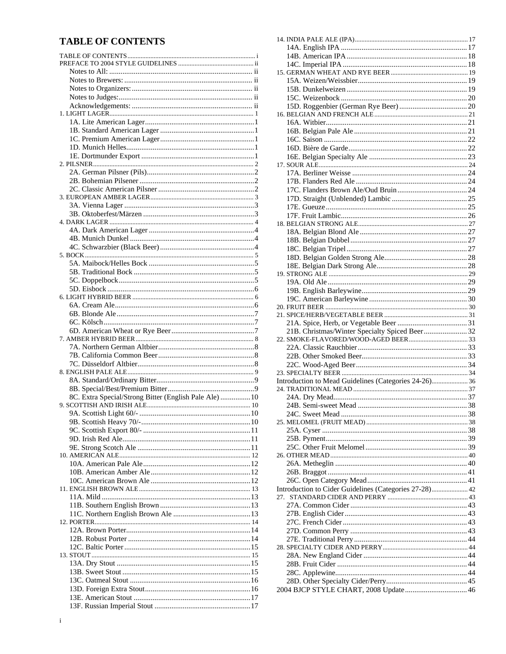### <span id="page-1-0"></span>**TABLE OF CONTENTS**

| 8C. Extra Special/Strong Bitter (English Pale Ale)  10 |
|--------------------------------------------------------|
|                                                        |
|                                                        |
|                                                        |
|                                                        |
|                                                        |
|                                                        |
|                                                        |
|                                                        |
|                                                        |
|                                                        |
|                                                        |
|                                                        |
|                                                        |
|                                                        |
|                                                        |
|                                                        |
|                                                        |
|                                                        |
|                                                        |
|                                                        |
|                                                        |
|                                                        |

| 21B. Christmas/Winter Specialty Spiced Beer 32         |  |
|--------------------------------------------------------|--|
|                                                        |  |
|                                                        |  |
|                                                        |  |
|                                                        |  |
|                                                        |  |
|                                                        |  |
|                                                        |  |
|                                                        |  |
|                                                        |  |
|                                                        |  |
|                                                        |  |
|                                                        |  |
|                                                        |  |
|                                                        |  |
|                                                        |  |
|                                                        |  |
|                                                        |  |
|                                                        |  |
|                                                        |  |
|                                                        |  |
|                                                        |  |
| Introduction to Cider Guidelines (Categories 27-28) 42 |  |
|                                                        |  |
|                                                        |  |
|                                                        |  |
|                                                        |  |
|                                                        |  |
|                                                        |  |
|                                                        |  |
|                                                        |  |
|                                                        |  |
|                                                        |  |
|                                                        |  |
|                                                        |  |
| 2004 BJCP STYLE CHART, 2008 Update 46                  |  |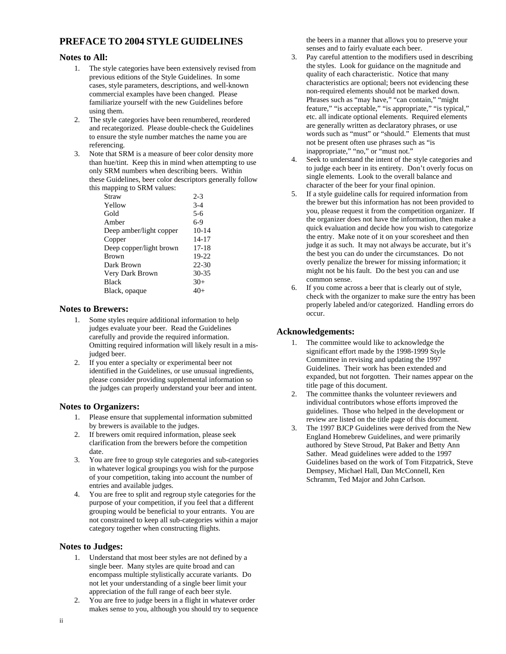#### <span id="page-2-0"></span>**PREFACE TO 2004 STYLE GUIDELINES**

#### **Notes to All:**

- 1. The style categories have been extensively revised from previous editions of the Style Guidelines. In some cases, style parameters, descriptions, and well-known commercial examples have been changed. Please familiarize yourself with the new Guidelines before using them.
- 2. The style categories have been renumbered, reordered and recategorized. Please double-check the Guidelines to ensure the style number matches the name you are referencing.
- 3. Note that SRM is a measure of beer color density more than hue/tint. Keep this in mind when attempting to use only SRM numbers when describing beers. Within these Guidelines, beer color descriptors generally follow this mapping to SRM values:

| Straw                   | $2 - 3$   |
|-------------------------|-----------|
| Yellow                  | $3-4$     |
| Gold                    | $5 - 6$   |
| Amber                   | 6-9       |
| Deep amber/light copper | $10-14$   |
| Copper                  | 14-17     |
| Deep copper/light brown | 17-18     |
| <b>Brown</b>            | 19-22     |
| Dark Brown              | $22 - 30$ |
| Very Dark Brown         | 30-35     |
| <b>Black</b>            | $30+$     |
| Black, opaque           | 40+       |
|                         |           |

#### **Notes to Brewers:**

- 1. Some styles require additional information to help judges evaluate your beer. Read the Guidelines carefully and provide the required information. Omitting required information will likely result in a misjudged beer.
- 2. If you enter a specialty or experimental beer not identified in the Guidelines, or use unusual ingredients, please consider providing supplemental information so the judges can properly understand your beer and intent.

#### **Notes to Organizers:**

- 1. Please ensure that supplemental information submitted by brewers is available to the judges.
- 2. If brewers omit required information, please seek clarification from the brewers before the competition date.
- 3. You are free to group style categories and sub-categories in whatever logical groupings you wish for the purpose of your competition, taking into account the number of entries and available judges.
- 4. You are free to split and regroup style categories for the purpose of your competition, if you feel that a different grouping would be beneficial to your entrants. You are not constrained to keep all sub-categories within a major category together when constructing flights.

#### **Notes to Judges:**

- 1. Understand that most beer styles are not defined by a single beer. Many styles are quite broad and can encompass multiple stylistically accurate variants. Do not let your understanding of a single beer limit your appreciation of the full range of each beer style.
- 2. You are free to judge beers in a flight in whatever order makes sense to you, although you should try to sequence

the beers in a manner that allows you to preserve your senses and to fairly evaluate each beer.

- 3. Pay careful attention to the modifiers used in describing the styles. Look for guidance on the magnitude and quality of each characteristic. Notice that many characteristics are optional; beers not evidencing these non-required elements should not be marked down. Phrases such as "may have," "can contain," "might feature," "is acceptable," "is appropriate," "is typical," etc. all indicate optional elements. Required elements are generally written as declaratory phrases, or use words such as "must" or "should." Elements that must not be present often use phrases such as "is inappropriate," "no," or "must not."
- 4. Seek to understand the intent of the style categories and to judge each beer in its entirety. Don't overly focus on single elements. Look to the overall balance and character of the beer for your final opinion.
- 5. If a style guideline calls for required information from the brewer but this information has not been provided to you, please request it from the competition organizer. If the organizer does not have the information, then make a quick evaluation and decide how you wish to categorize the entry. Make note of it on your scoresheet and then judge it as such. It may not always be accurate, but it's the best you can do under the circumstances. Do not overly penalize the brewer for missing information; it might not be his fault. Do the best you can and use common sense.
- 6. If you come across a beer that is clearly out of style, check with the organizer to make sure the entry has been properly labeled and/or categorized. Handling errors do occur.

#### **Acknowledgements:**

- 1. The committee would like to acknowledge the significant effort made by the 1998-1999 Style Committee in revising and updating the 1997 Guidelines. Their work has been extended and expanded, but not forgotten. Their names appear on the title page of this document.
- 2. The committee thanks the volunteer reviewers and individual contributors whose efforts improved the guidelines. Those who helped in the development or review are listed on the title page of this document.
- 3. The 1997 BJCP Guidelines were derived from the New England Homebrew Guidelines, and were primarily authored by Steve Stroud, Pat Baker and Betty Ann Sather. Mead guidelines were added to the 1997 Guidelines based on the work of Tom Fitzpatrick, Steve Dempsey, Michael Hall, Dan McConnell, Ken Schramm, Ted Major and John Carlson.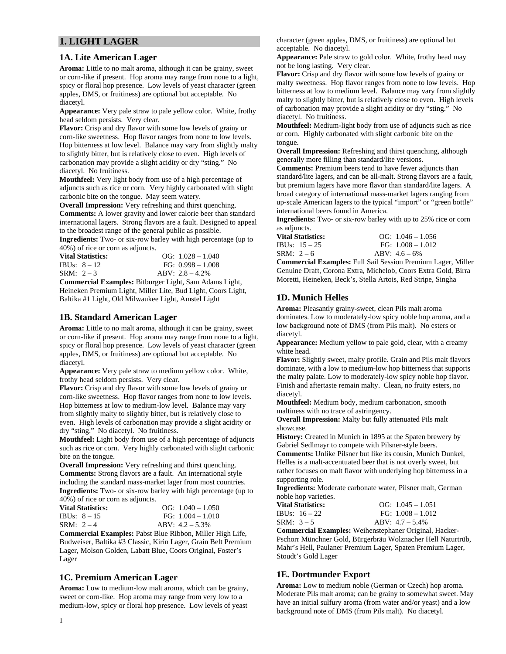#### <span id="page-3-0"></span>**1. LIGHT LAGER**

#### **1A. Lite American Lager**

**Aroma:** Little to no malt aroma, although it can be grainy, sweet or corn-like if present. Hop aroma may range from none to a light, spicy or floral hop presence. Low levels of yeast character (green apples, DMS, or fruitiness) are optional but acceptable. No diacetyl.

**Appearance:** Very pale straw to pale yellow color. White, frothy head seldom persists. Very clear.

**Flavor:** Crisp and dry flavor with some low levels of grainy or corn-like sweetness. Hop flavor ranges from none to low levels. Hop bitterness at low level. Balance may vary from slightly malty to slightly bitter, but is relatively close to even. High levels of carbonation may provide a slight acidity or dry "sting." No diacetyl. No fruitiness.

**Mouthfeel:** Very light body from use of a high percentage of adjuncts such as rice or corn. Very highly carbonated with slight carbonic bite on the tongue. May seem watery.

**Overall Impression:** Very refreshing and thirst quenching. **Comments:** A lower gravity and lower calorie beer than standard international lagers. Strong flavors are a fault. Designed to appeal to the broadest range of the general public as possible.

**Ingredients:** Two- or six-row barley with high percentage (up to 40%) of rice or corn as adjuncts.

| Vital Statistics:   | $OG: 1.028 - 1.040$ |
|---------------------|---------------------|
| <b>IBUs:</b> $8-12$ | $FG: 0.998 - 1.008$ |
| $SRM: 2-3$          | $ABV: 2.8 - 4.2\%$  |

**Commercial Examples:** Bitburger Light, Sam Adams Light, Heineken Premium Light, Miller Lite, Bud Light, Coors Light, Baltika #1 Light, Old Milwaukee Light, Amstel Light

#### **1B. Standard American Lager**

**Aroma:** Little to no malt aroma, although it can be grainy, sweet or corn-like if present. Hop aroma may range from none to a light, spicy or floral hop presence. Low levels of yeast character (green apples, DMS, or fruitiness) are optional but acceptable. No diacetyl.

**Appearance:** Very pale straw to medium yellow color. White, frothy head seldom persists. Very clear.

**Flavor:** Crisp and dry flavor with some low levels of grainy or corn-like sweetness. Hop flavor ranges from none to low levels. Hop bitterness at low to medium-low level. Balance may vary from slightly malty to slightly bitter, but is relatively close to even. High levels of carbonation may provide a slight acidity or dry "sting." No diacetyl. No fruitiness.

**Mouthfeel:** Light body from use of a high percentage of adjuncts such as rice or corn. Very highly carbonated with slight carbonic bite on the tongue.

**Overall Impression:** Very refreshing and thirst quenching. **Comments:** Strong flavors are a fault. An international style including the standard mass-market lager from most countries. **Ingredients:** Two- or six-row barley with high percentage (up to 40%) of rice or corn as adjuncts.

| <b>Vital Statistics:</b> |  | OG: $1.040 - 1.050$ |
|--------------------------|--|---------------------|
| <b>IBUs:</b> $8-15$      |  | FG: $1.004 - 1.010$ |
| SRM: $2-4$               |  | $ABV: 4.2 - 5.3%$   |
|                          |  |                     |

**Commercial Examples:** Pabst Blue Ribbon, Miller High Life, Budweiser, Baltika #3 Classic, Kirin Lager, Grain Belt Premium Lager, Molson Golden, Labatt Blue, Coors Original, Foster's Lager

#### **1C. Premium American Lager**

**Aroma:** Low to medium-low malt aroma, which can be grainy, sweet or corn-like. Hop aroma may range from very low to a medium-low, spicy or floral hop presence. Low levels of yeast

character (green apples, DMS, or fruitiness) are optional but acceptable. No diacetyl.

**Appearance:** Pale straw to gold color. White, frothy head may not be long lasting. Very clear.

**Flavor:** Crisp and dry flavor with some low levels of grainy or malty sweetness. Hop flavor ranges from none to low levels. Hop bitterness at low to medium level. Balance may vary from slightly malty to slightly bitter, but is relatively close to even. High levels of carbonation may provide a slight acidity or dry "sting." No diacetyl. No fruitiness.

**Mouthfeel:** Medium-light body from use of adjuncts such as rice or corn. Highly carbonated with slight carbonic bite on the tongue.

**Overall Impression:** Refreshing and thirst quenching, although generally more filling than standard/lite versions.

**Comments:** Premium beers tend to have fewer adjuncts than standard/lite lagers, and can be all-malt. Strong flavors are a fault, but premium lagers have more flavor than standard/lite lagers. A broad category of international mass-market lagers ranging from up-scale American lagers to the typical "import" or "green bottle" international beers found in America.

**Ingredients:** Two- or six-row barley with up to 25% rice or corn as adjuncts.

| Vital Statistics: | $OG: 1.046 - 1.056$                                  |
|-------------------|------------------------------------------------------|
| IBUs: 15 – 25     | $FG: 1.008 - 1.012$                                  |
| $SRM: 2-6$        | $ABV: 4.6 - 6%$                                      |
|                   | Commercial Evanuales: Eull Sail Session Dramium Lage |

**Commercial Examples:** Full Sail Session Premium Lager, Miller Genuine Draft, Corona Extra, Michelob, Coors Extra Gold, Birra Moretti, Heineken, Beck's, Stella Artois, Red Stripe, Singha

#### **1D. Munich Helles**

**Aroma:** Pleasantly grainy-sweet, clean Pils malt aroma dominates. Low to moderately-low spicy noble hop aroma, and a low background note of DMS (from Pils malt). No esters or diacetyl.

**Appearance:** Medium yellow to pale gold, clear, with a creamy white head.

**Flavor:** Slightly sweet, malty profile. Grain and Pils malt flavors dominate, with a low to medium-low hop bitterness that supports the malty palate. Low to moderately-low spicy noble hop flavor. Finish and aftertaste remain malty. Clean, no fruity esters, no diacetyl.

**Mouthfeel:** Medium body, medium carbonation, smooth maltiness with no trace of astringency.

**Overall Impression:** Malty but fully attenuated Pils malt showcase.

**History:** Created in Munich in 1895 at the Spaten brewery by Gabriel Sedlmayr to compete with Pilsner-style beers.

**Comments:** Unlike Pilsner but like its cousin, Munich Dunkel, Helles is a malt-accentuated beer that is not overly sweet, but rather focuses on malt flavor with underlying hop bitterness in a supporting role.

**Ingredients:** Moderate carbonate water, Pilsner malt, German noble hop varieties.

| Vital Statistics: | $OG: 1.045 - 1.051$ |
|-------------------|---------------------|
| IBUs: 16 – 22     | $FG: 1.008 - 1.012$ |
| SRM: 3 – 5        | $ABV: 4.7 - 5.4\%$  |

**Commercial Examples:** Weihenstephaner Original, Hacker-Pschorr Münchner Gold, Bürgerbräu Wolznacher Hell Naturtrüb, Mahr's Hell, Paulaner Premium Lager, Spaten Premium Lager, Stoudt's Gold Lager

#### **1E. Dortmunder Export**

**Aroma:** Low to medium noble (German or Czech) hop aroma. Moderate Pils malt aroma; can be grainy to somewhat sweet. May have an initial sulfury aroma (from water and/or yeast) and a low background note of DMS (from Pils malt). No diacetyl.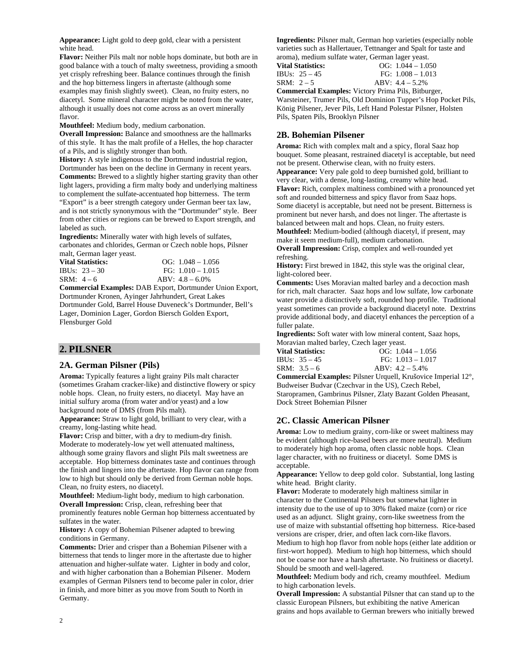<span id="page-4-0"></span>**Appearance:** Light gold to deep gold, clear with a persistent white head.

**Flavor:** Neither Pils malt nor noble hops dominate, but both are in good balance with a touch of malty sweetness, providing a smooth yet crisply refreshing beer. Balance continues through the finish and the hop bitterness lingers in aftertaste (although some examples may finish slightly sweet). Clean, no fruity esters, no diacetyl. Some mineral character might be noted from the water, although it usually does not come across as an overt minerally flavor.

**Mouthfeel:** Medium body, medium carbonation.

**Overall Impression:** Balance and smoothness are the hallmarks of this style. It has the malt profile of a Helles, the hop character of a Pils, and is slightly stronger than both.

**History:** A style indigenous to the Dortmund industrial region, Dortmunder has been on the decline in Germany in recent years. **Comments:** Brewed to a slightly higher starting gravity than other light lagers, providing a firm malty body and underlying maltiness to complement the sulfate-accentuated hop bitterness. The term "Export" is a beer strength category under German beer tax law, and is not strictly synonymous with the "Dortmunder" style. Beer from other cities or regions can be brewed to Export strength, and labeled as such.

**Ingredients:** Minerally water with high levels of sulfates, carbonates and chlorides, German or Czech noble hops, Pilsner malt, German lager yeast.

| <b>Vital Statistics:</b> | $OG: 1.048 - 1.056$ |
|--------------------------|---------------------|
| <b>IBUs:</b> $23 - 30$   | $FG: 1.010 - 1.015$ |
| $SRM: 4-6$               | $ABV: 4.8 - 6.0\%$  |

**Commercial Examples:** DAB Export, Dortmunder Union Export, Dortmunder Kronen, Ayinger Jahrhundert, Great Lakes Dortmunder Gold, Barrel House Duveneck's Dortmunder, Bell's Lager, Dominion Lager, Gordon Biersch Golden Export, Flensburger Gold

#### **2. PILSNER**

#### **2A. German Pilsner (Pils)**

**Aroma:** Typically features a light grainy Pils malt character (sometimes Graham cracker-like) and distinctive flowery or spicy noble hops. Clean, no fruity esters, no diacetyl. May have an initial sulfury aroma (from water and/or yeast) and a low background note of DMS (from Pils malt).

**Appearance:** Straw to light gold, brilliant to very clear, with a creamy, long-lasting white head.

**Flavor:** Crisp and bitter, with a dry to medium-dry finish. Moderate to moderately-low yet well attenuated maltiness, although some grainy flavors and slight Pils malt sweetness are acceptable. Hop bitterness dominates taste and continues through the finish and lingers into the aftertaste. Hop flavor can range from low to high but should only be derived from German noble hops. Clean, no fruity esters, no diacetyl.

**Mouthfeel:** Medium-light body, medium to high carbonation. **Overall Impression:** Crisp, clean, refreshing beer that

prominently features noble German hop bitterness accentuated by sulfates in the water.

**History:** A copy of Bohemian Pilsener adapted to brewing conditions in Germany.

**Comments:** Drier and crisper than a Bohemian Pilsener with a bitterness that tends to linger more in the aftertaste due to higher attenuation and higher-sulfate water. Lighter in body and color, and with higher carbonation than a Bohemian Pilsener. Modern examples of German Pilsners tend to become paler in color, drier in finish, and more bitter as you move from South to North in Germany.

**Ingredients:** Pilsner malt, German hop varieties (especially noble varieties such as Hallertauer, Tettnanger and Spalt for taste and aroma), medium sulfate water, German lager yeast.

| Vital Statistics: | $OG: 1.044 - 1.050$ |
|-------------------|---------------------|
| IBUs: 25 – 45     | FG: $1.008 - 1.013$ |
| SRM: 2 – 5        | $ABV: 4.4 - 5.2%$   |

**Commercial Examples:** Victory Prima Pils, Bitburger, Warsteiner, Trumer Pils, Old Dominion Tupper's Hop Pocket Pils, König Pilsener, Jever Pils, Left Hand Polestar Pilsner, Holsten Pils, Spaten Pils, Brooklyn Pilsner

#### **2B. Bohemian Pilsener**

**Aroma:** Rich with complex malt and a spicy, floral Saaz hop bouquet. Some pleasant, restrained diacetyl is acceptable, but need not be present. Otherwise clean, with no fruity esters. **Appearance:** Very pale gold to deep burnished gold, brilliant to very clear, with a dense, long-lasting, creamy white head. **Flavor:** Rich, complex maltiness combined with a pronounced yet soft and rounded bitterness and spicy flavor from Saaz hops. Some diacetyl is acceptable, but need not be present. Bitterness is prominent but never harsh, and does not linger. The aftertaste is balanced between malt and hops. Clean, no fruity esters. **Mouthfeel:** Medium-bodied (although diacetyl, if present, may make it seem medium-full), medium carbonation.

**Overall Impression:** Crisp, complex and well-rounded yet refreshing.

**History:** First brewed in 1842, this style was the original clear, light-colored beer.

**Comments:** Uses Moravian malted barley and a decoction mash for rich, malt character. Saaz hops and low sulfate, low carbonate water provide a distinctively soft, rounded hop profile. Traditional yeast sometimes can provide a background diacetyl note. Dextrins provide additional body, and diacetyl enhances the perception of a fuller palate.

**Ingredients:** Soft water with low mineral content, Saaz hops, Moravian malted barley, Czech lager yeast.

| <b>Vital Statistics:</b>    | $OG: 1.044 - 1.056$                                                                           |
|-----------------------------|-----------------------------------------------------------------------------------------------|
| <b>IBUs:</b> $35 - 45$      | $FG: 1.013 - 1.017$                                                                           |
| $SRM: 3.5 - 6$              | $ABV: 4.2 - 5.4\%$                                                                            |
| $\sim$ $\sim$ $\sim$ $\sim$ | $\mathbf{r}$ $\mathbf{r}$ $\mathbf{r}$ $\mathbf{r}$ $\mathbf{r}$ $\mathbf{r}$<br>$\mathbf{r}$ |

**Commercial Examples:** Pilsner Urquell, Krušovice Imperial 12°, Budweiser Budvar (Czechvar in the US), Czech Rebel, Staropramen, Gambrinus Pilsner, Zlaty Bazant Golden Pheasant, Dock Street Bohemian Pilsner

#### **2C. Classic American Pilsner**

**Aroma:** Low to medium grainy, corn-like or sweet maltiness may be evident (although rice-based beers are more neutral). Medium to moderately high hop aroma, often classic noble hops. Clean lager character, with no fruitiness or diacetyl. Some DMS is acceptable.

**Appearance:** Yellow to deep gold color. Substantial, long lasting white head. Bright clarity.

**Flavor:** Moderate to moderately high maltiness similar in character to the Continental Pilsners but somewhat lighter in intensity due to the use of up to 30% flaked maize (corn) or rice used as an adjunct. Slight grainy, corn-like sweetness from the use of maize with substantial offsetting hop bitterness. Rice-based versions are crisper, drier, and often lack corn-like flavors.

Medium to high hop flavor from noble hops (either late addition or first-wort hopped). Medium to high hop bitterness, which should not be coarse nor have a harsh aftertaste. No fruitiness or diacetyl. Should be smooth and well-lagered.

**Mouthfeel:** Medium body and rich, creamy mouthfeel. Medium to high carbonation levels.

**Overall Impression:** A substantial Pilsner that can stand up to the classic European Pilsners, but exhibiting the native American grains and hops available to German brewers who initially brewed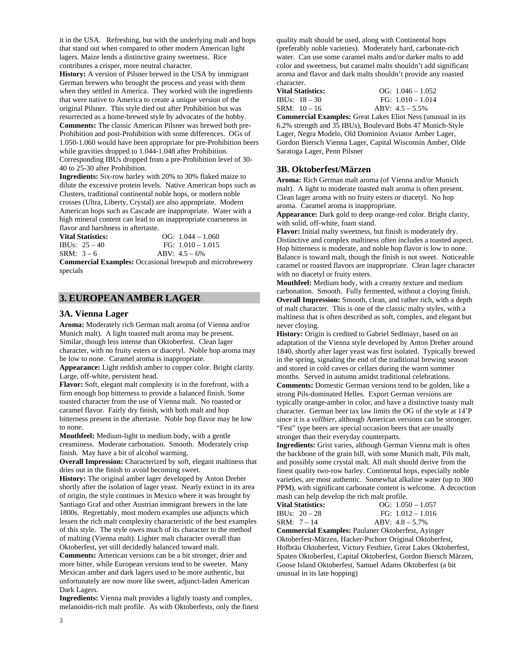<span id="page-5-0"></span>it in the USA. Refreshing, but with the underlying malt and hops that stand out when compared to other modern American light lagers. Maize lends a distinctive grainy sweetness. Rice contributes a crisper, more neutral character.

**History:** A version of Pilsner brewed in the USA by immigrant German brewers who brought the process and yeast with them when they settled in America. They worked with the ingredients that were native to America to create a unique version of the original Pilsner. This style died out after Prohibition but was resurrected as a home-brewed style by advocates of the hobby. **Comments:** The classic American Pilsner was brewed both pre-Prohibition and post-Prohibition with some differences. OGs of 1.050-1.060 would have been appropriate for pre-Prohibition beers while gravities dropped to 1.044-1.048 after Prohibition. Corresponding IBUs dropped from a pre-Prohibition level of 30- 40 to 25-30 after Prohibition.

**Ingredients:** Six-row barley with 20% to 30% flaked maize to dilute the excessive protein levels. Native American hops such as Clusters, traditional continental noble hops, or modern noble crosses (Ultra, Liberty, Crystal) are also appropriate. Modern American hops such as Cascade are inappropriate. Water with a high mineral content can lead to an inappropriate coarseness in flavor and harshness in aftertaste.

| <b>Vital Statistics:</b> | $OG: 1.044 - 1.060$ |
|--------------------------|---------------------|
| <b>IBUs:</b> $25 - 40$   | $FG: 1.010 - 1.015$ |
| SRM: $3-6$               | $ABV: 4.5 - 6%$     |

**Commercial Examples:** Occasional brewpub and microbrewery specials

#### **3. EUROPEAN AMBER LAGER**

#### **3A. Vienna Lager**

**Aroma:** Moderately rich German malt aroma (of Vienna and/or Munich malt). A light toasted malt aroma may be present. Similar, though less intense than Oktoberfest. Clean lager character, with no fruity esters or diacetyl. Noble hop aroma may be low to none. Caramel aroma is inappropriate.

**Appearance:** Light reddish amber to copper color. Bright clarity. Large, off-white, persistent head.

**Flavor:** Soft, elegant malt complexity is in the forefront, with a firm enough hop bitterness to provide a balanced finish. Some toasted character from the use of Vienna malt. No roasted or caramel flavor. Fairly dry finish, with both malt and hop bitterness present in the aftertaste. Noble hop flavor may be low to none.

**Mouthfeel:** Medium-light to medium body, with a gentle creaminess. Moderate carbonation. Smooth. Moderately crisp finish. May have a bit of alcohol warming.

**Overall Impression:** Characterized by soft, elegant maltiness that dries out in the finish to avoid becoming sweet.

**History:** The original amber lager developed by Anton Dreher shortly after the isolation of lager yeast. Nearly extinct in its area of origin, the style continues in Mexico where it was brought by Santiago Graf and other Austrian immigrant brewers in the late 1800s. Regrettably, most modern examples use adjuncts which lessen the rich malt complexity characteristic of the best examples of this style. The style owes much of its character to the method of malting (Vienna malt). Lighter malt character overall than Oktoberfest, yet still decidedly balanced toward malt.

**Comments:** American versions can be a bit stronger, drier and more bitter, while European versions tend to be sweeter. Many Mexican amber and dark lagers used to be more authentic, but unfortunately are now more like sweet, adjunct-laden American Dark Lagers.

**Ingredients:** Vienna malt provides a lightly toasty and complex, melanoidin-rich malt profile. As with Oktoberfests, only the finest quality malt should be used, along with Continental hops (preferably noble varieties). Moderately hard, carbonate-rich water. Can use some caramel malts and/or darker malts to add color and sweetness, but caramel malts shouldn't add significant aroma and flavor and dark malts shouldn't provide any roasted character.

| Vital Statistics:           | OG: $1.046 - 1.052$                |
|-----------------------------|------------------------------------|
| IBUs: 18 – 30               | $FG: 1.010 - 1.014$                |
| SRM: 10 – 16                | $ABV: 4.5 - 5.5\%$                 |
| $\sim$ $\sim$ $\sim$ $\sim$ | $\alpha$ is equivalent of $\alpha$ |

**Commercial Examples:** Great Lakes Eliot Ness (unusual in its 6.2% strength and 35 IBUs), Boulevard Bobs 47 Munich-Style Lager, Negra Modelo, Old Dominion Aviator Amber Lager, Gordon Biersch Vienna Lager, Capital Wisconsin Amber, Olde Saratoga Lager, Penn Pilsner

#### **3B. Oktoberfest/Märzen**

**Aroma:** Rich German malt aroma (of Vienna and/or Munich malt). A light to moderate toasted malt aroma is often present. Clean lager aroma with no fruity esters or diacetyl. No hop aroma. Caramel aroma is inappropriate.

**Appearance:** Dark gold to deep orange-red color. Bright clarity, with solid, off-white, foam stand.

**Flavor:** Initial malty sweetness, but finish is moderately dry. Distinctive and complex maltiness often includes a toasted aspect. Hop bitterness is moderate, and noble hop flavor is low to none. Balance is toward malt, though the finish is not sweet. Noticeable caramel or roasted flavors are inappropriate. Clean lager character with no diacetyl or fruity esters.

**Mouthfeel:** Medium body, with a creamy texture and medium carbonation. Smooth. Fully fermented, without a cloying finish. **Overall Impression:** Smooth, clean, and rather rich, with a depth of malt character. This is one of the classic malty styles, with a maltiness that is often described as soft, complex, and elegant but never cloying.

**History:** Origin is credited to Gabriel Sedlmayr, based on an adaptation of the Vienna style developed by Anton Dreher around 1840, shortly after lager yeast was first isolated. Typically brewed in the spring, signaling the end of the traditional brewing season and stored in cold caves or cellars during the warm summer months. Served in autumn amidst traditional celebrations.

**Comments:** Domestic German versions tend to be golden, like a strong Pils-dominated Helles. Export German versions are typically orange-amber in color, and have a distinctive toasty malt character. German beer tax law limits the OG of the style at 14˚P since it is a *vollbier*, although American versions can be stronger. "Fest" type beers are special occasion beers that are usually stronger than their everyday counterparts.

**Ingredients:** Grist varies, although German Vienna malt is often the backbone of the grain bill, with some Munich malt, Pils malt, and possibly some crystal malt. All malt should derive from the finest quality two-row barley. Continental hops, especially noble varieties, are most authentic. Somewhat alkaline water (up to 300 PPM), with significant carbonate content is welcome. A decoction mash can help develop the rich malt profile.

| Vital Statistics: | $OG: 1.050 - 1.057$ |
|-------------------|---------------------|
| IBUs: 20 – 28     | FG: $1.012 - 1.016$ |
| SRM: 7 – 14       | $ABV: 4.8 - 5.7\%$  |
|                   |                     |

**Commercial Examples:** Paulaner Oktoberfest, Ayinger Oktoberfest-Märzen, Hacker-Pschorr Original Oktoberfest, Hofbräu Oktoberfest, Victory Festbier, Great Lakes Oktoberfest, Spaten Oktoberfest, Capital Oktoberfest, Gordon Biersch Märzen, Goose Island Oktoberfest, Samuel Adams Oktoberfest (a bit unusual in its late hopping)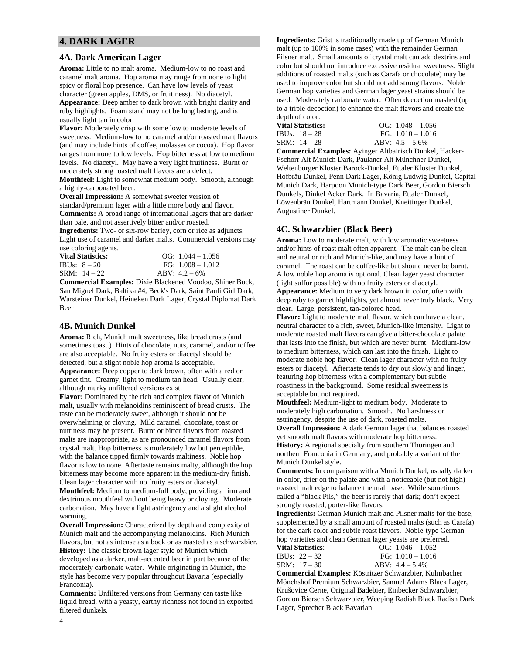#### <span id="page-6-0"></span>**4. DARK LAGER**

#### **4A. Dark American Lager**

**Aroma:** Little to no malt aroma. Medium-low to no roast and caramel malt aroma. Hop aroma may range from none to light spicy or floral hop presence. Can have low levels of yeast character (green apples, DMS, or fruitiness). No diacetyl. **Appearance:** Deep amber to dark brown with bright clarity and ruby highlights. Foam stand may not be long lasting, and is

usually light tan in color. **Flavor:** Moderately crisp with some low to moderate levels of sweetness. Medium-low to no caramel and/or roasted malt flavors (and may include hints of coffee, molasses or cocoa). Hop flavor ranges from none to low levels. Hop bitterness at low to medium levels. No diacetyl. May have a very light fruitiness. Burnt or moderately strong roasted malt flavors are a defect.

**Mouthfeel:** Light to somewhat medium body. Smooth, although a highly-carbonated beer.

**Overall Impression:** A somewhat sweeter version of standard/premium lager with a little more body and flavor. **Comments:** A broad range of international lagers that are darker than pale, and not assertively bitter and/or roasted.

**Ingredients:** Two- or six-row barley, corn or rice as adjuncts. Light use of caramel and darker malts. Commercial versions may use coloring agents.

| <b>Vital Statistics:</b> | $OG: 1.044 - 1.056$ |
|--------------------------|---------------------|
| <b>IBUs:</b> $8-20$      | $FG: 1.008 - 1.012$ |
| $SRM: 14-22$             | ABV: $4.2 - 6\%$    |

**Commercial Examples:** Dixie Blackened Voodoo, Shiner Bock, San Miguel Dark, Baltika #4, Beck's Dark, Saint Pauli Girl Dark, Warsteiner Dunkel, Heineken Dark Lager, Crystal Diplomat Dark Beer

#### **4B. Munich Dunkel**

**Aroma:** Rich, Munich malt sweetness, like bread crusts (and sometimes toast.) Hints of chocolate, nuts, caramel, and/or toffee are also acceptable. No fruity esters or diacetyl should be detected, but a slight noble hop aroma is acceptable. **Appearance:** Deep copper to dark brown, often with a red or garnet tint. Creamy, light to medium tan head. Usually clear,

although murky unfiltered versions exist. **Flavor:** Dominated by the rich and complex flavor of Munich malt, usually with melanoidins reminiscent of bread crusts. The taste can be moderately sweet, although it should not be overwhelming or cloying. Mild caramel, chocolate, toast or nuttiness may be present. Burnt or bitter flavors from roasted malts are inappropriate, as are pronounced caramel flavors from crystal malt. Hop bitterness is moderately low but perceptible, with the balance tipped firmly towards maltiness. Noble hop flavor is low to none. Aftertaste remains malty, although the hop bitterness may become more apparent in the medium-dry finish. Clean lager character with no fruity esters or diacetyl.

**Mouthfeel:** Medium to medium-full body, providing a firm and dextrinous mouthfeel without being heavy or cloying. Moderate carbonation. May have a light astringency and a slight alcohol warming.

**Overall Impression:** Characterized by depth and complexity of Munich malt and the accompanying melanoidins. Rich Munich flavors, but not as intense as a bock or as roasted as a schwarzbier.

**History:** The classic brown lager style of Munich which developed as a darker, malt-accented beer in part because of the moderately carbonate water. While originating in Munich, the style has become very popular throughout Bavaria (especially Franconia).

**Comments:** Unfiltered versions from Germany can taste like liquid bread, with a yeasty, earthy richness not found in exported filtered dunkels.

**Ingredients:** Grist is traditionally made up of German Munich malt (up to 100% in some cases) with the remainder German Pilsner malt. Small amounts of crystal malt can add dextrins and color but should not introduce excessive residual sweetness. Slight additions of roasted malts (such as Carafa or chocolate) may be used to improve color but should not add strong flavors. Noble German hop varieties and German lager yeast strains should be used. Moderately carbonate water. Often decoction mashed (up to a triple decoction) to enhance the malt flavors and create the depth of color.

| $OG: 1.048 - 1.056$ |
|---------------------|
| $FG: 1.010 - 1.016$ |
| $ABV: 4.5 - 5.6\%$  |
|                     |

**Commercial Examples:** Ayinger Altbairisch Dunkel, Hacker-Pschorr Alt Munich Dark, Paulaner Alt Münchner Dunkel, Weltenburger Kloster Barock-Dunkel, Ettaler Kloster Dunkel, Hofbräu Dunkel, Penn Dark Lager, König Ludwig Dunkel, Capital Munich Dark, Harpoon Munich-type Dark Beer, Gordon Biersch Dunkels, Dinkel Acker Dark. In Bavaria, Ettaler Dunkel, Löwenbräu Dunkel, Hartmann Dunkel, Kneitinger Dunkel, Augustiner Dunkel.

#### **4C. Schwarzbier (Black Beer)**

**Aroma:** Low to moderate malt, with low aromatic sweetness and/or hints of roast malt often apparent. The malt can be clean and neutral or rich and Munich-like, and may have a hint of caramel. The roast can be coffee-like but should never be burnt. A low noble hop aroma is optional. Clean lager yeast character (light sulfur possible) with no fruity esters or diacetyl. **Appearance:** Medium to very dark brown in color, often with deep ruby to garnet highlights, yet almost never truly black. Very clear. Large, persistent, tan-colored head.

**Flavor:** Light to moderate malt flavor, which can have a clean, neutral character to a rich, sweet, Munich-like intensity. Light to moderate roasted malt flavors can give a bitter-chocolate palate that lasts into the finish, but which are never burnt. Medium-low to medium bitterness, which can last into the finish. Light to moderate noble hop flavor. Clean lager character with no fruity esters or diacetyl. Aftertaste tends to dry out slowly and linger, featuring hop bitterness with a complementary but subtle roastiness in the background. Some residual sweetness is acceptable but not required.

**Mouthfeel:** Medium-light to medium body. Moderate to moderately high carbonation. Smooth. No harshness or astringency, despite the use of dark, roasted malts.

**Overall Impression:** A dark German lager that balances roasted yet smooth malt flavors with moderate hop bitterness. **History:** A regional specialty from southern Thuringen and

northern Franconia in Germany, and probably a variant of the Munich Dunkel style.

**Comments:** In comparison with a Munich Dunkel, usually darker in color, drier on the palate and with a noticeable (but not high) roasted malt edge to balance the malt base. While sometimes called a "black Pils," the beer is rarely that dark; don't expect strongly roasted, porter-like flavors.

**Ingredients:** German Munich malt and Pilsner malts for the base, supplemented by a small amount of roasted malts (such as Carafa) for the dark color and subtle roast flavors. Noble-type German hop varieties and clean German lager yeasts are preferred.

| Vital Statistics:      | $OG: 1.046 - 1.052$ |
|------------------------|---------------------|
| <b>IBUs:</b> $22 - 32$ | $FG: 1.010 - 1.016$ |
| SRM: 17 – 30           | $ABV: 4.4 - 5.4%$   |

**Commercial Examples:** Köstritzer Schwarzbier, Kulmbacher Mönchshof Premium Schwarzbier, Samuel Adams Black Lager, Krušovice Cerne, Original Badebier, Einbecker Schwarzbier, Gordon Biersch Schwarzbier, Weeping Radish Black Radish Dark Lager, Sprecher Black Bavarian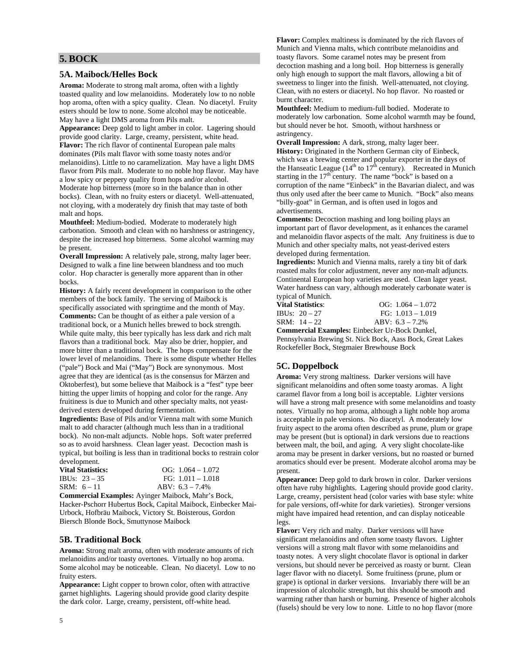#### <span id="page-7-0"></span>**5. BOCK**

#### **5A. Maibock/Helles Bock**

**Aroma:** Moderate to strong malt aroma, often with a lightly toasted quality and low melanoidins. Moderately low to no noble hop aroma, often with a spicy quality. Clean. No diacetyl. Fruity esters should be low to none. Some alcohol may be noticeable. May have a light DMS aroma from Pils malt.

**Appearance:** Deep gold to light amber in color. Lagering should provide good clarity. Large, creamy, persistent, white head. **Flavor:** The rich flavor of continental European pale malts dominates (Pils malt flavor with some toasty notes and/or melanoidins). Little to no caramelization. May have a light DMS flavor from Pils malt. Moderate to no noble hop flavor. May have a low spicy or peppery quality from hops and/or alcohol. Moderate hop bitterness (more so in the balance than in other bocks). Clean, with no fruity esters or diacetyl. Well-attenuated, not cloying, with a moderately dry finish that may taste of both malt and hops.

**Mouthfeel:** Medium-bodied. Moderate to moderately high carbonation. Smooth and clean with no harshness or astringency, despite the increased hop bitterness. Some alcohol warming may be present.

**Overall Impression:** A relatively pale, strong, malty lager beer. Designed to walk a fine line between blandness and too much color. Hop character is generally more apparent than in other bocks.

**History:** A fairly recent development in comparison to the other members of the bock family. The serving of Maibock is specifically associated with springtime and the month of May. **Comments:** Can be thought of as either a pale version of a traditional bock, or a Munich helles brewed to bock strength. While quite malty, this beer typically has less dark and rich malt flavors than a traditional bock. May also be drier, hoppier, and more bitter than a traditional bock. The hops compensate for the lower level of melanoidins. There is some dispute whether Helles ("pale") Bock and Mai ("May") Bock are synonymous. Most agree that they are identical (as is the consensus for Märzen and Oktoberfest), but some believe that Maibock is a "fest" type beer hitting the upper limits of hopping and color for the range. Any fruitiness is due to Munich and other specialty malts, not yeastderived esters developed during fermentation.

**Ingredients:** Base of Pils and/or Vienna malt with some Munich malt to add character (although much less than in a traditional bock). No non-malt adjuncts. Noble hops. Soft water preferred so as to avoid harshness. Clean lager yeast. Decoction mash is typical, but boiling is less than in traditional bocks to restrain color development.

| Vital Statistics:      | $OG: 1.064 - 1.072$ |
|------------------------|---------------------|
| <b>IBUs:</b> $23 - 35$ | $FG: 1.011 - 1.018$ |
| $SRM: 6-11$            | $ABV: 6.3 - 7.4\%$  |

**Commercial Examples:** Ayinger Maibock, Mahr's Bock, Hacker-Pschorr Hubertus Bock, Capital Maibock, Einbecker Mai-Urbock, Hofbräu Maibock, Victory St. Boisterous, Gordon Biersch Blonde Bock, Smuttynose Maibock

#### **5B. Traditional Bock**

**Aroma:** Strong malt aroma, often with moderate amounts of rich melanoidins and/or toasty overtones. Virtually no hop aroma. Some alcohol may be noticeable. Clean. No diacetyl. Low to no fruity esters.

**Appearance:** Light copper to brown color, often with attractive garnet highlights. Lagering should provide good clarity despite the dark color. Large, creamy, persistent, off-white head.

**Flavor:** Complex maltiness is dominated by the rich flavors of Munich and Vienna malts, which contribute melanoidins and toasty flavors. Some caramel notes may be present from decoction mashing and a long boil. Hop bitterness is generally only high enough to support the malt flavors, allowing a bit of sweetness to linger into the finish. Well-attenuated, not cloying. Clean, with no esters or diacetyl. No hop flavor. No roasted or burnt character.

**Mouthfeel:** Medium to medium-full bodied. Moderate to moderately low carbonation. Some alcohol warmth may be found, but should never be hot. Smooth, without harshness or astringency.

**Overall Impression:** A dark, strong, malty lager beer. **History:** Originated in the Northern German city of Einbeck, which was a brewing center and popular exporter in the days of the Hanseatic League ( $14<sup>th</sup>$  to  $17<sup>th</sup>$  century). Recreated in Munich starting in the  $17<sup>th</sup>$  century. The name "bock" is based on a corruption of the name "Einbeck" in the Bavarian dialect, and was thus only used after the beer came to Munich. "Bock" also means "billy-goat" in German, and is often used in logos and advertisements.

**Comments:** Decoction mashing and long boiling plays an important part of flavor development, as it enhances the caramel and melanoidin flavor aspects of the malt. Any fruitiness is due to Munich and other specialty malts, not yeast-derived esters developed during fermentation.

**Ingredients:** Munich and Vienna malts, rarely a tiny bit of dark roasted malts for color adjustment, never any non-malt adjuncts. Continental European hop varieties are used. Clean lager yeast. Water hardness can vary, although moderately carbonate water is typical of Munich.

| <i>. .</i><br>Vital Statistics:                       | OG: $1.064 - 1.072$ |
|-------------------------------------------------------|---------------------|
| IBUs: 20 – 27                                         | FG: $1.013 - 1.019$ |
| SRM: 14 – 22                                          | $ABV: 6.3 - 7.2\%$  |
| <b>Commercial Examples:</b> Einbecker Ur-Bock Dunkel, |                     |
| Donnaulyonia Drawing St. Night Dook, Ages Dook, Croot |                     |

Pennsylvania Brewing St. Nick Bock, Aass Bock, Great Lakes Rockefeller Bock, Stegmaier Brewhouse Bock

#### **5C. Doppelbock**

**Aroma:** Very strong maltiness. Darker versions will have significant melanoidins and often some toasty aromas. A light caramel flavor from a long boil is acceptable. Lighter versions will have a strong malt presence with some melanoidins and toasty notes. Virtually no hop aroma, although a light noble hop aroma is acceptable in pale versions. No diacetyl. A moderately low fruity aspect to the aroma often described as prune, plum or grape may be present (but is optional) in dark versions due to reactions between malt, the boil, and aging. A very slight chocolate-like aroma may be present in darker versions, but no roasted or burned aromatics should ever be present. Moderate alcohol aroma may be present.

**Appearance:** Deep gold to dark brown in color. Darker versions often have ruby highlights. Lagering should provide good clarity. Large, creamy, persistent head (color varies with base style: white for pale versions, off-white for dark varieties). Stronger versions might have impaired head retention, and can display noticeable legs.

**Flavor:** Very rich and malty. Darker versions will have significant melanoidins and often some toasty flavors. Lighter versions will a strong malt flavor with some melanoidins and toasty notes. A very slight chocolate flavor is optional in darker versions, but should never be perceived as roasty or burnt. Clean lager flavor with no diacetyl. Some fruitiness (prune, plum or grape) is optional in darker versions. Invariably there will be an impression of alcoholic strength, but this should be smooth and warming rather than harsh or burning. Presence of higher alcohols (fusels) should be very low to none. Little to no hop flavor (more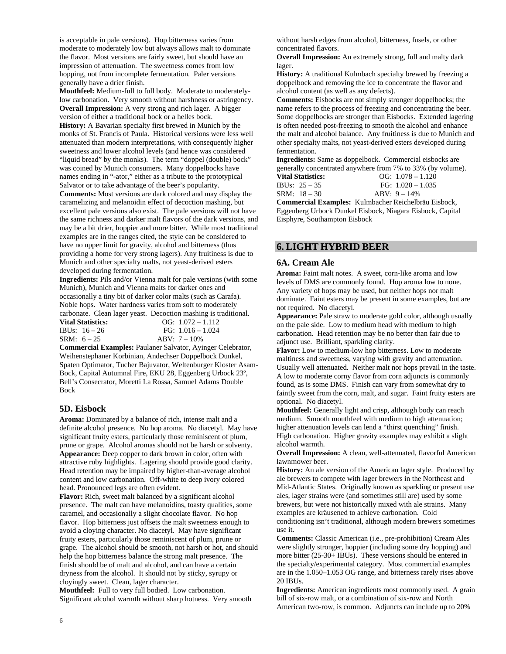<span id="page-8-0"></span>is acceptable in pale versions). Hop bitterness varies from moderate to moderately low but always allows malt to dominate the flavor. Most versions are fairly sweet, but should have an impression of attenuation. The sweetness comes from low hopping, not from incomplete fermentation. Paler versions generally have a drier finish.

**Mouthfeel:** Medium-full to full body. Moderate to moderatelylow carbonation. Very smooth without harshness or astringency. **Overall Impression:** A very strong and rich lager. A bigger version of either a traditional bock or a helles bock.

**History:** A Bavarian specialty first brewed in Munich by the monks of St. Francis of Paula. Historical versions were less well attenuated than modern interpretations, with consequently higher sweetness and lower alcohol levels (and hence was considered "liquid bread" by the monks). The term "doppel (double) bock" was coined by Munich consumers. Many doppelbocks have names ending in "-ator," either as a tribute to the prototypical Salvator or to take advantage of the beer's popularity.

**Comments:** Most versions are dark colored and may display the caramelizing and melanoidin effect of decoction mashing, but excellent pale versions also exist. The pale versions will not have the same richness and darker malt flavors of the dark versions, and may be a bit drier, hoppier and more bitter. While most traditional examples are in the ranges cited, the style can be considered to have no upper limit for gravity, alcohol and bitterness (thus providing a home for very strong lagers). Any fruitiness is due to Munich and other specialty malts, not yeast-derived esters developed during fermentation.

**Ingredients:** Pils and/or Vienna malt for pale versions (with some Munich), Munich and Vienna malts for darker ones and occasionally a tiny bit of darker color malts (such as Carafa). Noble hops. Water hardness varies from soft to moderately carbonate. Clean lager yeast. Decoction mashing is traditional.

**Vital Statistics:** OG: 1.072 – 1.112

IBUs: 16 – 26 FG: 1.016 – 1.024<br>SRM: 6 – 25 ABV: 7 – 10% ABV:  $7 - 10%$ 

**Commercial Examples:** Paulaner Salvator, Ayinger Celebrator, Weihenstephaner Korbinian, Andechser Doppelbock Dunkel, Spaten Optimator, Tucher Bajuvator, Weltenburger Kloster Asam-Bock, Capital Autumnal Fire, EKU 28, Eggenberg Urbock 23º, Bell's Consecrator, Moretti La Rossa, Samuel Adams Double Bock

#### **5D. Eisbock**

**Aroma:** Dominated by a balance of rich, intense malt and a definite alcohol presence. No hop aroma. No diacetyl. May have significant fruity esters, particularly those reminiscent of plum, prune or grape. Alcohol aromas should not be harsh or solventy. **Appearance:** Deep copper to dark brown in color, often with attractive ruby highlights. Lagering should provide good clarity. Head retention may be impaired by higher-than-average alcohol content and low carbonation. Off-white to deep ivory colored head. Pronounced legs are often evident.

**Flavor:** Rich, sweet malt balanced by a significant alcohol presence. The malt can have melanoidins, toasty qualities, some caramel, and occasionally a slight chocolate flavor. No hop flavor. Hop bitterness just offsets the malt sweetness enough to avoid a cloying character. No diacetyl. May have significant fruity esters, particularly those reminiscent of plum, prune or grape. The alcohol should be smooth, not harsh or hot, and should help the hop bitterness balance the strong malt presence. The finish should be of malt and alcohol, and can have a certain dryness from the alcohol. It should not by sticky, syrupy or cloyingly sweet. Clean, lager character.

**Mouthfeel:** Full to very full bodied. Low carbonation. Significant alcohol warmth without sharp hotness. Very smooth without harsh edges from alcohol, bitterness, fusels, or other concentrated flavors.

**Overall Impression:** An extremely strong, full and malty dark lager.

**History:** A traditional Kulmbach specialty brewed by freezing a doppelbock and removing the ice to concentrate the flavor and alcohol content (as well as any defects).

**Comments:** Eisbocks are not simply stronger doppelbocks; the name refers to the process of freezing and concentrating the beer. Some doppelbocks are stronger than Eisbocks. Extended lagering is often needed post-freezing to smooth the alcohol and enhance the malt and alcohol balance. Any fruitiness is due to Munich and other specialty malts, not yeast-derived esters developed during fermentation.

**Ingredients:** Same as doppelbock. Commercial eisbocks are generally concentrated anywhere from 7% to 33% (by volume).

| Vital Statistics: | $OG: 1.078 - 1.120$ |
|-------------------|---------------------|
| IBUs: 25 – 35     | FG: $1.020 - 1.035$ |
| SRM: 18 – 30      | $ABV: 9 - 14\%$     |

**Commercial Examples:** Kulmbacher Reichelbräu Eisbock, Eggenberg Urbock Dunkel Eisbock, Niagara Eisbock, Capital Eisphyre, Southampton Eisbock

#### **6. LIGHT HYBRID BEER**

#### **6A. Cream Ale**

**Aroma:** Faint malt notes. A sweet, corn-like aroma and low levels of DMS are commonly found. Hop aroma low to none. Any variety of hops may be used, but neither hops nor malt dominate. Faint esters may be present in some examples, but are not required. No diacetyl.

**Appearance:** Pale straw to moderate gold color, although usually on the pale side. Low to medium head with medium to high carbonation. Head retention may be no better than fair due to adjunct use. Brilliant, sparkling clarity.

**Flavor:** Low to medium-low hop bitterness. Low to moderate maltiness and sweetness, varying with gravity and attenuation. Usually well attenuated. Neither malt nor hops prevail in the taste. A low to moderate corny flavor from corn adjuncts is commonly found, as is some DMS. Finish can vary from somewhat dry to faintly sweet from the corn, malt, and sugar. Faint fruity esters are optional. No diacetyl.

**Mouthfeel:** Generally light and crisp, although body can reach medium. Smooth mouthfeel with medium to high attenuation; higher attenuation levels can lend a "thirst quenching" finish. High carbonation. Higher gravity examples may exhibit a slight alcohol warmth.

**Overall Impression:** A clean, well-attenuated, flavorful American lawnmower beer.

**History:** An ale version of the American lager style. Produced by ale brewers to compete with lager brewers in the Northeast and Mid-Atlantic States. Originally known as sparkling or present use ales, lager strains were (and sometimes still are) used by some brewers, but were not historically mixed with ale strains. Many examples are kräusened to achieve carbonation. Cold conditioning isn't traditional, although modern brewers sometimes use it.

**Comments:** Classic American (i.e., pre-prohibition) Cream Ales were slightly stronger, hoppier (including some dry hopping) and more bitter (25-30+ IBUs). These versions should be entered in the specialty/experimental category. Most commercial examples are in the 1.050–1.053 OG range, and bitterness rarely rises above 20 IBUs.

**Ingredients:** American ingredients most commonly used. A grain bill of six-row malt, or a combination of six-row and North American two-row, is common. Adjuncts can include up to 20%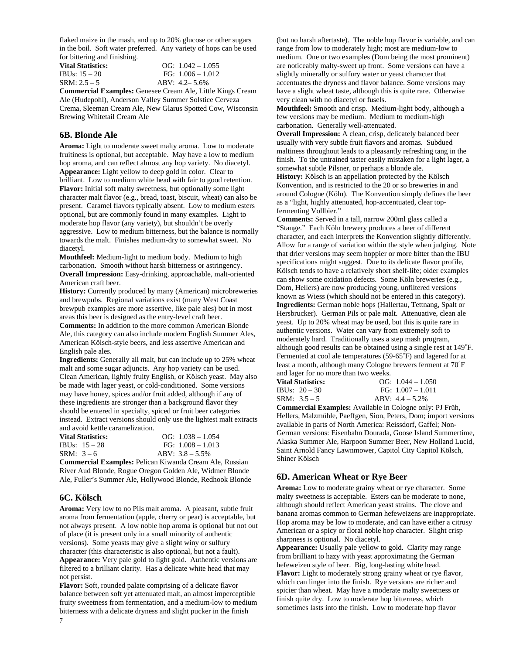<span id="page-9-0"></span>flaked maize in the mash, and up to 20% glucose or other sugars in the boil. Soft water preferred. Any variety of hops can be used for bittering and finishing.

| <b>Vital Statistics:</b> | OG: $1.042 - 1.055$ |
|--------------------------|---------------------|
| IBUs: $15 - 20$          | $FG: 1.006 - 1.012$ |
| $SRM: 2.5 - 5$           | $ABV: 4.2 - 5.6\%$  |
|                          |                     |

**Commercial Examples:** Genesee Cream Ale, Little Kings Cream Ale (Hudepohl), Anderson Valley Summer Solstice Cerveza Crema, Sleeman Cream Ale, New Glarus Spotted Cow, Wisconsin Brewing Whitetail Cream Ale

#### **6B. Blonde Ale**

**Aroma:** Light to moderate sweet malty aroma. Low to moderate fruitiness is optional, but acceptable. May have a low to medium hop aroma, and can reflect almost any hop variety. No diacetyl. **Appearance:** Light yellow to deep gold in color. Clear to brilliant. Low to medium white head with fair to good retention. **Flavor:** Initial soft malty sweetness, but optionally some light character malt flavor (e.g., bread, toast, biscuit, wheat) can also be present. Caramel flavors typically absent. Low to medium esters optional, but are commonly found in many examples. Light to moderate hop flavor (any variety), but shouldn't be overly aggressive. Low to medium bitterness, but the balance is normally towards the malt. Finishes medium-dry to somewhat sweet. No diacetyl.

**Mouthfeel:** Medium-light to medium body. Medium to high carbonation. Smooth without harsh bitterness or astringency. **Overall Impression:** Easy-drinking, approachable, malt-oriented American craft beer.

**History:** Currently produced by many (American) microbreweries and brewpubs. Regional variations exist (many West Coast brewpub examples are more assertive, like pale ales) but in most areas this beer is designed as the entry-level craft beer.

**Comments:** In addition to the more common American Blonde Ale, this category can also include modern English Summer Ales, American Kölsch-style beers, and less assertive American and English pale ales.

**Ingredients:** Generally all malt, but can include up to 25% wheat malt and some sugar adjuncts. Any hop variety can be used. Clean American, lightly fruity English, or Kölsch yeast. May also be made with lager yeast, or cold-conditioned. Some versions may have honey, spices and/or fruit added, although if any of these ingredients are stronger than a background flavor they should be entered in specialty, spiced or fruit beer categories instead. Extract versions should only use the lightest malt extracts and avoid kettle caramelization.

| Vital Statistics:      | $OG: 1.038 - 1.054$ |
|------------------------|---------------------|
| <b>IBUs:</b> $15 - 28$ | $FG: 1.008 - 1.013$ |
| $SRM: 3-6$             | $ABV: 3.8 - 5.5\%$  |

**Commercial Examples:** Pelican Kiwanda Cream Ale, Russian River Aud Blonde, Rogue Oregon Golden Ale, Widmer Blonde Ale, Fuller's Summer Ale, Hollywood Blonde, Redhook Blonde

#### **6C. Kölsch**

**Aroma:** Very low to no Pils malt aroma. A pleasant, subtle fruit aroma from fermentation (apple, cherry or pear) is acceptable, but not always present. A low noble hop aroma is optional but not out of place (it is present only in a small minority of authentic versions). Some yeasts may give a slight winy or sulfury character (this characteristic is also optional, but not a fault). **Appearance:** Very pale gold to light gold. Authentic versions are filtered to a brilliant clarity. Has a delicate white head that may not persist.

**Flavor:** Soft, rounded palate comprising of a delicate flavor balance between soft yet attenuated malt, an almost imperceptible fruity sweetness from fermentation, and a medium-low to medium bitterness with a delicate dryness and slight pucker in the finish

(but no harsh aftertaste). The noble hop flavor is variable, and can range from low to moderately high; most are medium-low to medium. One or two examples (Dom being the most prominent) are noticeably malty-sweet up front. Some versions can have a slightly minerally or sulfury water or yeast character that accentuates the dryness and flavor balance. Some versions may have a slight wheat taste, although this is quite rare. Otherwise very clean with no diacetyl or fusels.

**Mouthfeel:** Smooth and crisp. Medium-light body, although a few versions may be medium. Medium to medium-high carbonation. Generally well-attenuated.

**Overall Impression:** A clean, crisp, delicately balanced beer usually with very subtle fruit flavors and aromas. Subdued maltiness throughout leads to a pleasantly refreshing tang in the finish. To the untrained taster easily mistaken for a light lager, a somewhat subtle Pilsner, or perhaps a blonde ale.

**History:** Kölsch is an appellation protected by the Kölsch Konvention, and is restricted to the 20 or so breweries in and around Cologne (Köln). The Konvention simply defines the beer as a "light, highly attenuated, hop-accentuated, clear topfermenting Vollbier."

**Comments:** Served in a tall, narrow 200ml glass called a "Stange." Each Köln brewery produces a beer of different character, and each interprets the Konvention slightly differently. Allow for a range of variation within the style when judging. Note that drier versions may seem hoppier or more bitter than the IBU specifications might suggest. Due to its delicate flavor profile, Kölsch tends to have a relatively short shelf-life; older examples can show some oxidation defects. Some Köln breweries (e.g., Dom, Hellers) are now producing young, unfiltered versions known as Wiess (which should not be entered in this category). **Ingredients:** German noble hops (Hallertau, Tettnang, Spalt or Hersbrucker). German Pils or pale malt. Attenuative, clean ale yeast. Up to 20% wheat may be used, but this is quite rare in authentic versions. Water can vary from extremely soft to moderately hard. Traditionally uses a step mash program, although good results can be obtained using a single rest at 149˚F. Fermented at cool ale temperatures (59-65˚F) and lagered for at least a month, although many Cologne brewers ferment at 70˚F and lager for no more than two weeks.

| Vital Statistics: | OG: $1.044 - 1.050$ |
|-------------------|---------------------|
| IBUs: 20 – 30     | $FG: 1.007 - 1.011$ |
| SRM: 3.5 – 5      | $ABV: 4.4 - 5.2%$   |

**Commercial Examples:** Available in Cologne only: PJ Früh, Hellers, Malzmühle, Paeffgen, Sion, Peters, Dom; import versions available in parts of North America: Reissdorf, Gaffel; Non-German versions: Eisenbahn Dourada, Goose Island Summertime, Alaska Summer Ale, Harpoon Summer Beer, New Holland Lucid, Saint Arnold Fancy Lawnmower, Capitol City Capitol Kölsch, Shiner Kölsch

#### **6D. American Wheat or Rye Beer**

**Aroma:** Low to moderate grainy wheat or rye character. Some malty sweetness is acceptable. Esters can be moderate to none, although should reflect American yeast strains. The clove and banana aromas common to German hefeweizens are inappropriate. Hop aroma may be low to moderate, and can have either a citrusy American or a spicy or floral noble hop character. Slight crisp sharpness is optional. No diacetyl.

**Appearance:** Usually pale yellow to gold. Clarity may range from brilliant to hazy with yeast approximating the German hefeweizen style of beer. Big, long-lasting white head. **Flavor:** Light to moderately strong grainy wheat or rye flavor, which can linger into the finish. Rye versions are richer and spicier than wheat. May have a moderate malty sweetness or finish quite dry. Low to moderate hop bitterness, which sometimes lasts into the finish. Low to moderate hop flavor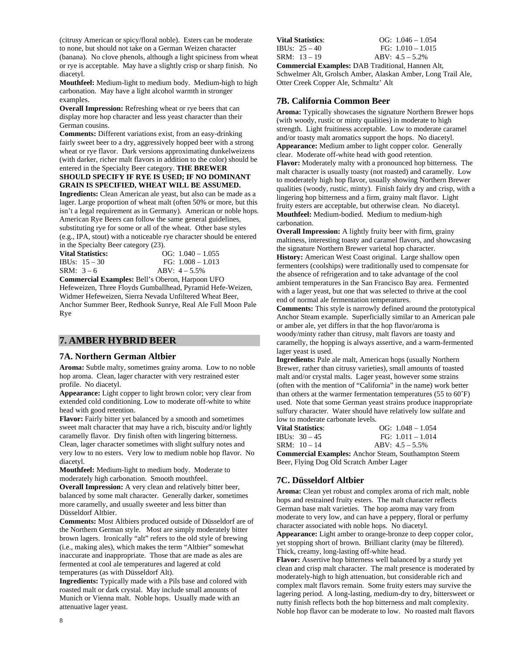<span id="page-10-0"></span>(citrusy American or spicy/floral noble). Esters can be moderate to none, but should not take on a German Weizen character (banana). No clove phenols, although a light spiciness from wheat or rye is acceptable. May have a slightly crisp or sharp finish. No diacetyl.

**Mouthfeel:** Medium-light to medium body. Medium-high to high carbonation. May have a light alcohol warmth in stronger examples.

**Overall Impression:** Refreshing wheat or rye beers that can display more hop character and less yeast character than their German cousins.

**Comments:** Different variations exist, from an easy-drinking fairly sweet beer to a dry, aggressively hopped beer with a strong wheat or rye flavor. Dark versions approximating dunkelweizens (with darker, richer malt flavors in addition to the color) should be entered in the Specialty Beer category. **THE BREWER** 

#### **SHOULD SPECIFY IF RYE IS USED; IF NO DOMINANT GRAIN IS SPECIFIED, WHEAT WILL BE ASSUMED.**

**Ingredients:** Clean American ale yeast, but also can be made as a lager. Large proportion of wheat malt (often 50% or more, but this isn't a legal requirement as in Germany). American or noble hops. American Rye Beers can follow the same general guidelines, substituting rye for some or all of the wheat. Other base styles (e.g., IPA, stout) with a noticeable rye character should be entered in the Specialty Beer category (23).

| <b>Vital Statistics:</b> | $OG: 1.040 - 1.055$ |
|--------------------------|---------------------|
| <b>IBUs:</b> $15 - 30$   | $FG: 1.008 - 1.013$ |
| $SRM: 3-6$               | $ABV: 4-5.5%$       |
|                          |                     |

**Commercial Examples:** Bell's Oberon, Harpoon UFO Hefeweizen, Three Floyds Gumballhead, Pyramid Hefe-Weizen, Widmer Hefeweizen, Sierra Nevada Unfiltered Wheat Beer, Anchor Summer Beer, Redhook Sunrye, Real Ale Full Moon Pale Rye

#### **7. AMBER HYBRID BEER**

#### **7A. Northern German Altbier**

**Aroma:** Subtle malty, sometimes grainy aroma. Low to no noble hop aroma. Clean, lager character with very restrained ester profile. No diacetyl.

**Appearance:** Light copper to light brown color; very clear from extended cold conditioning. Low to moderate off-white to white head with good retention.

Flavor: Fairly bitter yet balanced by a smooth and sometimes sweet malt character that may have a rich, biscuity and/or lightly caramelly flavor. Dry finish often with lingering bitterness. Clean, lager character sometimes with slight sulfury notes and very low to no esters. Very low to medium noble hop flavor. No diacetyl.

**Mouthfeel:** Medium-light to medium body. Moderate to moderately high carbonation. Smooth mouthfeel.

**Overall Impression:** A very clean and relatively bitter beer, balanced by some malt character. Generally darker, sometimes more caramelly, and usually sweeter and less bitter than Düsseldorf Altbier.

**Comments:** Most Altbiers produced outside of Düsseldorf are of the Northern German style. Most are simply moderately bitter brown lagers. Ironically "alt" refers to the old style of brewing (i.e., making ales), which makes the term "Altbier" somewhat inaccurate and inappropriate. Those that are made as ales are fermented at cool ale temperatures and lagered at cold temperatures (as with Düsseldorf Alt).

**Ingredients:** Typically made with a Pils base and colored with roasted malt or dark crystal. May include small amounts of Munich or Vienna malt. Noble hops. Usually made with an attenuative lager yeast.

| Vital Statistics:                         | $OG: 1.046 - 1.054$ |
|-------------------------------------------|---------------------|
| IBUs: $25-40$                             | $FG: 1.010 - 1.015$ |
| SRM: 13 – 19                              | $ABV: 4.5 - 5.2\%$  |
| $\sim$ $\sim$ $\sim$ $\sim$ $\sim$ $\sim$ |                     |

**Commercial Examples:** DAB Traditional, Hannen Alt, Schwelmer Alt, Grolsch Amber, Alaskan Amber, Long Trail Ale, Otter Creek Copper Ale, Schmaltz' Alt

#### **7B. California Common Beer**

**Aroma:** Typically showcases the signature Northern Brewer hops (with woody, rustic or minty qualities) in moderate to high strength. Light fruitiness acceptable. Low to moderate caramel and/or toasty malt aromatics support the hops. No diacetyl. **Appearance:** Medium amber to light copper color. Generally clear. Moderate off-white head with good retention. **Flavor:** Moderately malty with a pronounced hop bitterness. The malt character is usually toasty (not roasted) and caramelly. Low to moderately high hop flavor, usually showing Northern Brewer qualities (woody, rustic, minty). Finish fairly dry and crisp, with a lingering hop bitterness and a firm, grainy malt flavor. Light fruity esters are acceptable, but otherwise clean. No diacetyl. **Mouthfeel:** Medium-bodied. Medium to medium-high carbonation.

**Overall Impression:** A lightly fruity beer with firm, grainy maltiness, interesting toasty and caramel flavors, and showcasing the signature Northern Brewer varietal hop character.

**History:** American West Coast original. Large shallow open fermenters (coolships) were traditionally used to compensate for the absence of refrigeration and to take advantage of the cool ambient temperatures in the San Francisco Bay area. Fermented with a lager yeast, but one that was selected to thrive at the cool end of normal ale fermentation temperatures.

**Comments:** This style is narrowly defined around the prototypical Anchor Steam example. Superficially similar to an American pale or amber ale, yet differs in that the hop flavor/aroma is woody/minty rather than citrusy, malt flavors are toasty and caramelly, the hopping is always assertive, and a warm-fermented lager yeast is used.

**Ingredients:** Pale ale malt, American hops (usually Northern Brewer, rather than citrusy varieties), small amounts of toasted malt and/or crystal malts. Lager yeast, however some strains (often with the mention of "California" in the name) work better than others at the warmer fermentation temperatures (55 to 60˚F) used. Note that some German yeast strains produce inappropriate sulfury character. Water should have relatively low sulfate and low to moderate carbonate levels.

| Vital Statistics: | $OG: 1.048 - 1.054$                                |
|-------------------|----------------------------------------------------|
| IBUs: 30 – 45     | $FG: 1.011 - 1.014$                                |
| SRM: 10 – 14      | $ABV: 4.5 - 5.5\%$                                 |
|                   | Commercial Event Lee: Anchor Steam, Southermaton S |

**Commercial Examples:** Anchor Steam, Southampton Steem Beer, Flying Dog Old Scratch Amber Lager

#### **7C. Düsseldorf Altbier**

**Aroma:** Clean yet robust and complex aroma of rich malt, noble hops and restrained fruity esters. The malt character reflects German base malt varieties. The hop aroma may vary from moderate to very low, and can have a peppery, floral or perfumy character associated with noble hops. No diacetyl.

**Appearance:** Light amber to orange-bronze to deep copper color, yet stopping short of brown. Brilliant clarity (may be filtered). Thick, creamy, long-lasting off-white head.

**Flavor:** Assertive hop bitterness well balanced by a sturdy yet clean and crisp malt character. The malt presence is moderated by moderately-high to high attenuation, but considerable rich and complex malt flavors remain. Some fruity esters may survive the lagering period. A long-lasting, medium-dry to dry, bittersweet or nutty finish reflects both the hop bitterness and malt complexity. Noble hop flavor can be moderate to low. No roasted malt flavors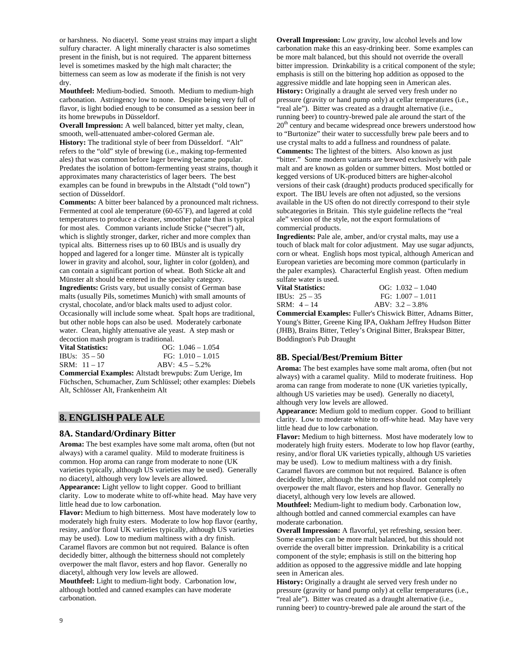<span id="page-11-0"></span>or harshness. No diacetyl. Some yeast strains may impart a slight sulfury character. A light minerally character is also sometimes present in the finish, but is not required. The apparent bitterness level is sometimes masked by the high malt character; the bitterness can seem as low as moderate if the finish is not very dry.

**Mouthfeel:** Medium-bodied. Smooth. Medium to medium-high carbonation. Astringency low to none. Despite being very full of flavor, is light bodied enough to be consumed as a session beer in its home brewpubs in Düsseldorf.

**Overall Impression:** A well balanced, bitter yet malty, clean, smooth, well-attenuated amber-colored German ale.

**History:** The traditional style of beer from Düsseldorf. "Alt" refers to the "old" style of brewing (i.e., making top-fermented ales) that was common before lager brewing became popular. Predates the isolation of bottom-fermenting yeast strains, though it approximates many characteristics of lager beers. The best examples can be found in brewpubs in the Altstadt ("old town") section of Düsseldorf.

**Comments:** A bitter beer balanced by a pronounced malt richness. Fermented at cool ale temperature (60-65˚F), and lagered at cold temperatures to produce a cleaner, smoother palate than is typical for most ales. Common variants include Sticke ("secret") alt, which is slightly stronger, darker, richer and more complex than typical alts. Bitterness rises up to 60 IBUs and is usually dry hopped and lagered for a longer time. Münster alt is typically lower in gravity and alcohol, sour, lighter in color (golden), and can contain a significant portion of wheat. Both Sticke alt and Münster alt should be entered in the specialty category. **Ingredients:** Grists vary, but usually consist of German base malts (usually Pils, sometimes Munich) with small amounts of crystal, chocolate, and/or black malts used to adjust color. Occasionally will include some wheat. Spalt hops are traditional, but other noble hops can also be used. Moderately carbonate

water. Clean, highly attenuative ale yeast. A step mash or decoction mash program is traditional. **Vital Statistics:** OG: 1.046 – 1.054 IBUs: 35 – 50 FG: 1.010 – 1.015 SRM:  $11 - 17$  ABV:  $4.5 - 5.2\%$ 

**Commercial Examples:** Altstadt brewpubs: Zum Uerige, Im Füchschen, Schumacher, Zum Schlüssel; other examples: Diebels Alt, Schlösser Alt, Frankenheim Alt

#### **8. ENGLISH PALE ALE**

#### **8A. Standard/Ordinary Bitter**

**Aroma:** The best examples have some malt aroma, often (but not always) with a caramel quality. Mild to moderate fruitiness is common. Hop aroma can range from moderate to none (UK varieties typically, although US varieties may be used). Generally no diacetyl, although very low levels are allowed.

**Appearance:** Light yellow to light copper. Good to brilliant clarity. Low to moderate white to off-white head. May have very little head due to low carbonation.

**Flavor:** Medium to high bitterness. Most have moderately low to moderately high fruity esters. Moderate to low hop flavor (earthy, resiny, and/or floral UK varieties typically, although US varieties may be used). Low to medium maltiness with a dry finish. Caramel flavors are common but not required. Balance is often decidedly bitter, although the bitterness should not completely overpower the malt flavor, esters and hop flavor. Generally no diacetyl, although very low levels are allowed.

**Mouthfeel:** Light to medium-light body. Carbonation low, although bottled and canned examples can have moderate carbonation.

**Overall Impression:** Low gravity, low alcohol levels and low carbonation make this an easy-drinking beer. Some examples can be more malt balanced, but this should not override the overall bitter impression. Drinkability is a critical component of the style; emphasis is still on the bittering hop addition as opposed to the aggressive middle and late hopping seen in American ales. **History:** Originally a draught ale served very fresh under no pressure (gravity or hand pump only) at cellar temperatures (i.e., "real ale"). Bitter was created as a draught alternative (i.e., running beer) to country-brewed pale ale around the start of the 20<sup>th</sup> century and became widespread once brewers understood how to "Burtonize" their water to successfully brew pale beers and to use crystal malts to add a fullness and roundness of palate. **Comments:** The lightest of the bitters. Also known as just "bitter." Some modern variants are brewed exclusively with pale malt and are known as golden or summer bitters. Most bottled or kegged versions of UK-produced bitters are higher-alcohol versions of their cask (draught) products produced specifically for export. The IBU levels are often not adjusted, so the versions available in the US often do not directly correspond to their style subcategories in Britain. This style guideline reflects the "real ale" version of the style, not the export formulations of commercial products.

**Ingredients:** Pale ale, amber, and/or crystal malts, may use a touch of black malt for color adjustment. May use sugar adjuncts, corn or wheat. English hops most typical, although American and European varieties are becoming more common (particularly in the paler examples). Characterful English yeast. Often medium sulfate water is used.

| Vital Statistics: | $OG: 1.032 - 1.040$ |
|-------------------|---------------------|
| IBUs: 25 – 35     | $FG: 1.007 - 1.011$ |
| SRM: 4 – 14       | $ABV: 3.2 - 3.8\%$  |
|                   |                     |

**Commercial Examples:** Fuller's Chiswick Bitter, Adnams Bitter, Young's Bitter, Greene King IPA, Oakham Jeffrey Hudson Bitter (JHB), Brains Bitter, Tetley's Original Bitter, Brakspear Bitter, Boddington's Pub Draught

#### **8B. Special/Best/Premium Bitter**

**Aroma:** The best examples have some malt aroma, often (but not always) with a caramel quality. Mild to moderate fruitiness. Hop aroma can range from moderate to none (UK varieties typically, although US varieties may be used). Generally no diacetyl, although very low levels are allowed.

**Appearance:** Medium gold to medium copper. Good to brilliant clarity. Low to moderate white to off-white head. May have very little head due to low carbonation.

**Flavor:** Medium to high bitterness. Most have moderately low to moderately high fruity esters. Moderate to low hop flavor (earthy, resiny, and/or floral UK varieties typically, although US varieties may be used). Low to medium maltiness with a dry finish. Caramel flavors are common but not required. Balance is often decidedly bitter, although the bitterness should not completely overpower the malt flavor, esters and hop flavor. Generally no diacetyl, although very low levels are allowed.

**Mouthfeel:** Medium-light to medium body. Carbonation low, although bottled and canned commercial examples can have moderate carbonation.

**Overall Impression:** A flavorful, yet refreshing, session beer. Some examples can be more malt balanced, but this should not override the overall bitter impression. Drinkability is a critical component of the style; emphasis is still on the bittering hop addition as opposed to the aggressive middle and late hopping seen in American ales.

**History:** Originally a draught ale served very fresh under no pressure (gravity or hand pump only) at cellar temperatures (i.e., "real ale"). Bitter was created as a draught alternative (i.e., running beer) to country-brewed pale ale around the start of the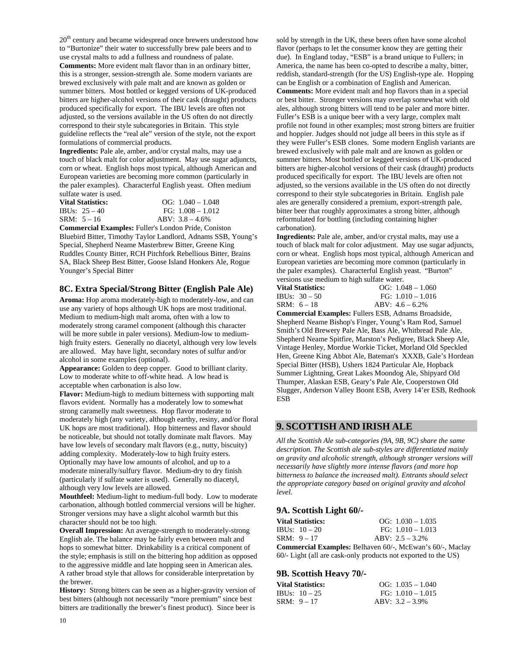<span id="page-12-0"></span>20<sup>th</sup> century and became widespread once brewers understood how to "Burtonize" their water to successfully brew pale beers and to use crystal malts to add a fullness and roundness of palate. **Comments:** More evident malt flavor than in an ordinary bitter, this is a stronger, session-strength ale. Some modern variants are brewed exclusively with pale malt and are known as golden or summer bitters. Most bottled or kegged versions of UK-produced bitters are higher-alcohol versions of their cask (draught) products produced specifically for export. The IBU levels are often not adjusted, so the versions available in the US often do not directly correspond to their style subcategories in Britain. This style guideline reflects the "real ale" version of the style, not the export formulations of commercial products.

**Ingredients:** Pale ale, amber, and/or crystal malts, may use a touch of black malt for color adjustment. May use sugar adjuncts, corn or wheat. English hops most typical, although American and European varieties are becoming more common (particularly in the paler examples). Characterful English yeast. Often medium sulfate water is used.

| <b>Vital Statistics:</b> | $OG: 1.040 - 1.048$ |
|--------------------------|---------------------|
| <b>IBUs:</b> $25 - 40$   | FG: $1.008 - 1.012$ |
| $SRM: 5-16$              | $ABV: 3.8 - 4.6\%$  |

**Commercial Examples:** Fuller's London Pride, Coniston Bluebird Bitter, Timothy Taylor Landlord, Adnams SSB, Young's Special, Shepherd Neame Masterbrew Bitter, Greene King Ruddles County Bitter, RCH Pitchfork Rebellious Bitter, Brains SA, Black Sheep Best Bitter, Goose Island Honkers Ale, Rogue Younger's Special Bitter

#### **8C. Extra Special/Strong Bitter (English Pale Ale)**

**Aroma:** Hop aroma moderately-high to moderately-low, and can use any variety of hops although UK hops are most traditional. Medium to medium-high malt aroma, often with a low to moderately strong caramel component (although this character will be more subtle in paler versions). Medium-low to mediumhigh fruity esters. Generally no diacetyl, although very low levels are allowed. May have light, secondary notes of sulfur and/or alcohol in some examples (optional).

**Appearance:** Golden to deep copper. Good to brilliant clarity. Low to moderate white to off-white head. A low head is acceptable when carbonation is also low.

**Flavor:** Medium-high to medium bitterness with supporting malt flavors evident. Normally has a moderately low to somewhat strong caramelly malt sweetness. Hop flavor moderate to moderately high (any variety, although earthy, resiny, and/or floral UK hops are most traditional). Hop bitterness and flavor should be noticeable, but should not totally dominate malt flavors. May have low levels of secondary malt flavors (e.g., nutty, biscuity) adding complexity. Moderately-low to high fruity esters. Optionally may have low amounts of alcohol, and up to a moderate minerally/sulfury flavor. Medium-dry to dry finish (particularly if sulfate water is used). Generally no diacetyl, although very low levels are allowed.

**Mouthfeel:** Medium-light to medium-full body. Low to moderate carbonation, although bottled commercial versions will be higher. Stronger versions may have a slight alcohol warmth but this character should not be too high.

**Overall Impression:** An average-strength to moderately-strong English ale. The balance may be fairly even between malt and hops to somewhat bitter. Drinkability is a critical component of the style; emphasis is still on the bittering hop addition as opposed to the aggressive middle and late hopping seen in American ales. A rather broad style that allows for considerable interpretation by the brewer.

**History:** Strong bitters can be seen as a higher-gravity version of best bitters (although not necessarily "more premium" since best bitters are traditionally the brewer's finest product). Since beer is

sold by strength in the UK, these beers often have some alcohol flavor (perhaps to let the consumer know they are getting their due). In England today, "ESB" is a brand unique to Fullers; in America, the name has been co-opted to describe a malty, bitter, reddish, standard-strength (for the US) English-type ale. Hopping can be English or a combination of English and American. **Comments:** More evident malt and hop flavors than in a special or best bitter. Stronger versions may overlap somewhat with old ales, although strong bitters will tend to be paler and more bitter. Fuller's ESB is a unique beer with a very large, complex malt profile not found in other examples; most strong bitters are fruitier and hoppier. Judges should not judge all beers in this style as if they were Fuller's ESB clones. Some modern English variants are brewed exclusively with pale malt and are known as golden or summer bitters. Most bottled or kegged versions of UK-produced bitters are higher-alcohol versions of their cask (draught) products produced specifically for export. The IBU levels are often not adjusted, so the versions available in the US often do not directly correspond to their style subcategories in Britain. English pale ales are generally considered a premium, export-strength pale, bitter beer that roughly approximates a strong bitter, although reformulated for bottling (including containing higher carbonation).

**Ingredients:** Pale ale, amber, and/or crystal malts, may use a touch of black malt for color adjustment. May use sugar adjuncts, corn or wheat. English hops most typical, although American and European varieties are becoming more common (particularly in the paler examples). Characterful English yeast. "Burton" versions use medium to high sulfate water.

| Vital Statistics: | $OG: 1.048 - 1.060$ |
|-------------------|---------------------|
| IBUs: 30 – 50     | $FG: 1.010 - 1.016$ |
| SRM: 6–18         | $ABV: 4.6 - 6.2%$   |

**Commercial Examples:** Fullers ESB, Adnams Broadside, Shepherd Neame Bishop's Finger, Young's Ram Rod, Samuel Smith's Old Brewery Pale Ale, Bass Ale, Whitbread Pale Ale, Shepherd Neame Spitfire, Marston's Pedigree, Black Sheep Ale, Vintage Henley, Mordue Workie Ticket, Morland Old Speckled Hen, Greene King Abbot Ale, Bateman's XXXB, Gale's Hordean Special Bitter (HSB), Ushers 1824 Particular Ale, Hopback Summer Lightning, Great Lakes Moondog Ale, Shipyard Old Thumper, Alaskan ESB, Geary's Pale Ale, Cooperstown Old Slugger, Anderson Valley Boont ESB, Avery 14'er ESB, Redhook ESB

#### **9. SCOTTISH AND IRISH ALE**

*All the Scottish Ale sub-categories (9A, 9B, 9C) share the same description. The Scottish ale sub-styles are differentiated mainly on gravity and alcoholic strength, although stronger versions will necessarily have slightly more intense flavors (and more hop bitterness to balance the increased malt). Entrants should select the appropriate category based on original gravity and alcohol level.* 

#### **9A. Scottish Light 60/-**

| <b>Vital Statistics:</b>                                         | OG: $1.030 - 1.035$ |  |
|------------------------------------------------------------------|---------------------|--|
| IBUs: $10-20$                                                    | FG: $1.010 - 1.013$ |  |
| $SRM: 9 - 17$                                                    | $ABV: 2.5 - 3.2%$   |  |
| <b>Commercial Examples:</b> Belhaven 60/-, McEwan's 60/-, Maclay |                     |  |
| 60/- Light (all are cask-only products not exported to the US)   |                     |  |

#### **9B. Scottish Heavy 70/-**

| <b>Vital Statistics:</b> | $OG: 1.035 - 1.040$ |
|--------------------------|---------------------|
| <b>IBUs:</b> $10-25$     | FG: $1.010 - 1.015$ |
| $SRM: 9-17$              | $ABV: 3.2 - 3.9%$   |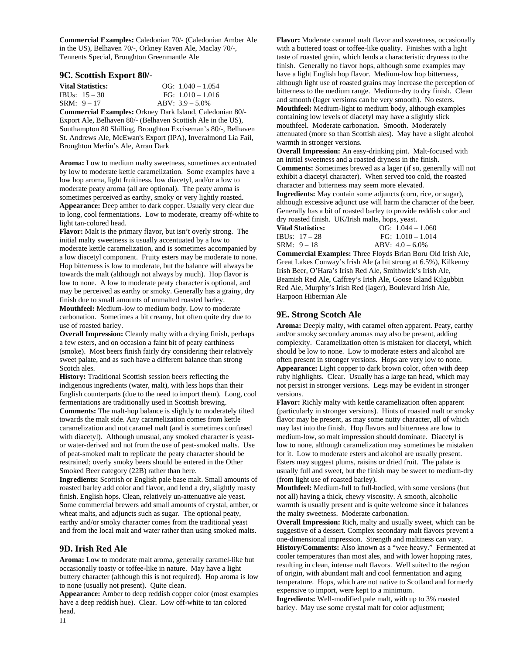<span id="page-13-0"></span>**Commercial Examples:** Caledonian 70/- (Caledonian Amber Ale in the US), Belhaven 70/-, Orkney Raven Ale, Maclay 70/-, Tennents Special, Broughton Greenmantle Ale

#### **9C. Scottish Export 80/-**

|                        | Vital Statistics: |  | $OG: 1.040 - 1.054$ |
|------------------------|-------------------|--|---------------------|
| <b>IBUs:</b> $15 - 30$ |                   |  | $FG: 1.010 - 1.016$ |
| $SRM: 9-17$            |                   |  | $ABV: 3.9 - 5.0\%$  |
|                        |                   |  |                     |

**Commercial Examples:** Orkney Dark Island, Caledonian 80/- Export Ale, Belhaven 80/- (Belhaven Scottish Ale in the US), Southampton 80 Shilling, Broughton Exciseman's 80/-, Belhaven St. Andrews Ale, McEwan's Export (IPA), Inveralmond Lia Fail, Broughton Merlin's Ale, Arran Dark

**Aroma:** Low to medium malty sweetness, sometimes accentuated by low to moderate kettle caramelization. Some examples have a low hop aroma, light fruitiness, low diacetyl, and/or a low to moderate peaty aroma (all are optional). The peaty aroma is sometimes perceived as earthy, smoky or very lightly roasted. **Appearance:** Deep amber to dark copper. Usually very clear due to long, cool fermentations. Low to moderate, creamy off-white to light tan-colored head.

**Flavor:** Malt is the primary flavor, but isn't overly strong. The initial malty sweetness is usually accentuated by a low to moderate kettle caramelization, and is sometimes accompanied by a low diacetyl component. Fruity esters may be moderate to none. Hop bitterness is low to moderate, but the balance will always be towards the malt (although not always by much). Hop flavor is low to none. A low to moderate peaty character is optional, and may be perceived as earthy or smoky. Generally has a grainy, dry finish due to small amounts of unmalted roasted barley.

**Mouthfeel:** Medium-low to medium body. Low to moderate carbonation. Sometimes a bit creamy, but often quite dry due to use of roasted barley.

**Overall Impression:** Cleanly malty with a drying finish, perhaps a few esters, and on occasion a faint bit of peaty earthiness (smoke). Most beers finish fairly dry considering their relatively sweet palate, and as such have a different balance than strong Scotch ales.

**History:** Traditional Scottish session beers reflecting the indigenous ingredients (water, malt), with less hops than their English counterparts (due to the need to import them). Long, cool fermentations are traditionally used in Scottish brewing.

**Comments:** The malt-hop balance is slightly to moderately tilted towards the malt side. Any caramelization comes from kettle caramelization and not caramel malt (and is sometimes confused with diacetyl). Although unusual, any smoked character is yeastor water-derived and not from the use of peat-smoked malts. Use of peat-smoked malt to replicate the peaty character should be restrained; overly smoky beers should be entered in the Other Smoked Beer category (22B) rather than here.

**Ingredients:** Scottish or English pale base malt. Small amounts of roasted barley add color and flavor, and lend a dry, slightly roasty finish. English hops. Clean, relatively un-attenuative ale yeast. Some commercial brewers add small amounts of crystal, amber, or wheat malts, and adjuncts such as sugar. The optional peaty, earthy and/or smoky character comes from the traditional yeast and from the local malt and water rather than using smoked malts.

#### **9D. Irish Red Ale**

**Aroma:** Low to moderate malt aroma, generally caramel-like but occasionally toasty or toffee-like in nature. May have a light buttery character (although this is not required). Hop aroma is low to none (usually not present). Quite clean.

**Appearance:** Amber to deep reddish copper color (most examples have a deep reddish hue). Clear. Low off-white to tan colored head.

**Flavor:** Moderate caramel malt flavor and sweetness, occasionally with a buttered toast or toffee-like quality. Finishes with a light taste of roasted grain, which lends a characteristic dryness to the finish. Generally no flavor hops, although some examples may have a light English hop flavor. Medium-low hop bitterness, although light use of roasted grains may increase the perception of bitterness to the medium range. Medium-dry to dry finish. Clean and smooth (lager versions can be very smooth). No esters. **Mouthfeel:** Medium-light to medium body, although examples containing low levels of diacetyl may have a slightly slick

mouthfeel. Moderate carbonation. Smooth. Moderately attenuated (more so than Scottish ales). May have a slight alcohol warmth in stronger versions.

**Overall Impression:** An easy-drinking pint. Malt-focused with an initial sweetness and a roasted dryness in the finish. **Comments:** Sometimes brewed as a lager (if so, generally will not exhibit a diacetyl character). When served too cold, the roasted character and bitterness may seem more elevated.

**Ingredients:** May contain some adjuncts (corn, rice, or sugar), although excessive adjunct use will harm the character of the beer. Generally has a bit of roasted barley to provide reddish color and dry roasted finish. UK/Irish malts, hops, yeast.

| Vital Statistics: | $OG: 1.044 - 1.060$ |
|-------------------|---------------------|
| IBUs: 17 – 28     | $FG: 1.010 - 1.014$ |
| SRM: 9 – 18       | $ABV: 4.0 - 6.0\%$  |

**Commercial Examples:** Three Floyds Brian Boru Old Irish Ale, Great Lakes Conway's Irish Ale (a bit strong at 6.5%), Kilkenny Irish Beer, O'Hara's Irish Red Ale, Smithwick's Irish Ale, Beamish Red Ale, Caffrey's Irish Ale, Goose Island Kilgubbin Red Ale, Murphy's Irish Red (lager), Boulevard Irish Ale, Harpoon Hibernian Ale

#### **9E. Strong Scotch Ale**

**Aroma:** Deeply malty, with caramel often apparent. Peaty, earthy and/or smoky secondary aromas may also be present, adding complexity. Caramelization often is mistaken for diacetyl, which should be low to none. Low to moderate esters and alcohol are often present in stronger versions. Hops are very low to none. **Appearance:** Light copper to dark brown color, often with deep ruby highlights. Clear. Usually has a large tan head, which may not persist in stronger versions. Legs may be evident in stronger versions.

**Flavor:** Richly malty with kettle caramelization often apparent (particularly in stronger versions). Hints of roasted malt or smoky flavor may be present, as may some nutty character, all of which may last into the finish. Hop flavors and bitterness are low to medium-low, so malt impression should dominate. Diacetyl is low to none, although caramelization may sometimes be mistaken for it. Low to moderate esters and alcohol are usually present. Esters may suggest plums, raisins or dried fruit. The palate is usually full and sweet, but the finish may be sweet to medium-dry (from light use of roasted barley).

**Mouthfeel:** Medium-full to full-bodied, with some versions (but not all) having a thick, chewy viscosity. A smooth, alcoholic warmth is usually present and is quite welcome since it balances the malty sweetness. Moderate carbonation.

**Overall Impression:** Rich, malty and usually sweet, which can be suggestive of a dessert. Complex secondary malt flavors prevent a one-dimensional impression. Strength and maltiness can vary. **History/Comments:** Also known as a "wee heavy." Fermented at cooler temperatures than most ales, and with lower hopping rates, resulting in clean, intense malt flavors. Well suited to the region of origin, with abundant malt and cool fermentation and aging temperature. Hops, which are not native to Scotland and formerly expensive to import, were kept to a minimum.

**Ingredients:** Well-modified pale malt, with up to 3% roasted barley. May use some crystal malt for color adjustment;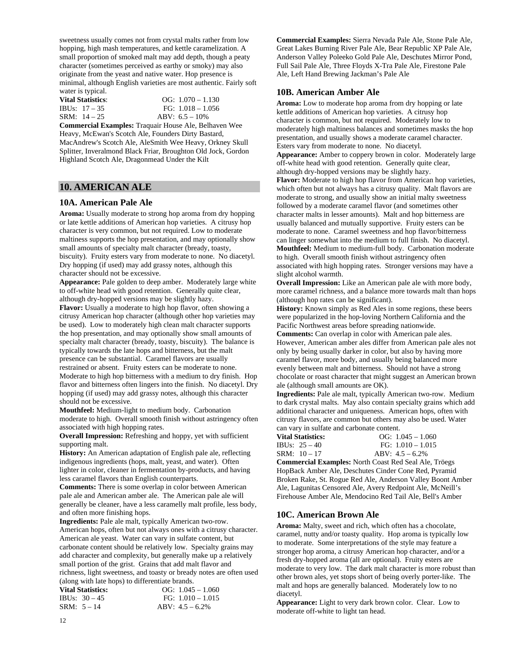<span id="page-14-0"></span>sweetness usually comes not from crystal malts rather from low hopping, high mash temperatures, and kettle caramelization. A small proportion of smoked malt may add depth, though a peaty character (sometimes perceived as earthy or smoky) may also originate from the yeast and native water. Hop presence is minimal, although English varieties are most authentic. Fairly soft water is typical.

| <b>Vital Statistics:</b> | $OG: 1.070 - 1.130$ |
|--------------------------|---------------------|
| <b>IBUs:</b> $17 - 35$   | $FG: 1.018 - 1.056$ |
| $SRM: 14-25$             | $ABV: 6.5 - 10\%$   |
|                          |                     |

**Commercial Examples:** Traquair House Ale, Belhaven Wee Heavy, McEwan's Scotch Ale, Founders Dirty Bastard, MacAndrew's Scotch Ale, AleSmith Wee Heavy, Orkney Skull Splitter, Inveralmond Black Friar, Broughton Old Jock, Gordon Highland Scotch Ale, Dragonmead Under the Kilt

#### **10. AMERICAN ALE**

#### **10A. American Pale Ale**

**Aroma:** Usually moderate to strong hop aroma from dry hopping or late kettle additions of American hop varieties. A citrusy hop character is very common, but not required. Low to moderate maltiness supports the hop presentation, and may optionally show small amounts of specialty malt character (bready, toasty, biscuity). Fruity esters vary from moderate to none. No diacetyl. Dry hopping (if used) may add grassy notes, although this character should not be excessive.

Appearance: Pale golden to deep amber. Moderately large white to off-white head with good retention. Generally quite clear, although dry-hopped versions may be slightly hazy.

**Flavor:** Usually a moderate to high hop flavor, often showing a citrusy American hop character (although other hop varieties may be used). Low to moderately high clean malt character supports the hop presentation, and may optionally show small amounts of specialty malt character (bready, toasty, biscuity). The balance is typically towards the late hops and bitterness, but the malt presence can be substantial. Caramel flavors are usually restrained or absent. Fruity esters can be moderate to none. Moderate to high hop bitterness with a medium to dry finish. Hop flavor and bitterness often lingers into the finish. No diacetyl. Dry hopping (if used) may add grassy notes, although this character should not be excessive.

**Mouthfeel:** Medium-light to medium body. Carbonation moderate to high. Overall smooth finish without astringency often associated with high hopping rates.

**Overall Impression:** Refreshing and hoppy, yet with sufficient supporting malt.

**History:** An American adaptation of English pale ale, reflecting indigenous ingredients (hops, malt, yeast, and water). Often lighter in color, cleaner in fermentation by-products, and having less caramel flavors than English counterparts.

**Comments:** There is some overlap in color between American pale ale and American amber ale. The American pale ale will generally be cleaner, have a less caramelly malt profile, less body, and often more finishing hops.

**Ingredients:** Pale ale malt, typically American two-row. American hops, often but not always ones with a citrusy character. American ale yeast. Water can vary in sulfate content, but carbonate content should be relatively low. Specialty grains may add character and complexity, but generally make up a relatively small portion of the grist. Grains that add malt flavor and richness, light sweetness, and toasty or bready notes are often used (along with late hops) to differentiate brands.

| <b>Vital Statistics:</b> | $OG: 1.045 - 1.060$ |
|--------------------------|---------------------|
| <b>IBUs:</b> $30 - 45$   | $FG: 1.010 - 1.015$ |
| SRM: $5 - 14$            | $ABV: 4.5 - 6.2\%$  |

**Commercial Examples:** Sierra Nevada Pale Ale, Stone Pale Ale, Great Lakes Burning River Pale Ale, Bear Republic XP Pale Ale, Anderson Valley Poleeko Gold Pale Ale, Deschutes Mirror Pond, Full Sail Pale Ale, Three Floyds X-Tra Pale Ale, Firestone Pale Ale, Left Hand Brewing Jackman's Pale Ale

#### **10B. American Amber Ale**

**Aroma:** Low to moderate hop aroma from dry hopping or late kettle additions of American hop varieties. A citrusy hop character is common, but not required. Moderately low to moderately high maltiness balances and sometimes masks the hop presentation, and usually shows a moderate caramel character. Esters vary from moderate to none. No diacetyl.

**Appearance:** Amber to coppery brown in color. Moderately large off-white head with good retention. Generally quite clear, although dry-hopped versions may be slightly hazy.

**Flavor:** Moderate to high hop flavor from American hop varieties, which often but not always has a citrusy quality. Malt flavors are moderate to strong, and usually show an initial malty sweetness followed by a moderate caramel flavor (and sometimes other character malts in lesser amounts). Malt and hop bitterness are usually balanced and mutually supportive. Fruity esters can be moderate to none. Caramel sweetness and hop flavor/bitterness can linger somewhat into the medium to full finish. No diacetyl. **Mouthfeel:** Medium to medium-full body. Carbonation moderate to high. Overall smooth finish without astringency often associated with high hopping rates. Stronger versions may have a slight alcohol warmth.

**Overall Impression:** Like an American pale ale with more body, more caramel richness, and a balance more towards malt than hops (although hop rates can be significant).

**History:** Known simply as Red Ales in some regions, these beers were popularized in the hop-loving Northern California and the Pacific Northwest areas before spreading nationwide.

**Comments:** Can overlap in color with American pale ales. However, American amber ales differ from American pale ales not only by being usually darker in color, but also by having more caramel flavor, more body, and usually being balanced more evenly between malt and bitterness. Should not have a strong chocolate or roast character that might suggest an American brown ale (although small amounts are OK).

**Ingredients:** Pale ale malt, typically American two-row. Medium to dark crystal malts. May also contain specialty grains which add additional character and uniqueness. American hops, often with citrusy flavors, are common but others may also be used. Water can vary in sulfate and carbonate content.

| Vital Statistics: | $OG: 1.045 - 1.060$ |
|-------------------|---------------------|
| IBUs: 25 – 40     | FG: $1.010 - 1.015$ |
| SRM: 10 – 17      | $ABV: 4.5 - 6.2\%$  |

**Commercial Examples:** North Coast Red Seal Ale, Tröegs HopBack Amber Ale, Deschutes Cinder Cone Red, Pyramid Broken Rake, St. Rogue Red Ale, Anderson Valley Boont Amber Ale, Lagunitas Censored Ale, Avery Redpoint Ale, McNeill's Firehouse Amber Ale, Mendocino Red Tail Ale, Bell's Amber

#### **10C. American Brown Ale**

**Aroma:** Malty, sweet and rich, which often has a chocolate, caramel, nutty and/or toasty quality. Hop aroma is typically low to moderate. Some interpretations of the style may feature a stronger hop aroma, a citrusy American hop character, and/or a fresh dry-hopped aroma (all are optional). Fruity esters are moderate to very low. The dark malt character is more robust than other brown ales, yet stops short of being overly porter-like. The malt and hops are generally balanced. Moderately low to no diacetyl.

**Appearance:** Light to very dark brown color. Clear. Low to moderate off-white to light tan head.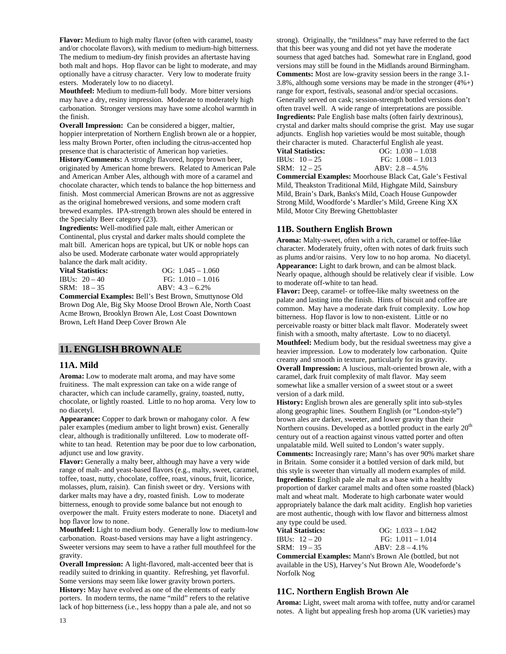<span id="page-15-0"></span>**Flavor:** Medium to high malty flavor (often with caramel, toasty and/or chocolate flavors), with medium to medium-high bitterness. The medium to medium-dry finish provides an aftertaste having both malt and hops. Hop flavor can be light to moderate, and may optionally have a citrusy character. Very low to moderate fruity esters. Moderately low to no diacetyl.

**Mouthfeel:** Medium to medium-full body. More bitter versions may have a dry, resiny impression. Moderate to moderately high carbonation. Stronger versions may have some alcohol warmth in the finish.

**Overall Impression:** Can be considered a bigger, maltier, hoppier interpretation of Northern English brown ale or a hoppier, less malty Brown Porter, often including the citrus-accented hop presence that is characteristic of American hop varieties. **History/Comments:** A strongly flavored, hoppy brown beer, originated by American home brewers. Related to American Pale and American Amber Ales, although with more of a caramel and chocolate character, which tends to balance the hop bitterness and finish. Most commercial American Browns are not as aggressive as the original homebrewed versions, and some modern craft brewed examples. IPA-strength brown ales should be entered in the Specialty Beer category (23).

**Ingredients:** Well-modified pale malt, either American or Continental, plus crystal and darker malts should complete the malt bill. American hops are typical, but UK or noble hops can also be used. Moderate carbonate water would appropriately balance the dark malt acidity.

| <b>Vital Statistics:</b> | $OG: 1.045 - 1.060$ |
|--------------------------|---------------------|
| IBUs: $20-40$            | $FG: 1.010 - 1.016$ |
| SRM: $18-35$             | $ABV: 4.3 - 6.2\%$  |

**Commercial Examples:** Bell's Best Brown, Smuttynose Old Brown Dog Ale, Big Sky Moose Drool Brown Ale, North Coast Acme Brown, Brooklyn Brown Ale, Lost Coast Downtown Brown, Left Hand Deep Cover Brown Ale

#### **11. ENGLISH BROWN ALE**

#### **11A. Mild**

**Aroma:** Low to moderate malt aroma, and may have some fruitiness. The malt expression can take on a wide range of character, which can include caramelly, grainy, toasted, nutty, chocolate, or lightly roasted. Little to no hop aroma. Very low to no diacetyl.

**Appearance:** Copper to dark brown or mahogany color. A few paler examples (medium amber to light brown) exist. Generally clear, although is traditionally unfiltered. Low to moderate offwhite to tan head. Retention may be poor due to low carbonation, adjunct use and low gravity.

**Flavor:** Generally a malty beer, although may have a very wide range of malt- and yeast-based flavors (e.g., malty, sweet, caramel, toffee, toast, nutty, chocolate, coffee, roast, vinous, fruit, licorice, molasses, plum, raisin). Can finish sweet or dry. Versions with darker malts may have a dry, roasted finish. Low to moderate bitterness, enough to provide some balance but not enough to overpower the malt. Fruity esters moderate to none. Diacetyl and hop flavor low to none.

**Mouthfeel:** Light to medium body. Generally low to medium-low carbonation. Roast-based versions may have a light astringency. Sweeter versions may seem to have a rather full mouthfeel for the gravity.

**Overall Impression:** A light-flavored, malt-accented beer that is readily suited to drinking in quantity. Refreshing, yet flavorful. Some versions may seem like lower gravity brown porters. **History:** May have evolved as one of the elements of early porters. In modern terms, the name "mild" refers to the relative lack of hop bitterness (i.e., less hoppy than a pale ale, and not so

strong). Originally, the "mildness" may have referred to the fact that this beer was young and did not yet have the moderate sourness that aged batches had. Somewhat rare in England, good versions may still be found in the Midlands around Birmingham. **Comments:** Most are low-gravity session beers in the range 3.1- 3.8%, although some versions may be made in the stronger  $(4\%+)$ range for export, festivals, seasonal and/or special occasions. Generally served on cask; session-strength bottled versions don't often travel well. A wide range of interpretations are possible. **Ingredients:** Pale English base malts (often fairly dextrinous), crystal and darker malts should comprise the grist. May use sugar adjuncts. English hop varieties would be most suitable, though their character is muted. Characterful English ale yeast.

| Vital Statistics: | $OG: 1.030 - 1.038$                                                     |
|-------------------|-------------------------------------------------------------------------|
| IBUs: 10 – 25     | FG: $1.008 - 1.013$                                                     |
| SRM: 12 – 25      | $ABV: 2.8 - 4.5\%$                                                      |
|                   | $C_1, \ldots, C_n$ in the set of $C_1, \ldots, C_n$ in the set of $C_1$ |

**Commercial Examples:** Moorhouse Black Cat, Gale's Festival Mild, Theakston Traditional Mild, Highgate Mild, Sainsbury Mild, Brain's Dark, Banks's Mild, Coach House Gunpowder Strong Mild, Woodforde's Mardler's Mild, Greene King XX Mild, Motor City Brewing Ghettoblaster

#### **11B. Southern English Brown**

**Aroma:** Malty-sweet, often with a rich, caramel or toffee-like character. Moderately fruity, often with notes of dark fruits such as plums and/or raisins. Very low to no hop aroma. No diacetyl. **Appearance:** Light to dark brown, and can be almost black. Nearly opaque, although should be relatively clear if visible. Low to moderate off-white to tan head.

**Flavor:** Deep, caramel- or toffee-like malty sweetness on the palate and lasting into the finish. Hints of biscuit and coffee are common. May have a moderate dark fruit complexity. Low hop bitterness. Hop flavor is low to non-existent. Little or no perceivable roasty or bitter black malt flavor. Moderately sweet finish with a smooth, malty aftertaste. Low to no diacetyl. **Mouthfeel:** Medium body, but the residual sweetness may give a heavier impression. Low to moderately low carbonation. Quite creamy and smooth in texture, particularly for its gravity. **Overall Impression:** A luscious, malt-oriented brown ale, with a caramel, dark fruit complexity of malt flavor. May seem somewhat like a smaller version of a sweet stout or a sweet version of a dark mild.

**History:** English brown ales are generally split into sub-styles along geographic lines. Southern English (or "London-style") brown ales are darker, sweeter, and lower gravity than their Northern cousins. Developed as a bottled product in the early  $20<sup>th</sup>$ century out of a reaction against vinous vatted porter and often unpalatable mild. Well suited to London's water supply.

**Comments:** Increasingly rare; Mann's has over 90% market share in Britain. Some consider it a bottled version of dark mild, but this style is sweeter than virtually all modern examples of mild. **Ingredients:** English pale ale malt as a base with a healthy proportion of darker caramel malts and often some roasted (black) malt and wheat malt. Moderate to high carbonate water would appropriately balance the dark malt acidity. English hop varieties are most authentic, though with low flavor and bitterness almost any type could be used.

| Vital Statistics:                                              | OG: $1.033 - 1.042$                                                     |  |
|----------------------------------------------------------------|-------------------------------------------------------------------------|--|
| IBUs: $12 - 20$                                                | $FG: 1.011 - 1.014$                                                     |  |
| SRM: 19 – 35                                                   | $ABV: 2.8 - 4.1\%$                                                      |  |
| <b>Commercial Examples:</b> Mann's Brown Ale (bottled, but not |                                                                         |  |
|                                                                | $\mathbf{111}$ and $\mathbf{112}$ and $\mathbf{131}$ and $\mathbf{141}$ |  |

available in the US), Harvey's Nut Brown Ale, Woodeforde's Norfolk Nog

#### **11C. Northern English Brown Ale**

**Aroma:** Light, sweet malt aroma with toffee, nutty and/or caramel notes. A light but appealing fresh hop aroma (UK varieties) may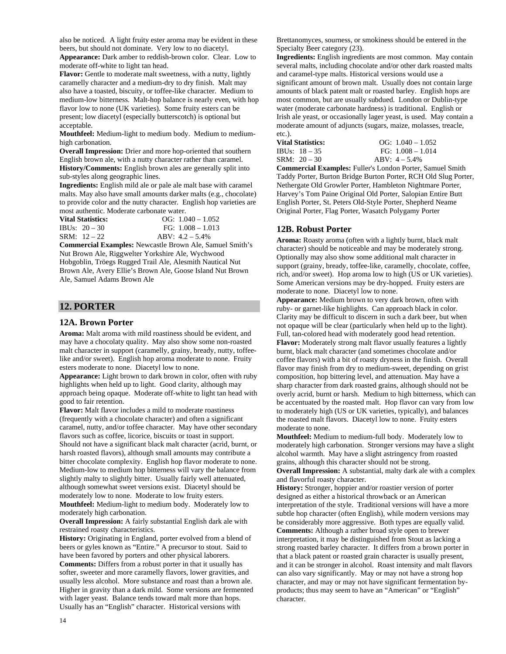<span id="page-16-0"></span>also be noticed. A light fruity ester aroma may be evident in these beers, but should not dominate. Very low to no diacetyl.

**Appearance:** Dark amber to reddish-brown color. Clear. Low to moderate off-white to light tan head.

**Flavor:** Gentle to moderate malt sweetness, with a nutty, lightly caramelly character and a medium-dry to dry finish. Malt may also have a toasted, biscuity, or toffee-like character. Medium to medium-low bitterness. Malt-hop balance is nearly even, with hop flavor low to none (UK varieties). Some fruity esters can be present; low diacetyl (especially butterscotch) is optional but acceptable.

**Mouthfeel:** Medium-light to medium body. Medium to mediumhigh carbonation.

**Overall Impression:** Drier and more hop-oriented that southern English brown ale, with a nutty character rather than caramel. **History/Comments:** English brown ales are generally split into sub-styles along geographic lines.

**Ingredients:** English mild ale or pale ale malt base with caramel malts. May also have small amounts darker malts (e.g., chocolate) to provide color and the nutty character. English hop varieties are most authentic. Moderate carbonate water.

| <b>Vital Statistics:</b> | OG: $1.040 - 1.052$ |
|--------------------------|---------------------|
| <b>IBUs:</b> $20 - 30$   | $FG: 1.008 - 1.013$ |
| $SRM: 12-22$             | $ABV: 4.2 - 5.4\%$  |

**Commercial Examples:** Newcastle Brown Ale, Samuel Smith's Nut Brown Ale, Riggwelter Yorkshire Ale, Wychwood Hobgoblin, Tröegs Rugged Trail Ale, Alesmith Nautical Nut Brown Ale, Avery Ellie's Brown Ale, Goose Island Nut Brown Ale, Samuel Adams Brown Ale

#### **12. PORTER**

#### **12A. Brown Porter**

**Aroma:** Malt aroma with mild roastiness should be evident, and may have a chocolaty quality. May also show some non-roasted malt character in support (caramelly, grainy, bready, nutty, toffeelike and/or sweet). English hop aroma moderate to none. Fruity esters moderate to none. Diacetyl low to none.

**Appearance:** Light brown to dark brown in color, often with ruby highlights when held up to light. Good clarity, although may approach being opaque. Moderate off-white to light tan head with good to fair retention.

**Flavor:** Malt flavor includes a mild to moderate roastiness (frequently with a chocolate character) and often a significant caramel, nutty, and/or toffee character. May have other secondary flavors such as coffee, licorice, biscuits or toast in support. Should not have a significant black malt character (acrid, burnt, or harsh roasted flavors), although small amounts may contribute a bitter chocolate complexity. English hop flavor moderate to none. Medium-low to medium hop bitterness will vary the balance from slightly malty to slightly bitter. Usually fairly well attenuated, although somewhat sweet versions exist. Diacetyl should be moderately low to none. Moderate to low fruity esters. **Mouthfeel:** Medium-light to medium body. Moderately low to moderately high carbonation.

**Overall Impression:** A fairly substantial English dark ale with restrained roasty characteristics.

**History:** Originating in England, porter evolved from a blend of beers or gyles known as "Entire." A precursor to stout. Said to have been favored by porters and other physical laborers. **Comments:** Differs from a robust porter in that it usually has softer, sweeter and more caramelly flavors, lower gravities, and usually less alcohol. More substance and roast than a brown ale. Higher in gravity than a dark mild. Some versions are fermented with lager yeast. Balance tends toward malt more than hops. Usually has an "English" character. Historical versions with

Brettanomyces, sourness, or smokiness should be entered in the Specialty Beer category (23).

**Ingredients:** English ingredients are most common. May contain several malts, including chocolate and/or other dark roasted malts and caramel-type malts. Historical versions would use a significant amount of brown malt. Usually does not contain large amounts of black patent malt or roasted barley. English hops are most common, but are usually subdued. London or Dublin-type water (moderate carbonate hardness) is traditional. English or Irish ale yeast, or occasionally lager yeast, is used. May contain a moderate amount of adjuncts (sugars, maize, molasses, treacle, etc.).

| Vital Statistics:    | $OG: 1.040 - 1.052$                                                                                     |
|----------------------|---------------------------------------------------------------------------------------------------------|
| IBUs: 18 – 35        | FG: $1.008 - 1.014$                                                                                     |
| SRM: 20 – 30         | $ABV: 4-5.4%$                                                                                           |
| $\sim$ $\sim$ $\sim$ | $\mathbf{r}$ $\mathbf{r}$ $\mathbf{r}$ $\mathbf{r}$ $\mathbf{r}$ $\mathbf{r}$ $\mathbf{r}$ $\mathbf{r}$ |

**Commercial Examples:** Fuller's London Porter, Samuel Smith Taddy Porter, Burton Bridge Burton Porter, RCH Old Slug Porter, Nethergate Old Growler Porter, Hambleton Nightmare Porter, Harvey's Tom Paine Original Old Porter, Salopian Entire Butt English Porter, St. Peters Old-Style Porter, Shepherd Neame Original Porter, Flag Porter, Wasatch Polygamy Porter

#### **12B. Robust Porter**

**Aroma:** Roasty aroma (often with a lightly burnt, black malt character) should be noticeable and may be moderately strong. Optionally may also show some additional malt character in support (grainy, bready, toffee-like, caramelly, chocolate, coffee, rich, and/or sweet). Hop aroma low to high (US or UK varieties). Some American versions may be dry-hopped. Fruity esters are moderate to none. Diacetyl low to none.

**Appearance:** Medium brown to very dark brown, often with ruby- or garnet-like highlights. Can approach black in color. Clarity may be difficult to discern in such a dark beer, but when not opaque will be clear (particularly when held up to the light). Full, tan-colored head with moderately good head retention. **Flavor:** Moderately strong malt flavor usually features a lightly burnt, black malt character (and sometimes chocolate and/or coffee flavors) with a bit of roasty dryness in the finish. Overall flavor may finish from dry to medium-sweet, depending on grist composition, hop bittering level, and attenuation. May have a sharp character from dark roasted grains, although should not be overly acrid, burnt or harsh. Medium to high bitterness, which can be accentuated by the roasted malt. Hop flavor can vary from low to moderately high (US or UK varieties, typically), and balances the roasted malt flavors. Diacetyl low to none. Fruity esters moderate to none.

**Mouthfeel:** Medium to medium-full body. Moderately low to moderately high carbonation. Stronger versions may have a slight alcohol warmth. May have a slight astringency from roasted grains, although this character should not be strong.

**Overall Impression:** A substantial, malty dark ale with a complex and flavorful roasty character.

**History:** Stronger, hoppier and/or roastier version of porter designed as either a historical throwback or an American interpretation of the style. Traditional versions will have a more subtle hop character (often English), while modern versions may be considerably more aggressive. Both types are equally valid. **Comments:** Although a rather broad style open to brewer interpretation, it may be distinguished from Stout as lacking a strong roasted barley character. It differs from a brown porter in that a black patent or roasted grain character is usually present, and it can be stronger in alcohol. Roast intensity and malt flavors can also vary significantly. May or may not have a strong hop character, and may or may not have significant fermentation byproducts; thus may seem to have an "American" or "English" character.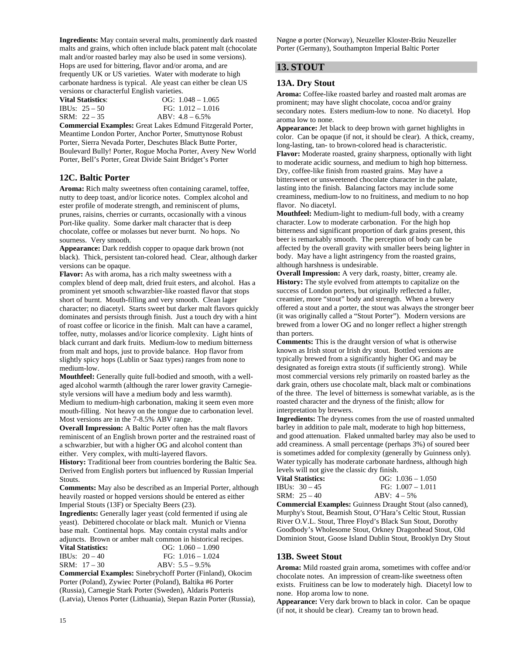<span id="page-17-0"></span>**Ingredients:** May contain several malts, prominently dark roasted malts and grains, which often include black patent malt (chocolate malt and/or roasted barley may also be used in some versions). Hops are used for bittering, flavor and/or aroma, and are frequently UK or US varieties. Water with moderate to high carbonate hardness is typical. Ale yeast can either be clean US versions or characterful English varieties.

| <b>Vital Statistics:</b> |  | OG: $1.048 - 1.065$ |  |
|--------------------------|--|---------------------|--|
| IBUs: $25 - 50$          |  | FG: $1.012 - 1.016$ |  |
| SRM: 22 – 35             |  | $ABV: 4.8 - 6.5\%$  |  |
|                          |  |                     |  |

**Commercial Examples:** Great Lakes Edmund Fitzgerald Porter, Meantime London Porter, Anchor Porter, Smuttynose Robust Porter, Sierra Nevada Porter, Deschutes Black Butte Porter, Boulevard Bully! Porter, Rogue Mocha Porter, Avery New World Porter, Bell's Porter, Great Divide Saint Bridget's Porter

#### **12C. Baltic Porter**

**Aroma:** Rich malty sweetness often containing caramel, toffee, nutty to deep toast, and/or licorice notes. Complex alcohol and ester profile of moderate strength, and reminiscent of plums, prunes, raisins, cherries or currants, occasionally with a vinous Port-like quality. Some darker malt character that is deep chocolate, coffee or molasses but never burnt. No hops. No sourness. Very smooth.

**Appearance:** Dark reddish copper to opaque dark brown (not black). Thick, persistent tan-colored head. Clear, although darker versions can be opaque.

**Flavor:** As with aroma, has a rich malty sweetness with a complex blend of deep malt, dried fruit esters, and alcohol. Has a prominent yet smooth schwarzbier-like roasted flavor that stops short of burnt. Mouth-filling and very smooth. Clean lager character; no diacetyl. Starts sweet but darker malt flavors quickly dominates and persists through finish. Just a touch dry with a hint of roast coffee or licorice in the finish. Malt can have a caramel, toffee, nutty, molasses and/or licorice complexity. Light hints of black currant and dark fruits. Medium-low to medium bitterness from malt and hops, just to provide balance. Hop flavor from slightly spicy hops (Lublin or Saaz types) ranges from none to medium-low.

**Mouthfeel:** Generally quite full-bodied and smooth, with a wellaged alcohol warmth (although the rarer lower gravity Carnegiestyle versions will have a medium body and less warmth). Medium to medium-high carbonation, making it seem even more mouth-filling. Not heavy on the tongue due to carbonation level. Most versions are in the 7-8.5% ABV range.

**Overall Impression:** A Baltic Porter often has the malt flavors reminiscent of an English brown porter and the restrained roast of a schwarzbier, but with a higher OG and alcohol content than either. Very complex, with multi-layered flavors.

**History:** Traditional beer from countries bordering the Baltic Sea. Derived from English porters but influenced by Russian Imperial Stouts.

**Comments:** May also be described as an Imperial Porter, although heavily roasted or hopped versions should be entered as either Imperial Stouts (13F) or Specialty Beers (23).

**Ingredients:** Generally lager yeast (cold fermented if using ale yeast). Debittered chocolate or black malt. Munich or Vienna base malt. Continental hops. May contain crystal malts and/or adjuncts. Brown or amber malt common in historical recipes.

| <b>Vital Statistics:</b> | $OG: 1.060 - 1.090$ |
|--------------------------|---------------------|
| <b>IBUs:</b> $20 - 40$   | FG: $1.016 - 1.024$ |
| $SRM: 17-30$             | $ABV: 5.5 - 9.5\%$  |

**Commercial Examples:** Sinebrychoff Porter (Finland), Okocim Porter (Poland), Zywiec Porter (Poland), Baltika #6 Porter (Russia), Carnegie Stark Porter (Sweden), Aldaris Porteris (Latvia), Utenos Porter (Lithuania), Stepan Razin Porter (Russia), Nøgne ø porter (Norway), Neuzeller Kloster-Bräu Neuzeller Porter (Germany), Southampton Imperial Baltic Porter

#### **13. STOUT**

#### **13A. Dry Stout**

**Aroma:** Coffee-like roasted barley and roasted malt aromas are prominent; may have slight chocolate, cocoa and/or grainy secondary notes. Esters medium-low to none. No diacetyl. Hop aroma low to none.

**Appearance:** Jet black to deep brown with garnet highlights in color. Can be opaque (if not, it should be clear). A thick, creamy, long-lasting, tan- to brown-colored head is characteristic. **Flavor:** Moderate roasted, grainy sharpness, optionally with light to moderate acidic sourness, and medium to high hop bitterness. Dry, coffee-like finish from roasted grains. May have a bittersweet or unsweetened chocolate character in the palate, lasting into the finish. Balancing factors may include some creaminess, medium-low to no fruitiness, and medium to no hop flavor. No diacetyl.

**Mouthfeel:** Medium-light to medium-full body, with a creamy character. Low to moderate carbonation. For the high hop bitterness and significant proportion of dark grains present, this beer is remarkably smooth. The perception of body can be affected by the overall gravity with smaller beers being lighter in body. May have a light astringency from the roasted grains, although harshness is undesirable.

**Overall Impression:** A very dark, roasty, bitter, creamy ale. **History:** The style evolved from attempts to capitalize on the success of London porters, but originally reflected a fuller, creamier, more "stout" body and strength. When a brewery offered a stout and a porter, the stout was always the stronger beer (it was originally called a "Stout Porter"). Modern versions are brewed from a lower OG and no longer reflect a higher strength than porters.

**Comments:** This is the draught version of what is otherwise known as Irish stout or Irish dry stout. Bottled versions are typically brewed from a significantly higher OG and may be designated as foreign extra stouts (if sufficiently strong). While most commercial versions rely primarily on roasted barley as the dark grain, others use chocolate malt, black malt or combinations of the three. The level of bitterness is somewhat variable, as is the roasted character and the dryness of the finish; allow for interpretation by brewers.

**Ingredients:** The dryness comes from the use of roasted unmalted barley in addition to pale malt, moderate to high hop bitterness, and good attenuation. Flaked unmalted barley may also be used to add creaminess. A small percentage (perhaps 3%) of soured beer is sometimes added for complexity (generally by Guinness only). Water typically has moderate carbonate hardness, although high levels will not give the classic dry finish.

| Vital Statistics: | OG: $1.036 - 1.050$ |
|-------------------|---------------------|
| IBUs: 30 – 45     | FG: $1.007 - 1.011$ |
| SRM: 25 – 40      | $ABV: 4-5%$         |
|                   |                     |

**Commercial Examples:** Guinness Draught Stout (also canned), Murphy's Stout, Beamish Stout, O'Hara's Celtic Stout, Russian River O.V.L. Stout, Three Floyd's Black Sun Stout, Dorothy Goodbody's Wholesome Stout, Orkney Dragonhead Stout, Old Dominion Stout, Goose Island Dublin Stout, Brooklyn Dry Stout

#### **13B. Sweet Stout**

**Aroma:** Mild roasted grain aroma, sometimes with coffee and/or chocolate notes. An impression of cream-like sweetness often exists. Fruitiness can be low to moderately high. Diacetyl low to none. Hop aroma low to none.

**Appearance:** Very dark brown to black in color. Can be opaque (if not, it should be clear). Creamy tan to brown head.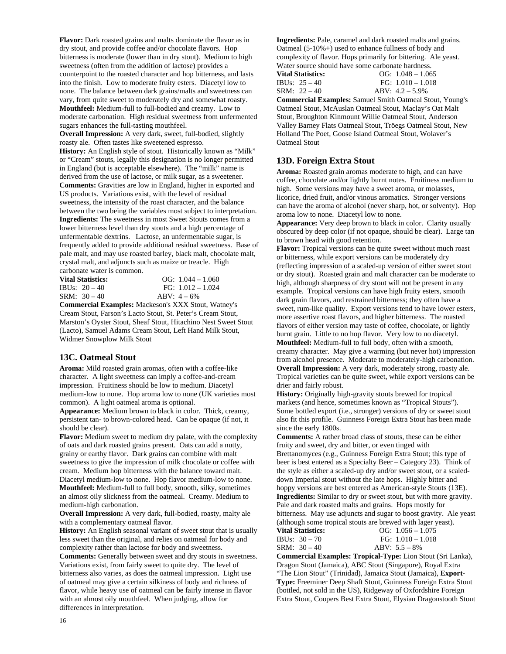<span id="page-18-0"></span>**Flavor:** Dark roasted grains and malts dominate the flavor as in dry stout, and provide coffee and/or chocolate flavors. Hop bitterness is moderate (lower than in dry stout). Medium to high sweetness (often from the addition of lactose) provides a counterpoint to the roasted character and hop bitterness, and lasts into the finish. Low to moderate fruity esters. Diacetyl low to none. The balance between dark grains/malts and sweetness can vary, from quite sweet to moderately dry and somewhat roasty. **Mouthfeel:** Medium-full to full-bodied and creamy. Low to moderate carbonation. High residual sweetness from unfermented sugars enhances the full-tasting mouthfeel.

**Overall Impression:** A very dark, sweet, full-bodied, slightly roasty ale. Often tastes like sweetened espresso. **History:** An English style of stout. Historically known as "Milk" or "Cream" stouts, legally this designation is no longer permitted in England (but is acceptable elsewhere). The "milk" name is derived from the use of lactose, or milk sugar, as a sweetener. **Comments:** Gravities are low in England, higher in exported and US products. Variations exist, with the level of residual sweetness, the intensity of the roast character, and the balance between the two being the variables most subject to interpretation. **Ingredients:** The sweetness in most Sweet Stouts comes from a lower bitterness level than dry stouts and a high percentage of unfermentable dextrins. Lactose, an unfermentable sugar, is frequently added to provide additional residual sweetness. Base of pale malt, and may use roasted barley, black malt, chocolate malt, crystal malt, and adjuncts such as maize or treacle. High carbonate water is common.

| <b>Vital Statistics:</b> | $OG: 1.044 - 1.060$ |
|--------------------------|---------------------|
| <b>IBUs:</b> $20 - 40$   | FG: $1.012 - 1.024$ |
| $SRM: 30-40$             | $ABV: 4-6%$         |

**Commercial Examples:** Mackeson's XXX Stout, Watney's Cream Stout, Farson's Lacto Stout, St. Peter's Cream Stout, Marston's Oyster Stout, Sheaf Stout, Hitachino Nest Sweet Stout (Lacto), Samuel Adams Cream Stout, Left Hand Milk Stout, Widmer Snowplow Milk Stout

#### **13C. Oatmeal Stout**

**Aroma:** Mild roasted grain aromas, often with a coffee-like character. A light sweetness can imply a coffee-and-cream impression. Fruitiness should be low to medium. Diacetyl medium-low to none. Hop aroma low to none (UK varieties most common). A light oatmeal aroma is optional.

**Appearance:** Medium brown to black in color. Thick, creamy, persistent tan- to brown-colored head. Can be opaque (if not, it should be clear).

**Flavor:** Medium sweet to medium dry palate, with the complexity of oats and dark roasted grains present. Oats can add a nutty, grainy or earthy flavor. Dark grains can combine with malt sweetness to give the impression of milk chocolate or coffee with cream. Medium hop bitterness with the balance toward malt. Diacetyl medium-low to none. Hop flavor medium-low to none. **Mouthfeel:** Medium-full to full body, smooth, silky, sometimes an almost oily slickness from the oatmeal. Creamy. Medium to medium-high carbonation.

**Overall Impression:** A very dark, full-bodied, roasty, malty ale with a complementary oatmeal flavor.

**History:** An English seasonal variant of sweet stout that is usually less sweet than the original, and relies on oatmeal for body and complexity rather than lactose for body and sweetness.

**Comments:** Generally between sweet and dry stouts in sweetness. Variations exist, from fairly sweet to quite dry. The level of bitterness also varies, as does the oatmeal impression. Light use of oatmeal may give a certain silkiness of body and richness of flavor, while heavy use of oatmeal can be fairly intense in flavor with an almost oily mouthfeel. When judging, allow for differences in interpretation.

**Ingredients:** Pale, caramel and dark roasted malts and grains. Oatmeal (5-10%+) used to enhance fullness of body and complexity of flavor. Hops primarily for bittering. Ale yeast. Water source should have some carbonate hardness.

**Vital Statistics:** OG: 1.048 – 1.065 IBUs: 25 – 40 FG: 1.010 – 1.018 SRM: 22 – 40 ABV: 4.2 – 5.9% **Commercial Examples:** Samuel Smith Oatmeal Stout, Young's

Oatmeal Stout, McAuslan Oatmeal Stout, Maclay's Oat Malt Stout, Broughton Kinmount Willie Oatmeal Stout, Anderson Valley Barney Flats Oatmeal Stout, Tröegs Oatmeal Stout, New Holland The Poet, Goose Island Oatmeal Stout, Wolaver's Oatmeal Stout

#### **13D. Foreign Extra Stout**

**Aroma:** Roasted grain aromas moderate to high, and can have coffee, chocolate and/or lightly burnt notes. Fruitiness medium to high. Some versions may have a sweet aroma, or molasses, licorice, dried fruit, and/or vinous aromatics. Stronger versions can have the aroma of alcohol (never sharp, hot, or solventy). Hop aroma low to none. Diacetyl low to none.

**Appearance:** Very deep brown to black in color. Clarity usually obscured by deep color (if not opaque, should be clear). Large tan to brown head with good retention.

**Flavor:** Tropical versions can be quite sweet without much roast or bitterness, while export versions can be moderately dry (reflecting impression of a scaled-up version of either sweet stout or dry stout). Roasted grain and malt character can be moderate to high, although sharpness of dry stout will not be present in any example. Tropical versions can have high fruity esters, smooth dark grain flavors, and restrained bitterness; they often have a sweet, rum-like quality. Export versions tend to have lower esters, more assertive roast flavors, and higher bitterness. The roasted flavors of either version may taste of coffee, chocolate, or lightly burnt grain. Little to no hop flavor. Very low to no diacetyl. **Mouthfeel:** Medium-full to full body, often with a smooth, creamy character. May give a warming (but never hot) impression from alcohol presence. Moderate to moderately-high carbonation. **Overall Impression:** A very dark, moderately strong, roasty ale. Tropical varieties can be quite sweet, while export versions can be drier and fairly robust.

**History:** Originally high-gravity stouts brewed for tropical markets (and hence, sometimes known as "Tropical Stouts"). Some bottled export (i.e., stronger) versions of dry or sweet stout also fit this profile. Guinness Foreign Extra Stout has been made since the early 1800s.

**Comments:** A rather broad class of stouts, these can be either fruity and sweet, dry and bitter, or even tinged with Brettanomyces (e.g., Guinness Foreign Extra Stout; this type of beer is best entered as a Specialty Beer – Category 23). Think of the style as either a scaled-up dry and/or sweet stout, or a scaleddown Imperial stout without the late hops. Highly bitter and hoppy versions are best entered as American-style Stouts (13E). **Ingredients:** Similar to dry or sweet stout, but with more gravity. Pale and dark roasted malts and grains. Hops mostly for bitterness. May use adjuncts and sugar to boost gravity. Ale yeast (although some tropical stouts are brewed with lager yeast).

| Vital Statistics: | $OG: 1.056 - 1.075$ |
|-------------------|---------------------|
| IBUs: 30 – 70     | $FG: 1.010 - 1.018$ |
| SRM: 30 – 40      | ABV: $5.5 - 8\%$    |

**Commercial Examples: Tropical-Type:** Lion Stout (Sri Lanka), Dragon Stout (Jamaica), ABC Stout (Singapore), Royal Extra "The Lion Stout" (Trinidad), Jamaica Stout (Jamaica), **Export-Type:** Freeminer Deep Shaft Stout, Guinness Foreign Extra Stout (bottled, not sold in the US), Ridgeway of Oxfordshire Foreign Extra Stout, Coopers Best Extra Stout, Elysian Dragonstooth Stout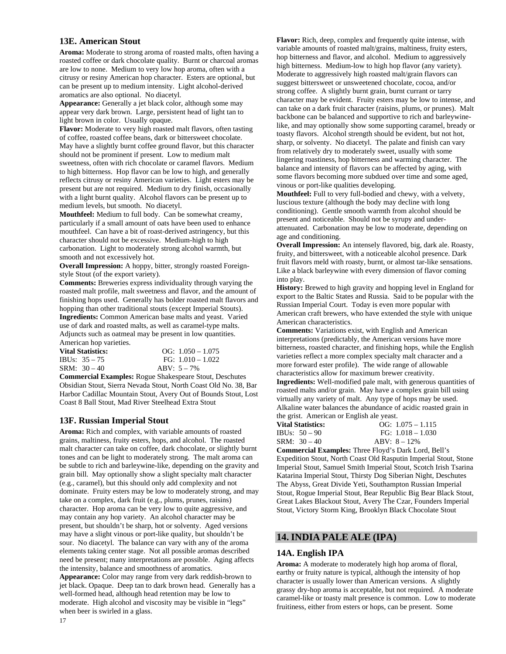#### <span id="page-19-0"></span>**13E. American Stout**

**Aroma:** Moderate to strong aroma of roasted malts, often having a roasted coffee or dark chocolate quality. Burnt or charcoal aromas are low to none. Medium to very low hop aroma, often with a citrusy or resiny American hop character. Esters are optional, but can be present up to medium intensity. Light alcohol-derived aromatics are also optional. No diacetyl.

**Appearance:** Generally a jet black color, although some may appear very dark brown. Large, persistent head of light tan to light brown in color. Usually opaque.

**Flavor:** Moderate to very high roasted malt flavors, often tasting of coffee, roasted coffee beans, dark or bittersweet chocolate. May have a slightly burnt coffee ground flavor, but this character should not be prominent if present. Low to medium malt sweetness, often with rich chocolate or caramel flavors. Medium to high bitterness. Hop flavor can be low to high, and generally reflects citrusy or resiny American varieties. Light esters may be present but are not required. Medium to dry finish, occasionally with a light burnt quality. Alcohol flavors can be present up to medium levels, but smooth. No diacetyl.

**Mouthfeel:** Medium to full body. Can be somewhat creamy, particularly if a small amount of oats have been used to enhance mouthfeel. Can have a bit of roast-derived astringency, but this character should not be excessive. Medium-high to high carbonation. Light to moderately strong alcohol warmth, but smooth and not excessively hot.

**Overall Impression:** A hoppy, bitter, strongly roasted Foreignstyle Stout (of the export variety).

**Comments:** Breweries express individuality through varying the roasted malt profile, malt sweetness and flavor, and the amount of finishing hops used. Generally has bolder roasted malt flavors and hopping than other traditional stouts (except Imperial Stouts). **Ingredients:** Common American base malts and yeast. Varied use of dark and roasted malts, as well as caramel-type malts.

Adjuncts such as oatmeal may be present in low quantities. American hop varieties.

| <b>Vital Statistics:</b> | $OG: 1.050 - 1.075$ |
|--------------------------|---------------------|
| <b>IBUs:</b> $35 - 75$   | FG: $1.010 - 1.022$ |
| $SRM: 30-40$             | $ABV: 5-7%$         |

**Commercial Examples:** Rogue Shakespeare Stout, Deschutes Obsidian Stout, Sierra Nevada Stout, North Coast Old No. 38, Bar Harbor Cadillac Mountain Stout, Avery Out of Bounds Stout, Lost Coast 8 Ball Stout, Mad River Steelhead Extra Stout

#### **13F. Russian Imperial Stout**

**Aroma:** Rich and complex, with variable amounts of roasted grains, maltiness, fruity esters, hops, and alcohol. The roasted malt character can take on coffee, dark chocolate, or slightly burnt tones and can be light to moderately strong. The malt aroma can be subtle to rich and barleywine-like, depending on the gravity and grain bill. May optionally show a slight specialty malt character (e.g., caramel), but this should only add complexity and not dominate. Fruity esters may be low to moderately strong, and may take on a complex, dark fruit (e.g., plums, prunes, raisins) character. Hop aroma can be very low to quite aggressive, and may contain any hop variety. An alcohol character may be present, but shouldn't be sharp, hot or solventy. Aged versions may have a slight vinous or port-like quality, but shouldn't be sour. No diacetyl. The balance can vary with any of the aroma elements taking center stage. Not all possible aromas described need be present; many interpretations are possible. Aging affects the intensity, balance and smoothness of aromatics.

**Appearance:** Color may range from very dark reddish-brown to jet black. Opaque. Deep tan to dark brown head. Generally has a well-formed head, although head retention may be low to moderate. High alcohol and viscosity may be visible in "legs" when beer is swirled in a glass.

**Flavor:** Rich, deep, complex and frequently quite intense, with variable amounts of roasted malt/grains, maltiness, fruity esters, hop bitterness and flavor, and alcohol. Medium to aggressively high bitterness. Medium-low to high hop flavor (any variety). Moderate to aggressively high roasted malt/grain flavors can suggest bittersweet or unsweetened chocolate, cocoa, and/or strong coffee. A slightly burnt grain, burnt currant or tarry character may be evident. Fruity esters may be low to intense, and can take on a dark fruit character (raisins, plums, or prunes). Malt backbone can be balanced and supportive to rich and barleywinelike, and may optionally show some supporting caramel, bready or toasty flavors. Alcohol strength should be evident, but not hot, sharp, or solventy. No diacetyl. The palate and finish can vary from relatively dry to moderately sweet, usually with some lingering roastiness, hop bitterness and warming character. The balance and intensity of flavors can be affected by aging, with some flavors becoming more subdued over time and some aged, vinous or port-like qualities developing.

**Mouthfeel:** Full to very full-bodied and chewy, with a velvety, luscious texture (although the body may decline with long conditioning). Gentle smooth warmth from alcohol should be present and noticeable. Should not be syrupy and underattenuated. Carbonation may be low to moderate, depending on age and conditioning.

**Overall Impression:** An intensely flavored, big, dark ale. Roasty, fruity, and bittersweet, with a noticeable alcohol presence. Dark fruit flavors meld with roasty, burnt, or almost tar-like sensations. Like a black barleywine with every dimension of flavor coming into play.

**History:** Brewed to high gravity and hopping level in England for export to the Baltic States and Russia. Said to be popular with the Russian Imperial Court. Today is even more popular with American craft brewers, who have extended the style with unique American characteristics.

**Comments:** Variations exist, with English and American interpretations (predictably, the American versions have more bitterness, roasted character, and finishing hops, while the English varieties reflect a more complex specialty malt character and a more forward ester profile). The wide range of allowable characteristics allow for maximum brewer creativity. **Ingredients:** Well-modified pale malt, with generous quantities of roasted malts and/or grain. May have a complex grain bill using virtually any variety of malt. Any type of hops may be used. Alkaline water balances the abundance of acidic roasted grain in the grist. American or English ale yeast.

| Vital Statistics: | OG: $1.075 - 1.115$ |
|-------------------|---------------------|
| IBUs: $50 - 90$   | FG: $1.018 - 1.030$ |
| SRM: 30 – 40      | $ABV: 8-12%$        |

**Commercial Examples:** Three Floyd's Dark Lord, Bell's Expedition Stout, North Coast Old Rasputin Imperial Stout, Stone Imperial Stout, Samuel Smith Imperial Stout, Scotch Irish Tsarina Katarina Imperial Stout, Thirsty Dog Siberian Night, Deschutes The Abyss, Great Divide Yeti, Southampton Russian Imperial Stout, Rogue Imperial Stout, Bear Republic Big Bear Black Stout, Great Lakes Blackout Stout, Avery The Czar, Founders Imperial Stout, Victory Storm King, Brooklyn Black Chocolate Stout

#### **14. INDIA PALE ALE (IPA)**

#### **14A. English IPA**

**Aroma:** A moderate to moderately high hop aroma of floral, earthy or fruity nature is typical, although the intensity of hop character is usually lower than American versions. A slightly grassy dry-hop aroma is acceptable, but not required. A moderate caramel-like or toasty malt presence is common. Low to moderate fruitiness, either from esters or hops, can be present. Some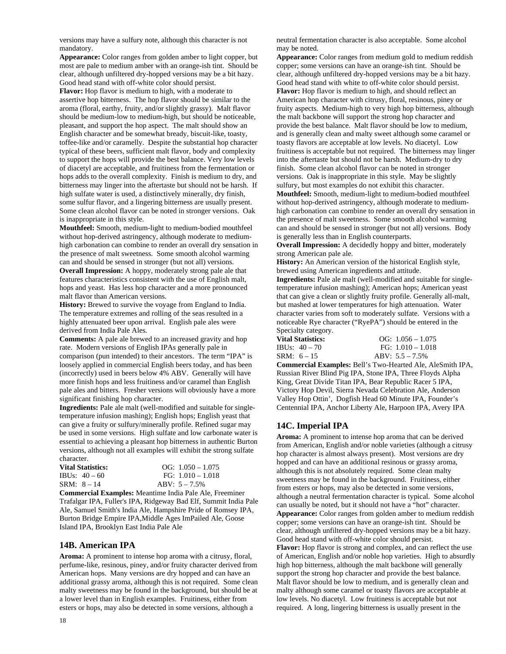<span id="page-20-0"></span>versions may have a sulfury note, although this character is not mandatory.

**Appearance:** Color ranges from golden amber to light copper, but most are pale to medium amber with an orange-ish tint. Should be clear, although unfiltered dry-hopped versions may be a bit hazy. Good head stand with off-white color should persist. **Flavor:** Hop flavor is medium to high, with a moderate to assertive hop bitterness. The hop flavor should be similar to the aroma (floral, earthy, fruity, and/or slightly grassy). Malt flavor should be medium-low to medium-high, but should be noticeable, pleasant, and support the hop aspect. The malt should show an English character and be somewhat bready, biscuit-like, toasty, toffee-like and/or caramelly. Despite the substantial hop character typical of these beers, sufficient malt flavor, body and complexity to support the hops will provide the best balance. Very low levels of diacetyl are acceptable, and fruitiness from the fermentation or hops adds to the overall complexity. Finish is medium to dry, and bitterness may linger into the aftertaste but should not be harsh. If high sulfate water is used, a distinctively minerally, dry finish, some sulfur flavor, and a lingering bitterness are usually present. Some clean alcohol flavor can be noted in stronger versions. Oak is inappropriate in this style.

**Mouthfeel:** Smooth, medium-light to medium-bodied mouthfeel without hop-derived astringency, although moderate to mediumhigh carbonation can combine to render an overall dry sensation in the presence of malt sweetness. Some smooth alcohol warming can and should be sensed in stronger (but not all) versions.

**Overall Impression:** A hoppy, moderately strong pale ale that features characteristics consistent with the use of English malt, hops and yeast. Has less hop character and a more pronounced malt flavor than American versions.

**History:** Brewed to survive the voyage from England to India. The temperature extremes and rolling of the seas resulted in a highly attenuated beer upon arrival. English pale ales were derived from India Pale Ales.

**Comments:** A pale ale brewed to an increased gravity and hop rate. Modern versions of English IPAs generally pale in comparison (pun intended) to their ancestors. The term "IPA" is loosely applied in commercial English beers today, and has been (incorrectly) used in beers below 4% ABV. Generally will have more finish hops and less fruitiness and/or caramel than English pale ales and bitters. Fresher versions will obviously have a more significant finishing hop character.

**Ingredients:** Pale ale malt (well-modified and suitable for singletemperature infusion mashing); English hops; English yeast that can give a fruity or sulfury/minerally profile. Refined sugar may be used in some versions. High sulfate and low carbonate water is essential to achieving a pleasant hop bitterness in authentic Burton versions, although not all examples will exhibit the strong sulfate character.

| $OG: 1.050 - 1.075$ |
|---------------------|
| $FG: 1.010 - 1.018$ |
| $ABV: 5-7.5%$       |
|                     |

**Commercial Examples:** Meantime India Pale Ale, Freeminer Trafalgar IPA, Fuller's IPA, Ridgeway Bad Elf, Summit India Pale Ale, Samuel Smith's India Ale, Hampshire Pride of Romsey IPA, Burton Bridge Empire IPA,Middle Ages ImPailed Ale, Goose Island IPA, Brooklyn East India Pale Ale

#### **14B. American IPA**

**Aroma:** A prominent to intense hop aroma with a citrusy, floral, perfume-like, resinous, piney, and/or fruity character derived from American hops. Many versions are dry hopped and can have an additional grassy aroma, although this is not required. Some clean malty sweetness may be found in the background, but should be at a lower level than in English examples. Fruitiness, either from esters or hops, may also be detected in some versions, although a

neutral fermentation character is also acceptable. Some alcohol may be noted.

**Appearance:** Color ranges from medium gold to medium reddish copper; some versions can have an orange-ish tint. Should be clear, although unfiltered dry-hopped versions may be a bit hazy. Good head stand with white to off-white color should persist. **Flavor:** Hop flavor is medium to high, and should reflect an American hop character with citrusy, floral, resinous, piney or fruity aspects. Medium-high to very high hop bitterness, although the malt backbone will support the strong hop character and provide the best balance. Malt flavor should be low to medium, and is generally clean and malty sweet although some caramel or toasty flavors are acceptable at low levels. No diacetyl. Low fruitiness is acceptable but not required. The bitterness may linger into the aftertaste but should not be harsh. Medium-dry to dry finish. Some clean alcohol flavor can be noted in stronger versions. Oak is inappropriate in this style. May be slightly sulfury, but most examples do not exhibit this character. **Mouthfeel:** Smooth, medium-light to medium-bodied mouthfeel

without hop-derived astringency, although moderate to mediumhigh carbonation can combine to render an overall dry sensation in the presence of malt sweetness. Some smooth alcohol warming can and should be sensed in stronger (but not all) versions. Body is generally less than in English counterparts.

**Overall Impression:** A decidedly hoppy and bitter, moderately strong American pale ale.

**History:** An American version of the historical English style, brewed using American ingredients and attitude.

**Ingredients:** Pale ale malt (well-modified and suitable for singletemperature infusion mashing); American hops; American yeast that can give a clean or slightly fruity profile. Generally all-malt, but mashed at lower temperatures for high attenuation. Water character varies from soft to moderately sulfate. Versions with a noticeable Rye character ("RyePA") should be entered in the Specialty category.<br>Vital Statistics:

| ~ r = ===== ; = ==== ; = = ; -<br>Vital Statistics: | $OG: 1.056 - 1.075$ |
|-----------------------------------------------------|---------------------|
| IBUs: 40 – 70                                       | $FG: 1.010 - 1.018$ |
| SRM: 6 – 15                                         | $ABV: 5.5 - 7.5\%$  |

**Commercial Examples:** Bell's Two-Hearted Ale, AleSmith IPA, Russian River Blind Pig IPA, Stone IPA, Three Floyds Alpha King, Great Divide Titan IPA, Bear Republic Racer 5 IPA, Victory Hop Devil, Sierra Nevada Celebration Ale, Anderson Valley Hop Ottin', Dogfish Head 60 Minute IPA, Founder's Centennial IPA, Anchor Liberty Ale, Harpoon IPA, Avery IPA

#### **14C. Imperial IPA**

**Aroma:** A prominent to intense hop aroma that can be derived from American, English and/or noble varieties (although a citrusy hop character is almost always present). Most versions are dry hopped and can have an additional resinous or grassy aroma, although this is not absolutely required. Some clean malty sweetness may be found in the background. Fruitiness, either from esters or hops, may also be detected in some versions, although a neutral fermentation character is typical. Some alcohol can usually be noted, but it should not have a "hot" character. **Appearance:** Color ranges from golden amber to medium reddish copper; some versions can have an orange-ish tint. Should be clear, although unfiltered dry-hopped versions may be a bit hazy. Good head stand with off-white color should persist. **Flavor:** Hop flavor is strong and complex, and can reflect the use of American, English and/or noble hop varieties. High to absurdly high hop bitterness, although the malt backbone will generally support the strong hop character and provide the best balance. Malt flavor should be low to medium, and is generally clean and malty although some caramel or toasty flavors are acceptable at low levels. No diacetyl. Low fruitiness is acceptable but not required. A long, lingering bitterness is usually present in the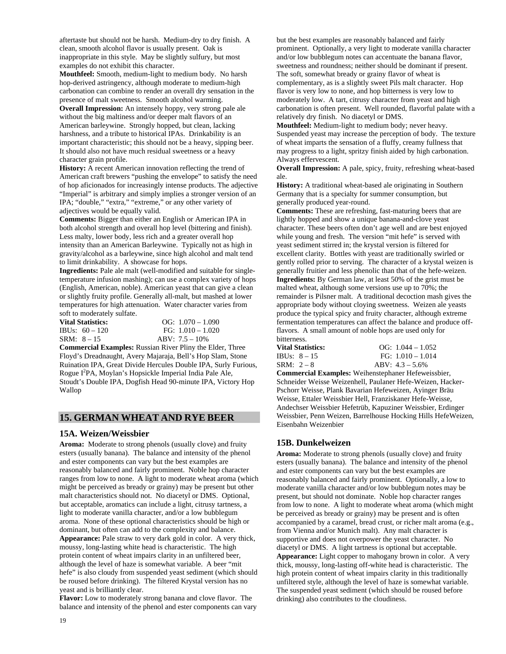<span id="page-21-0"></span>aftertaste but should not be harsh. Medium-dry to dry finish. A clean, smooth alcohol flavor is usually present. Oak is inappropriate in this style. May be slightly sulfury, but most examples do not exhibit this character.

**Mouthfeel:** Smooth, medium-light to medium body. No harsh hop-derived astringency, although moderate to medium-high carbonation can combine to render an overall dry sensation in the presence of malt sweetness. Smooth alcohol warming.

**Overall Impression:** An intensely hoppy, very strong pale ale without the big maltiness and/or deeper malt flavors of an American barleywine. Strongly hopped, but clean, lacking harshness, and a tribute to historical IPAs. Drinkability is an important characteristic; this should not be a heavy, sipping beer. It should also not have much residual sweetness or a heavy character grain profile.

**History:** A recent American innovation reflecting the trend of American craft brewers "pushing the envelope" to satisfy the need of hop aficionados for increasingly intense products. The adjective "Imperial" is arbitrary and simply implies a stronger version of an IPA; "double," "extra," "extreme," or any other variety of adjectives would be equally valid.

**Comments:** Bigger than either an English or American IPA in both alcohol strength and overall hop level (bittering and finish). Less malty, lower body, less rich and a greater overall hop intensity than an American Barleywine. Typically not as high in gravity/alcohol as a barleywine, since high alcohol and malt tend to limit drinkability. A showcase for hops.

**Ingredients:** Pale ale malt (well-modified and suitable for singletemperature infusion mashing); can use a complex variety of hops (English, American, noble). American yeast that can give a clean or slightly fruity profile. Generally all-malt, but mashed at lower temperatures for high attenuation. Water character varies from soft to moderately sulfate.

| $5010$ to $110$ definite; |                     |
|---------------------------|---------------------|
| <b>Vital Statistics:</b>  | $OG: 1.070 - 1.090$ |
| IBUs: $60 - 120$          | $FG: 1.010 - 1.020$ |
| SRM: $8-15$               | $ABV: 7.5 - 10\%$   |

**Commercial Examples:** Russian River Pliny the Elder, Three Floyd's Dreadnaught, Avery Majaraja, Bell's Hop Slam, Stone Ruination IPA, Great Divide Hercules Double IPA, Surly Furious, Rogue I<sup>2</sup>PA, Moylan's Hopsickle Imperial India Pale Ale, Stoudt's Double IPA, Dogfish Head 90-minute IPA, Victory Hop Wallop

#### **15. GERMAN WHEAT AND RYE BEER**

#### **15A. Weizen/Weissbier**

**Aroma:** Moderate to strong phenols (usually clove) and fruity esters (usually banana). The balance and intensity of the phenol and ester components can vary but the best examples are reasonably balanced and fairly prominent. Noble hop character ranges from low to none. A light to moderate wheat aroma (which might be perceived as bready or grainy) may be present but other malt characteristics should not. No diacetyl or DMS. Optional, but acceptable, aromatics can include a light, citrusy tartness, a light to moderate vanilla character, and/or a low bubblegum aroma. None of these optional characteristics should be high or dominant, but often can add to the complexity and balance. **Appearance:** Pale straw to very dark gold in color. A very thick, moussy, long-lasting white head is characteristic. The high protein content of wheat impairs clarity in an unfiltered beer, although the level of haze is somewhat variable. A beer "mit hefe" is also cloudy from suspended yeast sediment (which should be roused before drinking). The filtered Krystal version has no yeast and is brilliantly clear.

**Flavor:** Low to moderately strong banana and clove flavor. The balance and intensity of the phenol and ester components can vary but the best examples are reasonably balanced and fairly prominent. Optionally, a very light to moderate vanilla character and/or low bubblegum notes can accentuate the banana flavor, sweetness and roundness; neither should be dominant if present. The soft, somewhat bready or grainy flavor of wheat is complementary, as is a slightly sweet Pils malt character. Hop flavor is very low to none, and hop bitterness is very low to moderately low. A tart, citrusy character from yeast and high carbonation is often present. Well rounded, flavorful palate with a relatively dry finish. No diacetyl or DMS.

**Mouthfeel:** Medium-light to medium body; never heavy. Suspended yeast may increase the perception of body. The texture of wheat imparts the sensation of a fluffy, creamy fullness that may progress to a light, spritzy finish aided by high carbonation. Always effervescent.

**Overall Impression:** A pale, spicy, fruity, refreshing wheat-based ale.

**History:** A traditional wheat-based ale originating in Southern Germany that is a specialty for summer consumption, but generally produced year-round.

**Comments:** These are refreshing, fast-maturing beers that are lightly hopped and show a unique banana-and-clove yeast character. These beers often don't age well and are best enjoyed while young and fresh. The version "mit hefe" is served with yeast sediment stirred in; the krystal version is filtered for excellent clarity. Bottles with yeast are traditionally swirled or gently rolled prior to serving. The character of a krystal weizen is generally fruitier and less phenolic than that of the hefe-weizen. **Ingredients:** By German law, at least 50% of the grist must be malted wheat, although some versions use up to 70%; the remainder is Pilsner malt. A traditional decoction mash gives the appropriate body without cloying sweetness. Weizen ale yeasts produce the typical spicy and fruity character, although extreme fermentation temperatures can affect the balance and produce offflavors. A small amount of noble hops are used only for bitterness.

| $OG: 1.044 - 1.052$ |
|---------------------|
| $FG: 1.010 - 1.014$ |
| $ABV: 4.3 - 5.6\%$  |
|                     |

**Commercial Examples:** Weihenstephaner Hefeweissbier, Schneider Weisse Weizenhell, Paulaner Hefe-Weizen, Hacker-Pschorr Weisse, Plank Bavarian Hefeweizen, Ayinger Bräu Weisse, Ettaler Weissbier Hell, Franziskaner Hefe-Weisse, Andechser Weissbier Hefetrüb, Kapuziner Weissbier, Erdinger Weissbier, Penn Weizen, Barrelhouse Hocking Hills HefeWeizen, Eisenbahn Weizenbier

#### **15B. Dunkelweizen**

**Aroma:** Moderate to strong phenols (usually clove) and fruity esters (usually banana). The balance and intensity of the phenol and ester components can vary but the best examples are reasonably balanced and fairly prominent. Optionally, a low to moderate vanilla character and/or low bubblegum notes may be present, but should not dominate. Noble hop character ranges from low to none. A light to moderate wheat aroma (which might be perceived as bready or grainy) may be present and is often accompanied by a caramel, bread crust, or richer malt aroma (e.g., from Vienna and/or Munich malt). Any malt character is supportive and does not overpower the yeast character. No diacetyl or DMS. A light tartness is optional but acceptable. **Appearance:** Light copper to mahogany brown in color. A very thick, moussy, long-lasting off-white head is characteristic. The high protein content of wheat impairs clarity in this traditionally unfiltered style, although the level of haze is somewhat variable. The suspended yeast sediment (which should be roused before drinking) also contributes to the cloudiness.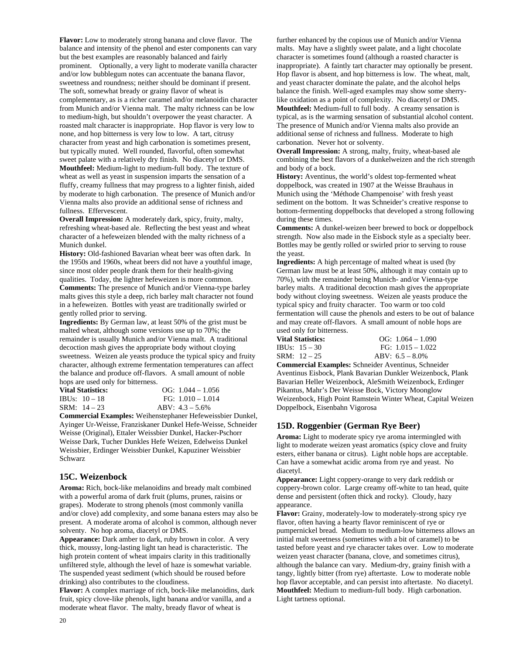<span id="page-22-0"></span>**Flavor:** Low to moderately strong banana and clove flavor. The balance and intensity of the phenol and ester components can vary but the best examples are reasonably balanced and fairly prominent. Optionally, a very light to moderate vanilla character and/or low bubblegum notes can accentuate the banana flavor, sweetness and roundness; neither should be dominant if present. The soft, somewhat bready or grainy flavor of wheat is complementary, as is a richer caramel and/or melanoidin character from Munich and/or Vienna malt. The malty richness can be low to medium-high, but shouldn't overpower the yeast character. A roasted malt character is inappropriate. Hop flavor is very low to none, and hop bitterness is very low to low. A tart, citrusy character from yeast and high carbonation is sometimes present, but typically muted. Well rounded, flavorful, often somewhat sweet palate with a relatively dry finish. No diacetyl or DMS. **Mouthfeel:** Medium-light to medium-full body. The texture of wheat as well as yeast in suspension imparts the sensation of a fluffy, creamy fullness that may progress to a lighter finish, aided by moderate to high carbonation. The presence of Munich and/or Vienna malts also provide an additional sense of richness and fullness. Effervescent.

**Overall Impression:** A moderately dark, spicy, fruity, malty, refreshing wheat-based ale. Reflecting the best yeast and wheat character of a hefeweizen blended with the malty richness of a Munich dunkel.

**History:** Old-fashioned Bavarian wheat beer was often dark. In the 1950s and 1960s, wheat beers did not have a youthful image, since most older people drank them for their health-giving qualities. Today, the lighter hefeweizen is more common. **Comments:** The presence of Munich and/or Vienna-type barley malts gives this style a deep, rich barley malt character not found in a hefeweizen. Bottles with yeast are traditionally swirled or gently rolled prior to serving.

**Ingredients:** By German law, at least 50% of the grist must be malted wheat, although some versions use up to 70%; the remainder is usually Munich and/or Vienna malt. A traditional decoction mash gives the appropriate body without cloying sweetness. Weizen ale yeasts produce the typical spicy and fruity character, although extreme fermentation temperatures can affect the balance and produce off-flavors. A small amount of noble hops are used only for bitterness.

| Vital Statistics:    | $OG: 1.044 - 1.056$ |
|----------------------|---------------------|
| <b>IBUs:</b> $10-18$ | $FG: 1.010 - 1.014$ |
| SRM: 14 – 23         | $ABV: 4.3 - 5.6\%$  |

**Commercial Examples:** Weihenstephaner Hefeweissbier Dunkel, Ayinger Ur-Weisse, Franziskaner Dunkel Hefe-Weisse, Schneider Weisse (Original), Ettaler Weissbier Dunkel, Hacker-Pschorr Weisse Dark, Tucher Dunkles Hefe Weizen, Edelweiss Dunkel Weissbier, Erdinger Weissbier Dunkel, Kapuziner Weissbier Schwarz

#### **15C. Weizenbock**

**Aroma:** Rich, bock-like melanoidins and bready malt combined with a powerful aroma of dark fruit (plums, prunes, raisins or grapes). Moderate to strong phenols (most commonly vanilla and/or clove) add complexity, and some banana esters may also be present. A moderate aroma of alcohol is common, although never solventy. No hop aroma, diacetyl or DMS.

**Appearance:** Dark amber to dark, ruby brown in color. A very thick, moussy, long-lasting light tan head is characteristic. The high protein content of wheat impairs clarity in this traditionally unfiltered style, although the level of haze is somewhat variable. The suspended yeast sediment (which should be roused before drinking) also contributes to the cloudiness.

**Flavor:** A complex marriage of rich, bock-like melanoidins, dark fruit, spicy clove-like phenols, light banana and/or vanilla, and a moderate wheat flavor. The malty, bready flavor of wheat is

further enhanced by the copious use of Munich and/or Vienna malts. May have a slightly sweet palate, and a light chocolate character is sometimes found (although a roasted character is inappropriate). A faintly tart character may optionally be present. Hop flavor is absent, and hop bitterness is low. The wheat, malt, and yeast character dominate the palate, and the alcohol helps balance the finish. Well-aged examples may show some sherrylike oxidation as a point of complexity. No diacetyl or DMS. **Mouthfeel:** Medium-full to full body. A creamy sensation is typical, as is the warming sensation of substantial alcohol content. The presence of Munich and/or Vienna malts also provide an additional sense of richness and fullness. Moderate to high carbonation. Never hot or solventy.

**Overall Impression:** A strong, malty, fruity, wheat-based ale combining the best flavors of a dunkelweizen and the rich strength and body of a bock.

**History:** Aventinus, the world's oldest top-fermented wheat doppelbock, was created in 1907 at the Weisse Brauhaus in Munich using the 'Méthode Champenoise' with fresh yeast sediment on the bottom. It was Schneider's creative response to bottom-fermenting doppelbocks that developed a strong following during these times.

**Comments:** A dunkel-weizen beer brewed to bock or doppelbock strength. Now also made in the Eisbock style as a specialty beer. Bottles may be gently rolled or swirled prior to serving to rouse the yeast.

**Ingredients:** A high percentage of malted wheat is used (by German law must be at least 50%, although it may contain up to 70%), with the remainder being Munich- and/or Vienna-type barley malts. A traditional decoction mash gives the appropriate body without cloying sweetness. Weizen ale yeasts produce the typical spicy and fruity character. Too warm or too cold fermentation will cause the phenols and esters to be out of balance and may create off-flavors. A small amount of noble hops are used only for bitterness.

| Vital Statistics: | $OG: 1.064 - 1.090$ |
|-------------------|---------------------|
| IBUs: 15 – 30     | FG: $1.015 - 1.022$ |
| SRM: 12 – 25      | $ABV: 6.5 - 8.0\%$  |

**Commercial Examples:** Schneider Aventinus, Schneider Aventinus Eisbock, Plank Bavarian Dunkler Weizenbock, Plank Bavarian Heller Weizenbock, AleSmith Weizenbock, Erdinger Pikantus, Mahr's Der Weisse Bock, Victory Moonglow Weizenbock, High Point Ramstein Winter Wheat, Capital Weizen Doppelbock, Eisenbahn Vigorosa

#### **15D. Roggenbier (German Rye Beer)**

**Aroma:** Light to moderate spicy rye aroma intermingled with light to moderate weizen yeast aromatics (spicy clove and fruity esters, either banana or citrus). Light noble hops are acceptable. Can have a somewhat acidic aroma from rye and yeast. No diacetyl.

**Appearance:** Light coppery-orange to very dark reddish or coppery-brown color. Large creamy off-white to tan head, quite dense and persistent (often thick and rocky). Cloudy, hazy appearance.

**Flavor:** Grainy, moderately-low to moderately-strong spicy rye flavor, often having a hearty flavor reminiscent of rye or pumpernickel bread. Medium to medium-low bitterness allows an initial malt sweetness (sometimes with a bit of caramel) to be tasted before yeast and rye character takes over. Low to moderate weizen yeast character (banana, clove, and sometimes citrus), although the balance can vary. Medium-dry, grainy finish with a tangy, lightly bitter (from rye) aftertaste. Low to moderate noble hop flavor acceptable, and can persist into aftertaste. No diacetyl. **Mouthfeel:** Medium to medium-full body. High carbonation. Light tartness optional.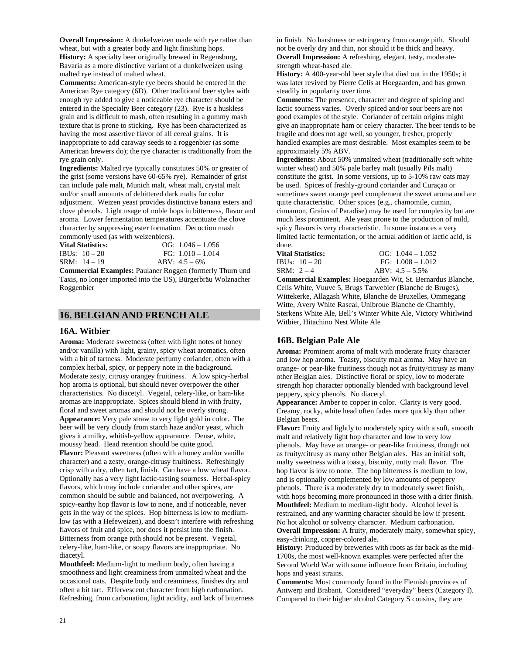<span id="page-23-0"></span>**Overall Impression:** A dunkelweizen made with rye rather than wheat, but with a greater body and light finishing hops. **History:** A specialty beer originally brewed in Regensburg, Bavaria as a more distinctive variant of a dunkelweizen using malted rye instead of malted wheat.

**Comments:** American-style rye beers should be entered in the American Rye category (6D). Other traditional beer styles with enough rye added to give a noticeable rye character should be entered in the Specialty Beer category (23). Rye is a huskless grain and is difficult to mash, often resulting in a gummy mash texture that is prone to sticking. Rye has been characterized as having the most assertive flavor of all cereal grains. It is inappropriate to add caraway seeds to a roggenbier (as some American brewers do); the rye character is traditionally from the rye grain only.

**Ingredients:** Malted rye typically constitutes 50% or greater of the grist (some versions have 60-65% rye). Remainder of grist can include pale malt, Munich malt, wheat malt, crystal malt and/or small amounts of debittered dark malts for color adjustment. Weizen yeast provides distinctive banana esters and clove phenols. Light usage of noble hops in bitterness, flavor and aroma. Lower fermentation temperatures accentuate the clove character by suppressing ester formation. Decoction mash commonly used (as with weizenbiers).

| <b>Vital Statistics:</b> | $OG: 1.046 - 1.056$ |
|--------------------------|---------------------|
| IBUs: $10-20$            | $FG: 1.010 - 1.014$ |
| $SRM: 14-19$             | $ABV: 4.5 - 6%$     |

**Commercial Examples:** Paulaner Roggen (formerly Thurn und Taxis, no longer imported into the US), Bürgerbräu Wolznacher Roggenbier

#### **16. BELGIAN AND FRENCH ALE**

#### **16A. Witbier**

**Aroma:** Moderate sweetness (often with light notes of honey and/or vanilla) with light, grainy, spicy wheat aromatics, often with a bit of tartness. Moderate perfumy coriander, often with a complex herbal, spicy, or peppery note in the background. Moderate zesty, citrusy orangey fruitiness. A low spicy-herbal hop aroma is optional, but should never overpower the other characteristics. No diacetyl. Vegetal, celery-like, or ham-like aromas are inappropriate. Spices should blend in with fruity, floral and sweet aromas and should not be overly strong. **Appearance:** Very pale straw to very light gold in color. The beer will be very cloudy from starch haze and/or yeast, which gives it a milky, whitish-yellow appearance. Dense, white, moussy head. Head retention should be quite good. **Flavor:** Pleasant sweetness (often with a honey and/or vanilla character) and a zesty, orange-citrusy fruitiness. Refreshingly crisp with a dry, often tart, finish. Can have a low wheat flavor. Optionally has a very light lactic-tasting sourness. Herbal-spicy flavors, which may include coriander and other spices, are common should be subtle and balanced, not overpowering. A spicy-earthy hop flavor is low to none, and if noticeable, never gets in the way of the spices. Hop bitterness is low to mediumlow (as with a Hefeweizen), and doesn't interfere with refreshing flavors of fruit and spice, nor does it persist into the finish. Bitterness from orange pith should not be present. Vegetal, celery-like, ham-like, or soapy flavors are inappropriate. No diacetyl.

**Mouthfeel:** Medium-light to medium body, often having a smoothness and light creaminess from unmalted wheat and the occasional oats. Despite body and creaminess, finishes dry and often a bit tart. Effervescent character from high carbonation. Refreshing, from carbonation, light acidity, and lack of bitterness in finish. No harshness or astringency from orange pith. Should not be overly dry and thin, nor should it be thick and heavy. **Overall Impression:** A refreshing, elegant, tasty, moderatestrength wheat-based ale.

**History:** A 400-year-old beer style that died out in the 1950s; it was later revived by Pierre Celis at Hoegaarden, and has grown steadily in popularity over time.

**Comments:** The presence, character and degree of spicing and lactic sourness varies. Overly spiced and/or sour beers are not good examples of the style. Coriander of certain origins might give an inappropriate ham or celery character. The beer tends to be fragile and does not age well, so younger, fresher, properly handled examples are most desirable. Most examples seem to be approximately 5% ABV.

**Ingredients:** About 50% unmalted wheat (traditionally soft white winter wheat) and 50% pale barley malt (usually Pils malt) constitute the grist. In some versions, up to 5-10% raw oats may be used. Spices of freshly-ground coriander and Curaçao or sometimes sweet orange peel complement the sweet aroma and are quite characteristic. Other spices (e.g., chamomile, cumin, cinnamon, Grains of Paradise) may be used for complexity but are much less prominent. Ale yeast prone to the production of mild, spicy flavors is very characteristic. In some instances a very limited lactic fermentation, or the actual addition of lactic acid, is done.

| Vital Statistics: | OG: $1.044 - 1.052$ |
|-------------------|---------------------|
| IBUs: 10 – 20     | FG: $1.008 - 1.012$ |
| $SRM: 2-4$        | $ABV: 4.5 - 5.5\%$  |

**Commercial Examples:** Hoegaarden Wit, St. Bernardus Blanche, Celis White, Vuuve 5, Brugs Tarwebier (Blanche de Bruges), Wittekerke, Allagash White, Blanche de Bruxelles, Ommegang Witte, Avery White Rascal, Unibroue Blanche de Chambly, Sterkens White Ale, Bell's Winter White Ale, Victory Whirlwind Witbier, Hitachino Nest White Ale

#### **16B. Belgian Pale Ale**

**Aroma:** Prominent aroma of malt with moderate fruity character and low hop aroma. Toasty, biscuity malt aroma. May have an orange- or pear-like fruitiness though not as fruity/citrusy as many other Belgian ales. Distinctive floral or spicy, low to moderate strength hop character optionally blended with background level peppery, spicy phenols. No diacetyl.

**Appearance:** Amber to copper in color. Clarity is very good. Creamy, rocky, white head often fades more quickly than other Belgian beers.

**Flavor:** Fruity and lightly to moderately spicy with a soft, smooth malt and relatively light hop character and low to very low phenols. May have an orange- or pear-like fruitiness, though not as fruity/citrusy as many other Belgian ales. Has an initial soft, malty sweetness with a toasty, biscuity, nutty malt flavor. The hop flavor is low to none. The hop bitterness is medium to low, and is optionally complemented by low amounts of peppery phenols. There is a moderately dry to moderately sweet finish, with hops becoming more pronounced in those with a drier finish. **Mouthfeel:** Medium to medium-light body. Alcohol level is restrained, and any warming character should be low if present. No hot alcohol or solventy character. Medium carbonation. **Overall Impression:** A fruity, moderately malty, somewhat spicy,

easy-drinking, copper-colored ale. **History:** Produced by breweries with roots as far back as the mid-1700s, the most well-known examples were perfected after the Second World War with some influence from Britain, including hops and yeast strains.

**Comments:** Most commonly found in the Flemish provinces of Antwerp and Brabant. Considered "everyday" beers (Category I). Compared to their higher alcohol Category S cousins, they are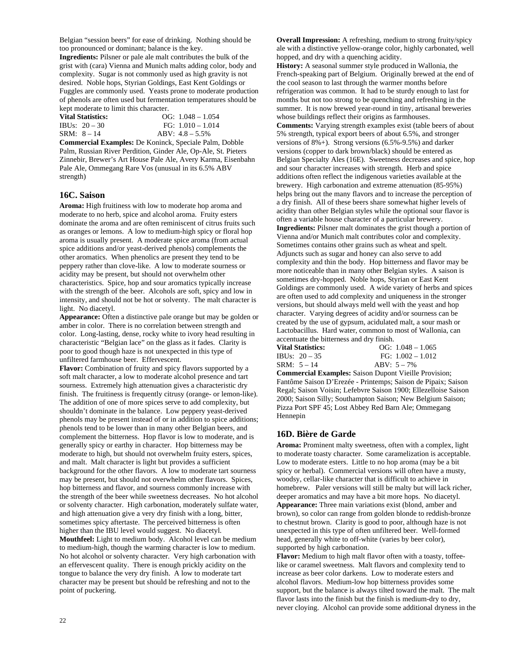<span id="page-24-0"></span>Belgian "session beers" for ease of drinking. Nothing should be too pronounced or dominant; balance is the key.

**Ingredients:** Pilsner or pale ale malt contributes the bulk of the grist with (cara) Vienna and Munich malts adding color, body and complexity. Sugar is not commonly used as high gravity is not desired. Noble hops, Styrian Goldings, East Kent Goldings or Fuggles are commonly used. Yeasts prone to moderate production of phenols are often used but fermentation temperatures should be kept moderate to limit this character.

| <b>Vital Statistics:</b> | $OG: 1.048 - 1.054$ |
|--------------------------|---------------------|
| IBUs: $20-30$            | $FG: 1.010 - 1.014$ |
| SRM: $8-14$              | $ABV: 4.8 - 5.5\%$  |

**Commercial Examples:** De Koninck, Speciale Palm, Dobble Palm, Russian River Perdition, Ginder Ale, Op-Ale, St. Pieters Zinnebir, Brewer's Art House Pale Ale, Avery Karma, Eisenbahn Pale Ale, Ommegang Rare Vos (unusual in its 6.5% ABV strength)

#### **16C. Saison**

**Aroma:** High fruitiness with low to moderate hop aroma and moderate to no herb, spice and alcohol aroma. Fruity esters dominate the aroma and are often reminiscent of citrus fruits such as oranges or lemons. A low to medium-high spicy or floral hop aroma is usually present. A moderate spice aroma (from actual spice additions and/or yeast-derived phenols) complements the other aromatics. When phenolics are present they tend to be peppery rather than clove-like. A low to moderate sourness or acidity may be present, but should not overwhelm other characteristics. Spice, hop and sour aromatics typically increase with the strength of the beer. Alcohols are soft, spicy and low in intensity, and should not be hot or solventy. The malt character is light. No diacetyl.

**Appearance:** Often a distinctive pale orange but may be golden or amber in color. There is no correlation between strength and color. Long-lasting, dense, rocky white to ivory head resulting in characteristic "Belgian lace" on the glass as it fades. Clarity is poor to good though haze is not unexpected in this type of unfiltered farmhouse beer. Effervescent.

**Flavor:** Combination of fruity and spicy flavors supported by a soft malt character, a low to moderate alcohol presence and tart sourness. Extremely high attenuation gives a characteristic dry finish. The fruitiness is frequently citrusy (orange- or lemon-like). The addition of one of more spices serve to add complexity, but shouldn't dominate in the balance. Low peppery yeast-derived phenols may be present instead of or in addition to spice additions; phenols tend to be lower than in many other Belgian beers, and complement the bitterness. Hop flavor is low to moderate, and is generally spicy or earthy in character. Hop bitterness may be moderate to high, but should not overwhelm fruity esters, spices, and malt. Malt character is light but provides a sufficient background for the other flavors. A low to moderate tart sourness may be present, but should not overwhelm other flavors. Spices, hop bitterness and flavor, and sourness commonly increase with the strength of the beer while sweetness decreases. No hot alcohol or solventy character. High carbonation, moderately sulfate water, and high attenuation give a very dry finish with a long, bitter, sometimes spicy aftertaste. The perceived bitterness is often higher than the IBU level would suggest. No diacetyl. **Mouthfeel:** Light to medium body. Alcohol level can be medium to medium-high, though the warming character is low to medium. No hot alcohol or solventy character. Very high carbonation with an effervescent quality. There is enough prickly acidity on the tongue to balance the very dry finish. A low to moderate tart character may be present but should be refreshing and not to the point of puckering.

**Overall Impression:** A refreshing, medium to strong fruity/spicy ale with a distinctive yellow-orange color, highly carbonated, well hopped, and dry with a quenching acidity.

**History:** A seasonal summer style produced in Wallonia, the French-speaking part of Belgium. Originally brewed at the end of the cool season to last through the warmer months before refrigeration was common. It had to be sturdy enough to last for months but not too strong to be quenching and refreshing in the summer. It is now brewed year-round in tiny, artisanal breweries whose buildings reflect their origins as farmhouses.

**Comments:** Varying strength examples exist (table beers of about 5% strength, typical export beers of about 6.5%, and stronger versions of 8%+). Strong versions (6.5%-9.5%) and darker versions (copper to dark brown/black) should be entered as Belgian Specialty Ales (16E). Sweetness decreases and spice, hop and sour character increases with strength. Herb and spice additions often reflect the indigenous varieties available at the brewery. High carbonation and extreme attenuation (85-95%) helps bring out the many flavors and to increase the perception of a dry finish. All of these beers share somewhat higher levels of acidity than other Belgian styles while the optional sour flavor is often a variable house character of a particular brewery. **Ingredients:** Pilsner malt dominates the grist though a portion of Vienna and/or Munich malt contributes color and complexity. Sometimes contains other grains such as wheat and spelt. Adjuncts such as sugar and honey can also serve to add complexity and thin the body. Hop bitterness and flavor may be more noticeable than in many other Belgian styles. A saison is sometimes dry-hopped. Noble hops, Styrian or East Kent Goldings are commonly used. A wide variety of herbs and spices are often used to add complexity and uniqueness in the stronger versions, but should always meld well with the yeast and hop character. Varying degrees of acidity and/or sourness can be created by the use of gypsum, acidulated malt, a sour mash or Lactobacillus. Hard water, common to most of Wallonia, can accentuate the bitterness and dry finish.

| Vital Statistics: | $OG: 1.048 - 1.065$ |
|-------------------|---------------------|
| IBUs: 20 – 35     | FG: $1.002 - 1.012$ |
| SRM: 5 – 14       | $ABV: 5-7%$         |

**Commercial Examples:** Saison Dupont Vieille Provision; Fantôme Saison D'Erezée - Printemps; Saison de Pipaix; Saison Regal; Saison Voisin; Lefebvre Saison 1900; Ellezelloise Saison 2000; Saison Silly; Southampton Saison; New Belgium Saison; Pizza Port SPF 45; Lost Abbey Red Barn Ale; Ommegang Hennepin

#### **16D. Bière de Garde**

**Aroma:** Prominent malty sweetness, often with a complex, light to moderate toasty character. Some caramelization is acceptable. Low to moderate esters. Little to no hop aroma (may be a bit spicy or herbal). Commercial versions will often have a musty, woodsy, cellar-like character that is difficult to achieve in homebrew. Paler versions will still be malty but will lack richer, deeper aromatics and may have a bit more hops. No diacetyl. **Appearance:** Three main variations exist (blond, amber and brown), so color can range from golden blonde to reddish-bronze to chestnut brown. Clarity is good to poor, although haze is not unexpected in this type of often unfiltered beer. Well-formed head, generally white to off-white (varies by beer color), supported by high carbonation.

**Flavor:** Medium to high malt flavor often with a toasty, toffeelike or caramel sweetness. Malt flavors and complexity tend to increase as beer color darkens. Low to moderate esters and alcohol flavors. Medium-low hop bitterness provides some support, but the balance is always tilted toward the malt. The malt flavor lasts into the finish but the finish is medium-dry to dry, never cloying. Alcohol can provide some additional dryness in the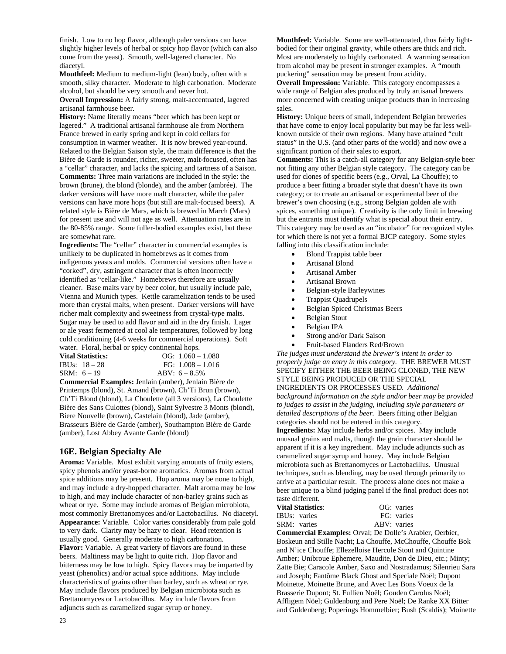<span id="page-25-0"></span>finish. Low to no hop flavor, although paler versions can have slightly higher levels of herbal or spicy hop flavor (which can also come from the yeast). Smooth, well-lagered character. No diacetyl.

**Mouthfeel:** Medium to medium-light (lean) body, often with a smooth, silky character. Moderate to high carbonation. Moderate alcohol, but should be very smooth and never hot.

**Overall Impression:** A fairly strong, malt-accentuated, lagered artisanal farmhouse beer.

**History:** Name literally means "beer which has been kept or lagered." A traditional artisanal farmhouse ale from Northern France brewed in early spring and kept in cold cellars for consumption in warmer weather. It is now brewed year-round. Related to the Belgian Saison style, the main difference is that the Bière de Garde is rounder, richer, sweeter, malt-focused, often has a "cellar" character, and lacks the spicing and tartness of a Saison. **Comments:** Three main variations are included in the style: the brown (brune), the blond (blonde), and the amber (ambrée). The darker versions will have more malt character, while the paler versions can have more hops (but still are malt-focused beers). A related style is Bière de Mars, which is brewed in March (Mars) for present use and will not age as well. Attenuation rates are in the 80-85% range. Some fuller-bodied examples exist, but these are somewhat rare.

**Ingredients:** The "cellar" character in commercial examples is unlikely to be duplicated in homebrews as it comes from indigenous yeasts and molds. Commercial versions often have a "corked", dry, astringent character that is often incorrectly identified as "cellar-like." Homebrews therefore are usually cleaner. Base malts vary by beer color, but usually include pale, Vienna and Munich types. Kettle caramelization tends to be used more than crystal malts, when present. Darker versions will have richer malt complexity and sweetness from crystal-type malts. Sugar may be used to add flavor and aid in the dry finish. Lager or ale yeast fermented at cool ale temperatures, followed by long cold conditioning (4-6 weeks for commercial operations). Soft water. Floral, herbal or spicy continental hops.

| <b>Vital Statistics:</b> | . . | $OG: 1.060 - 1.080$ |  |
|--------------------------|-----|---------------------|--|
| IBUs: $18 - 28$          |     | $FG: 1.008 - 1.016$ |  |
| SRM: $6-19$              |     | $ABV: 6-8.5%$       |  |

**Commercial Examples:** Jenlain (amber), Jenlain Bière de Printemps (blond), St. Amand (brown), Ch'Ti Brun (brown), Ch'Ti Blond (blond), La Choulette (all 3 versions), La Choulette Bière des Sans Culottes (blond), Saint Sylvestre 3 Monts (blond), Biere Nouvelle (brown), Castelain (blond), Jade (amber), Brasseurs Bière de Garde (amber), Southampton Bière de Garde (amber), Lost Abbey Avante Garde (blond)

#### **16E. Belgian Specialty Ale**

**Aroma:** Variable. Most exhibit varying amounts of fruity esters, spicy phenols and/or yeast-borne aromatics. Aromas from actual spice additions may be present. Hop aroma may be none to high, and may include a dry-hopped character. Malt aroma may be low to high, and may include character of non-barley grains such as wheat or rye. Some may include aromas of Belgian microbiota, most commonly Brettanomyces and/or Lactobacillus. No diacetyl. **Appearance:** Variable. Color varies considerably from pale gold to very dark. Clarity may be hazy to clear. Head retention is usually good. Generally moderate to high carbonation. **Flavor:** Variable. A great variety of flavors are found in these beers. Maltiness may be light to quite rich. Hop flavor and bitterness may be low to high. Spicy flavors may be imparted by yeast (phenolics) and/or actual spice additions. May include characteristics of grains other than barley, such as wheat or rye. May include flavors produced by Belgian microbiota such as Brettanomyces or Lactobacillus. May include flavors from adjuncts such as caramelized sugar syrup or honey.

**Mouthfeel:** Variable. Some are well-attenuated, thus fairly lightbodied for their original gravity, while others are thick and rich. Most are moderately to highly carbonated. A warming sensation from alcohol may be present in stronger examples. A "mouth puckering" sensation may be present from acidity.

**Overall Impression:** Variable. This category encompasses a wide range of Belgian ales produced by truly artisanal brewers more concerned with creating unique products than in increasing sales.

**History:** Unique beers of small, independent Belgian breweries that have come to enjoy local popularity but may be far less wellknown outside of their own regions. Many have attained "cult status" in the U.S. (and other parts of the world) and now owe a significant portion of their sales to export.

**Comments:** This is a catch-all category for any Belgian-style beer not fitting any other Belgian style category. The category can be used for clones of specific beers (e.g., Orval, La Chouffe); to produce a beer fitting a broader style that doesn't have its own category; or to create an artisanal or experimental beer of the brewer's own choosing (e.g., strong Belgian golden ale with spices, something unique). Creativity is the only limit in brewing but the entrants must identify what is special about their entry. This category may be used as an "incubator" for recognized styles for which there is not yet a formal BJCP category. Some styles falling into this classification include:

- Blond Trappist table beer
- Artisanal Blond
- Artisanal Amber
- Artisanal Brown
- Belgian-style Barleywines
- Trappist Quadrupels
- Belgian Spiced Christmas Beers
- Belgian Stout
- Belgian IPA
- Strong and/or Dark Saison
- Fruit-based Flanders Red/Brown

*The judges must understand the brewer's intent in order to properly judge an entry in this category.* THE BREWER MUST SPECIFY EITHER THE BEER BEING CLONED, THE NEW STYLE BEING PRODUCED OR THE SPECIAL INGREDIENTS OR PROCESSES USED*. Additional background information on the style and/or beer may be provided to judges to assist in the judging, including style parameters or detailed descriptions of the beer.* Beers fitting other Belgian categories should not be entered in this category.

**Ingredients:** May include herbs and/or spices. May include unusual grains and malts, though the grain character should be apparent if it is a key ingredient. May include adjuncts such as caramelized sugar syrup and honey. May include Belgian microbiota such as Brettanomyces or Lactobacillus. Unusual techniques, such as blending, may be used through primarily to arrive at a particular result. The process alone does not make a beer unique to a blind judging panel if the final product does not taste different.

| Vital Statistics: |  | OG: varies  |
|-------------------|--|-------------|
| IBUs: varies      |  | FG: varies  |
| SRM: varies       |  | ABV: varies |
|                   |  |             |

**Commercial Examples:** Orval; De Dolle's Arabier, Oerbier, Boskeun and Stille Nacht; La Chouffe, McChouffe, Chouffe Bok and N'ice Chouffe; Ellezelloise Hercule Stout and Quintine Amber; Unibroue Ephemere, Maudite, Don de Dieu, etc.; Minty; Zatte Bie; Caracole Amber, Saxo and Nostradamus; Silenrieu Sara and Joseph; Fantôme Black Ghost and Speciale Noël; Dupont Moinette, Moinette Brune, and Avec Les Bons Voeux de la Brasserie Dupont; St. Fullien Noël; Gouden Carolus Noël; Affligem Nöel; Guldenburg and Pere Noël; De Ranke XX Bitter and Guldenberg; Poperings Hommelbier; Bush (Scaldis); Moinette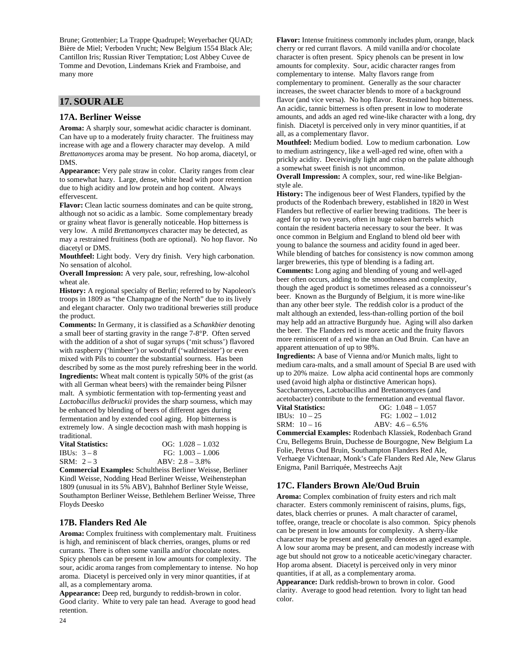<span id="page-26-0"></span>Brune; Grottenbier; La Trappe Quadrupel; Weyerbacher QUAD; Bière de Miel; Verboden Vrucht; New Belgium 1554 Black Ale; Cantillon Iris; Russian River Temptation; Lost Abbey Cuvee de Tomme and Devotion, Lindemans Kriek and Framboise, and many more

#### **17. SOUR ALE**

#### **17A. Berliner Weisse**

**Aroma:** A sharply sour, somewhat acidic character is dominant. Can have up to a moderately fruity character. The fruitiness may increase with age and a flowery character may develop. A mild *Brettanomyces* aroma may be present. No hop aroma, diacetyl, or DMS.

**Appearance:** Very pale straw in color. Clarity ranges from clear to somewhat hazy. Large, dense, white head with poor retention due to high acidity and low protein and hop content. Always effervescent.

**Flavor:** Clean lactic sourness dominates and can be quite strong, although not so acidic as a lambic. Some complementary bready or grainy wheat flavor is generally noticeable. Hop bitterness is very low. A mild *Brettanomyces* character may be detected, as may a restrained fruitiness (both are optional). No hop flavor. No diacetyl or DMS.

**Mouthfeel:** Light body. Very dry finish. Very high carbonation. No sensation of alcohol.

**Overall Impression:** A very pale, sour, refreshing, low-alcohol wheat ale.

**History:** A regional specialty of Berlin; referred to by Napoleon's troops in 1809 as "the Champagne of the North" due to its lively and elegant character. Only two traditional breweries still produce the product.

**Comments:** In Germany, it is classified as a *Schankbier* denoting a small beer of starting gravity in the range 7-8°P. Often served with the addition of a shot of sugar syrups ('mit schuss') flavored with raspberry ('himbeer') or woodruff ('waldmeister') or even mixed with Pils to counter the substantial sourness. Has been described by some as the most purely refreshing beer in the world. **Ingredients:** Wheat malt content is typically 50% of the grist (as with all German wheat beers) with the remainder being Pilsner malt. A symbiotic fermentation with top-fermenting yeast and *Lactobacillus delbruckii* provides the sharp sourness, which may be enhanced by blending of beers of different ages during fermentation and by extended cool aging. Hop bitterness is extremely low. A single decoction mash with mash hopping is traditional.

| <b>Vital Statistics:</b> | $OG: 1.028 - 1.032$ |
|--------------------------|---------------------|
| IBUs: $3-8$              | $FG: 1.003 - 1.006$ |
| $SRM: 2-3$               | $ABV: 2.8 - 3.8\%$  |

**Commercial Examples:** Schultheiss Berliner Weisse, Berliner Kindl Weisse, Nodding Head Berliner Weisse, Weihenstephan 1809 (unusual in its 5% ABV), Bahnhof Berliner Style Weisse, Southampton Berliner Weisse, Bethlehem Berliner Weisse, Three Floyds Deesko

#### **17B. Flanders Red Ale**

**Aroma:** Complex fruitiness with complementary malt. Fruitiness is high, and reminiscent of black cherries, oranges, plums or red currants. There is often some vanilla and/or chocolate notes. Spicy phenols can be present in low amounts for complexity. The sour, acidic aroma ranges from complementary to intense. No hop aroma. Diacetyl is perceived only in very minor quantities, if at all, as a complementary aroma.

**Appearance:** Deep red, burgundy to reddish-brown in color. Good clarity. White to very pale tan head. Average to good head retention.

**Flavor:** Intense fruitiness commonly includes plum, orange, black cherry or red currant flavors. A mild vanilla and/or chocolate character is often present. Spicy phenols can be present in low amounts for complexity. Sour, acidic character ranges from complementary to intense. Malty flavors range from complementary to prominent. Generally as the sour character increases, the sweet character blends to more of a background flavor (and vice versa). No hop flavor. Restrained hop bitterness. An acidic, tannic bitterness is often present in low to moderate amounts, and adds an aged red wine-like character with a long, dry finish. Diacetyl is perceived only in very minor quantities, if at all, as a complementary flavor.

**Mouthfeel:** Medium bodied. Low to medium carbonation. Low to medium astringency, like a well-aged red wine, often with a prickly acidity. Deceivingly light and crisp on the palate although a somewhat sweet finish is not uncommon.

**Overall Impression:** A complex, sour, red wine-like Belgianstyle ale.

**History:** The indigenous beer of West Flanders, typified by the products of the Rodenbach brewery, established in 1820 in West Flanders but reflective of earlier brewing traditions. The beer is aged for up to two years, often in huge oaken barrels which contain the resident bacteria necessary to sour the beer. It was once common in Belgium and England to blend old beer with young to balance the sourness and acidity found in aged beer. While blending of batches for consistency is now common among larger breweries, this type of blending is a fading art.

**Comments:** Long aging and blending of young and well-aged beer often occurs, adding to the smoothness and complexity, though the aged product is sometimes released as a connoisseur's beer. Known as the Burgundy of Belgium, it is more wine-like than any other beer style. The reddish color is a product of the malt although an extended, less-than-rolling portion of the boil may help add an attractive Burgundy hue. Aging will also darken the beer. The Flanders red is more acetic and the fruity flavors more reminiscent of a red wine than an Oud Bruin. Can have an apparent attenuation of up to 98%.

**Ingredients:** A base of Vienna and/or Munich malts, light to medium cara-malts, and a small amount of Special B are used with up to 20% maize. Low alpha acid continental hops are commonly used (avoid high alpha or distinctive American hops). Saccharomyces, Lactobacillus and Brettanomyces (and acetobacter) contribute to the fermentation and eventual flavor.

| Vital Statistics: | $OG: 1.048 - 1.057$ |
|-------------------|---------------------|
| IBUs: 10 – 25     | $FG: 1.002 - 1.012$ |
| SRM: 10 – 16      | $ABV: 4.6 - 6.5%$   |

**Commercial Examples:** Rodenbach Klassiek, Rodenbach Grand Cru, Bellegems Bruin, Duchesse de Bourgogne, New Belgium La Folie, Petrus Oud Bruin, Southampton Flanders Red Ale, Verhaege Vichtenaar, Monk's Cafe Flanders Red Ale, New Glarus Enigma, Panil Barriquée, Mestreechs Aajt

#### **17C. Flanders Brown Ale/Oud Bruin**

**Aroma:** Complex combination of fruity esters and rich malt character. Esters commonly reminiscent of raisins, plums, figs, dates, black cherries or prunes. A malt character of caramel, toffee, orange, treacle or chocolate is also common. Spicy phenols can be present in low amounts for complexity. A sherry-like character may be present and generally denotes an aged example. A low sour aroma may be present, and can modestly increase with age but should not grow to a noticeable acetic/vinegary character. Hop aroma absent. Diacetyl is perceived only in very minor quantities, if at all, as a complementary aroma.

**Appearance:** Dark reddish-brown to brown in color. Good clarity. Average to good head retention. Ivory to light tan head color.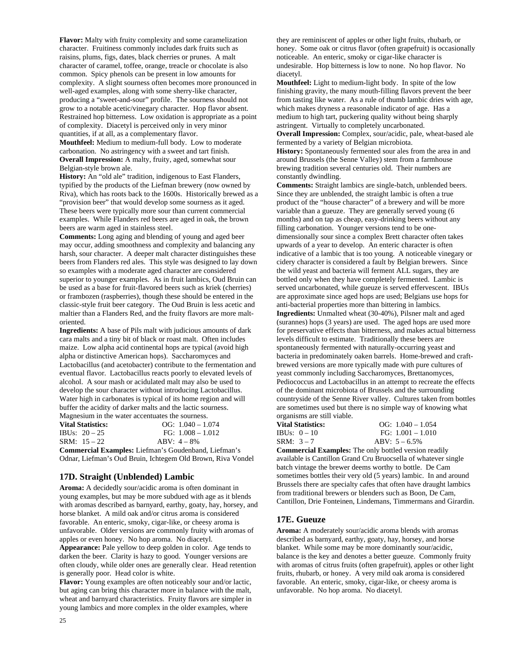<span id="page-27-0"></span>**Flavor:** Malty with fruity complexity and some caramelization character. Fruitiness commonly includes dark fruits such as raisins, plums, figs, dates, black cherries or prunes. A malt character of caramel, toffee, orange, treacle or chocolate is also common. Spicy phenols can be present in low amounts for complexity. A slight sourness often becomes more pronounced in well-aged examples, along with some sherry-like character, producing a "sweet-and-sour" profile. The sourness should not grow to a notable acetic/vinegary character. Hop flavor absent. Restrained hop bitterness. Low oxidation is appropriate as a point of complexity. Diacetyl is perceived only in very minor quantities, if at all, as a complementary flavor.

**Mouthfeel:** Medium to medium-full body. Low to moderate carbonation. No astringency with a sweet and tart finish. **Overall Impression:** A malty, fruity, aged, somewhat sour Belgian-style brown ale.

**History:** An "old ale" tradition, indigenous to East Flanders, typified by the products of the Liefman brewery (now owned by Riva), which has roots back to the 1600s. Historically brewed as a "provision beer" that would develop some sourness as it aged. These beers were typically more sour than current commercial examples. While Flanders red beers are aged in oak, the brown beers are warm aged in stainless steel.

**Comments:** Long aging and blending of young and aged beer may occur, adding smoothness and complexity and balancing any harsh, sour character. A deeper malt character distinguishes these beers from Flanders red ales. This style was designed to lay down so examples with a moderate aged character are considered superior to younger examples. As in fruit lambics, Oud Bruin can be used as a base for fruit-flavored beers such as kriek (cherries) or frambozen (raspberries), though these should be entered in the classic-style fruit beer category. The Oud Bruin is less acetic and maltier than a Flanders Red, and the fruity flavors are more maltoriented.

**Ingredients:** A base of Pils malt with judicious amounts of dark cara malts and a tiny bit of black or roast malt. Often includes maize. Low alpha acid continental hops are typical (avoid high alpha or distinctive American hops). Saccharomyces and Lactobacillus (and acetobacter) contribute to the fermentation and eventual flavor. Lactobacillus reacts poorly to elevated levels of alcohol. A sour mash or acidulated malt may also be used to develop the sour character without introducing Lactobacillus. Water high in carbonates is typical of its home region and will buffer the acidity of darker malts and the lactic sourness. Magnesium in the water accentuates the sourness.

| Vital Statistics: | $OG: 1.040 - 1.074$ |
|-------------------|---------------------|
| IBUs: $20-25$     | FG: $1.008 - 1.012$ |
| SRM: 15 – 22      | $ABV: 4-8%$         |
|                   | . <i>. .</i>        |

**Commercial Examples:** Liefman's Goudenband, Liefman's Odnar, Liefman's Oud Bruin, Ichtegem Old Brown, Riva Vondel

#### **17D. Straight (Unblended) Lambic**

**Aroma:** A decidedly sour/acidic aroma is often dominant in young examples, but may be more subdued with age as it blends with aromas described as barnyard, earthy, goaty, hay, horsey, and horse blanket. A mild oak and/or citrus aroma is considered favorable. An enteric, smoky, cigar-like, or cheesy aroma is unfavorable. Older versions are commonly fruity with aromas of apples or even honey. No hop aroma. No diacetyl.

**Appearance:** Pale yellow to deep golden in color. Age tends to darken the beer. Clarity is hazy to good. Younger versions are often cloudy, while older ones are generally clear. Head retention is generally poor. Head color is white.

**Flavor:** Young examples are often noticeably sour and/or lactic, but aging can bring this character more in balance with the malt, wheat and barnyard characteristics. Fruity flavors are simpler in young lambics and more complex in the older examples, where

they are reminiscent of apples or other light fruits, rhubarb, or honey. Some oak or citrus flavor (often grapefruit) is occasionally noticeable. An enteric, smoky or cigar-like character is undesirable. Hop bitterness is low to none. No hop flavor. No diacetyl.

**Mouthfeel:** Light to medium-light body. In spite of the low finishing gravity, the many mouth-filling flavors prevent the beer from tasting like water. As a rule of thumb lambic dries with age, which makes dryness a reasonable indicator of age. Has a medium to high tart, puckering quality without being sharply astringent. Virtually to completely uncarbonated.

**Overall Impression:** Complex, sour/acidic, pale, wheat-based ale fermented by a variety of Belgian microbiota.

**History:** Spontaneously fermented sour ales from the area in and around Brussels (the Senne Valley) stem from a farmhouse brewing tradition several centuries old. Their numbers are constantly dwindling.

**Comments:** Straight lambics are single-batch, unblended beers. Since they are unblended, the straight lambic is often a true product of the "house character" of a brewery and will be more variable than a gueuze. They are generally served young (6 months) and on tap as cheap, easy-drinking beers without any filling carbonation. Younger versions tend to be onedimensionally sour since a complex Brett character often takes upwards of a year to develop. An enteric character is often indicative of a lambic that is too young. A noticeable vinegary or cidery character is considered a fault by Belgian brewers. Since the wild yeast and bacteria will ferment ALL sugars, they are bottled only when they have completely fermented. Lambic is served uncarbonated, while gueuze is served effervescent. IBUs are approximate since aged hops are used; Belgians use hops for anti-bacterial properties more than bittering in lambics. **Ingredients:** Unmalted wheat (30-40%), Pilsner malt and aged (surannes) hops (3 years) are used. The aged hops are used more for preservative effects than bitterness, and makes actual bitterness levels difficult to estimate. Traditionally these beers are spontaneously fermented with naturally-occurring yeast and bacteria in predominately oaken barrels. Home-brewed and craftbrewed versions are more typically made with pure cultures of yeast commonly including Saccharomyces, Brettanomyces, Pediococcus and Lactobacillus in an attempt to recreate the effects of the dominant microbiota of Brussels and the surrounding countryside of the Senne River valley. Cultures taken from bottles are sometimes used but there is no simple way of knowing what organisms are still viable.

| Vital Statistics: | $OG: 1.040 - 1.054$ |
|-------------------|---------------------|
| IBUs: 0 – 10      | $FG: 1.001 - 1.010$ |
| SRM: 3-7          | $ABV: 5-6.5%$       |
| $\sim$            | .                   |

**Commercial Examples:** The only bottled version readily available is Cantillon Grand Cru Bruocsella of whatever single batch vintage the brewer deems worthy to bottle. De Cam sometimes bottles their very old (5 years) lambic. In and around Brussels there are specialty cafes that often have draught lambics from traditional brewers or blenders such as Boon, De Cam, Cantillon, Drie Fonteinen, Lindemans, Timmermans and Girardin.

#### **17E. Gueuze**

**Aroma:** A moderately sour/acidic aroma blends with aromas described as barnyard, earthy, goaty, hay, horsey, and horse blanket. While some may be more dominantly sour/acidic, balance is the key and denotes a better gueuze. Commonly fruity with aromas of citrus fruits (often grapefruit), apples or other light fruits, rhubarb, or honey. A very mild oak aroma is considered favorable. An enteric, smoky, cigar-like, or cheesy aroma is unfavorable. No hop aroma. No diacetyl.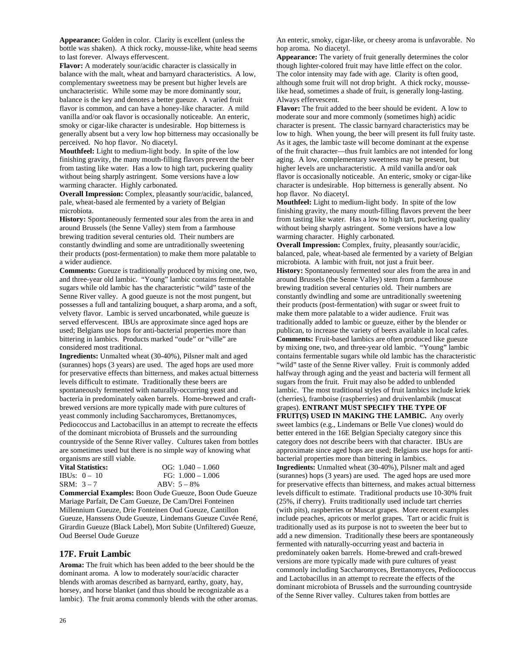<span id="page-28-0"></span>**Appearance:** Golden in color. Clarity is excellent (unless the bottle was shaken). A thick rocky, mousse-like, white head seems to last forever. Always effervescent.

**Flavor:** A moderately sour/acidic character is classically in balance with the malt, wheat and barnyard characteristics. A low, complementary sweetness may be present but higher levels are uncharacteristic. While some may be more dominantly sour, balance is the key and denotes a better gueuze. A varied fruit flavor is common, and can have a honey-like character. A mild vanilla and/or oak flavor is occasionally noticeable. An enteric, smoky or cigar-like character is undesirable. Hop bitterness is generally absent but a very low hop bitterness may occasionally be perceived. No hop flavor. No diacetyl.

**Mouthfeel:** Light to medium-light body. In spite of the low finishing gravity, the many mouth-filling flavors prevent the beer from tasting like water. Has a low to high tart, puckering quality without being sharply astringent. Some versions have a low warming character. Highly carbonated.

**Overall Impression:** Complex, pleasantly sour/acidic, balanced, pale, wheat-based ale fermented by a variety of Belgian microbiota.

**History:** Spontaneously fermented sour ales from the area in and around Brussels (the Senne Valley) stem from a farmhouse brewing tradition several centuries old. Their numbers are constantly dwindling and some are untraditionally sweetening their products (post-fermentation) to make them more palatable to a wider audience.

**Comments:** Gueuze is traditionally produced by mixing one, two, and three-year old lambic. "Young" lambic contains fermentable sugars while old lambic has the characteristic "wild" taste of the Senne River valley. A good gueuze is not the most pungent, but possesses a full and tantalizing bouquet, a sharp aroma, and a soft, velvety flavor. Lambic is served uncarbonated, while gueuze is served effervescent. IBUs are approximate since aged hops are used; Belgians use hops for anti-bacterial properties more than bittering in lambics. Products marked "oude" or "ville" are considered most traditional.

**Ingredients:** Unmalted wheat (30-40%), Pilsner malt and aged (surannes) hops (3 years) are used. The aged hops are used more for preservative effects than bitterness, and makes actual bitterness levels difficult to estimate. Traditionally these beers are spontaneously fermented with naturally-occurring yeast and bacteria in predominately oaken barrels. Home-brewed and craftbrewed versions are more typically made with pure cultures of yeast commonly including Saccharomyces, Brettanomyces, Pediococcus and Lactobacillus in an attempt to recreate the effects of the dominant microbiota of Brussels and the surrounding countryside of the Senne River valley. Cultures taken from bottles are sometimes used but there is no simple way of knowing what organisms are still viable.

| Vital Statistics:     | $OG: 1.040 - 1.060$ |
|-----------------------|---------------------|
| <b>IBUs:</b> $0 - 10$ | $FG: 1.000 - 1.006$ |
| SRM: $3 - 7$          | $ABV: 5-8%$         |

**Commercial Examples:** Boon Oude Gueuze, Boon Oude Gueuze Mariage Parfait, De Cam Gueuze, De Cam/Drei Fonteinen Millennium Gueuze, Drie Fonteinen Oud Gueuze, Cantillon Gueuze, Hanssens Oude Gueuze, Lindemans Gueuze Cuvée René, Girardin Gueuze (Black Label), Mort Subite (Unfiltered) Gueuze, Oud Beersel Oude Gueuze

#### **17F. Fruit Lambic**

**Aroma:** The fruit which has been added to the beer should be the dominant aroma. A low to moderately sour/acidic character blends with aromas described as barnyard, earthy, goaty, hay, horsey, and horse blanket (and thus should be recognizable as a lambic). The fruit aroma commonly blends with the other aromas. An enteric, smoky, cigar-like, or cheesy aroma is unfavorable. No hop aroma. No diacetyl.

**Appearance:** The variety of fruit generally determines the color though lighter-colored fruit may have little effect on the color. The color intensity may fade with age. Clarity is often good, although some fruit will not drop bright. A thick rocky, mousselike head, sometimes a shade of fruit, is generally long-lasting. Always effervescent.

**Flavor:** The fruit added to the beer should be evident. A low to moderate sour and more commonly (sometimes high) acidic character is present. The classic barnyard characteristics may be low to high. When young, the beer will present its full fruity taste. As it ages, the lambic taste will become dominant at the expense of the fruit character—thus fruit lambics are not intended for long aging. A low, complementary sweetness may be present, but higher levels are uncharacteristic. A mild vanilla and/or oak flavor is occasionally noticeable. An enteric, smoky or cigar-like character is undesirable. Hop bitterness is generally absent. No hop flavor. No diacetyl.

**Mouthfeel:** Light to medium-light body. In spite of the low finishing gravity, the many mouth-filling flavors prevent the beer from tasting like water. Has a low to high tart, puckering quality without being sharply astringent. Some versions have a low warming character. Highly carbonated.

**Overall Impression:** Complex, fruity, pleasantly sour/acidic, balanced, pale, wheat-based ale fermented by a variety of Belgian microbiota. A lambic with fruit, not just a fruit beer. **History:** Spontaneously fermented sour ales from the area in and around Brussels (the Senne Valley) stem from a farmhouse brewing tradition several centuries old. Their numbers are constantly dwindling and some are untraditionally sweetening their products (post-fermentation) with sugar or sweet fruit to make them more palatable to a wider audience. Fruit was traditionally added to lambic or gueuze, either by the blender or publican, to increase the variety of beers available in local cafes. **Comments:** Fruit-based lambics are often produced like gueuze by mixing one, two, and three-year old lambic. "Young" lambic contains fermentable sugars while old lambic has the characteristic "wild" taste of the Senne River valley. Fruit is commonly added halfway through aging and the yeast and bacteria will ferment all sugars from the fruit. Fruit may also be added to unblended lambic. The most traditional styles of fruit lambics include kriek (cherries), framboise (raspberries) and druivenlambik (muscat grapes). **ENTRANT MUST SPECIFY THE TYPE OF** 

**FRUIT(S) USED IN MAKING THE LAMBIC.** Any overly sweet lambics (e.g., Lindemans or Belle Vue clones) would do better entered in the 16E Belgian Specialty category since this category does not describe beers with that character. IBUs are approximate since aged hops are used; Belgians use hops for antibacterial properties more than bittering in lambics.

**Ingredients:** Unmalted wheat (30-40%), Pilsner malt and aged (surannes) hops (3 years) are used. The aged hops are used more for preservative effects than bitterness, and makes actual bitterness levels difficult to estimate. Traditional products use 10-30% fruit (25%, if cherry). Fruits traditionally used include tart cherries (with pits), raspberries or Muscat grapes. More recent examples include peaches, apricots or merlot grapes. Tart or acidic fruit is traditionally used as its purpose is not to sweeten the beer but to add a new dimension. Traditionally these beers are spontaneously fermented with naturally-occurring yeast and bacteria in predominately oaken barrels. Home-brewed and craft-brewed versions are more typically made with pure cultures of yeast commonly including Saccharomyces, Brettanomyces, Pediococcus and Lactobacillus in an attempt to recreate the effects of the dominant microbiota of Brussels and the surrounding countryside of the Senne River valley. Cultures taken from bottles are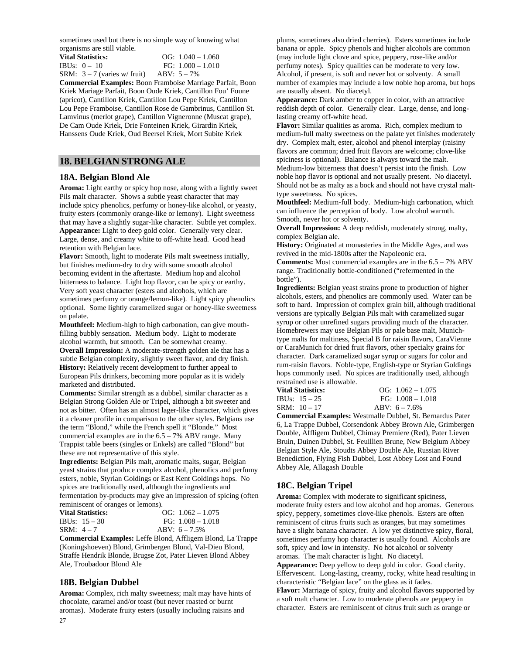<span id="page-29-0"></span>sometimes used but there is no simple way of knowing what organisms are still viable.

| <b>Vital Statistics:</b>     | $OG: 1.040 - 1.060$ |
|------------------------------|---------------------|
| <b>IBUs:</b> $0-10$          | $FG: 1.000 - 1.010$ |
| SRM: $3-7$ (varies w/ fruit) | $ABV: 5-7%$         |

**Commercial Examples:** Boon Framboise Marriage Parfait, Boon Kriek Mariage Parfait, Boon Oude Kriek, Cantillon Fou' Foune (apricot), Cantillon Kriek, Cantillon Lou Pepe Kriek, Cantillon Lou Pepe Framboise, Cantillon Rose de Gambrinus, Cantillon St. Lamvinus (merlot grape), Cantillon Vigneronne (Muscat grape), De Cam Oude Kriek, Drie Fonteinen Kriek, Girardin Kriek, Hanssens Oude Kriek, Oud Beersel Kriek, Mort Subite Kriek

#### **18. BELGIAN STRONG ALE**

#### **18A. Belgian Blond Ale**

**Aroma:** Light earthy or spicy hop nose, along with a lightly sweet Pils malt character. Shows a subtle yeast character that may include spicy phenolics, perfumy or honey-like alcohol, or yeasty, fruity esters (commonly orange-like or lemony). Light sweetness that may have a slightly sugar-like character. Subtle yet complex. **Appearance:** Light to deep gold color. Generally very clear. Large, dense, and creamy white to off-white head. Good head retention with Belgian lace.

**Flavor:** Smooth, light to moderate Pils malt sweetness initially, but finishes medium-dry to dry with some smooth alcohol becoming evident in the aftertaste. Medium hop and alcohol bitterness to balance. Light hop flavor, can be spicy or earthy. Very soft yeast character (esters and alcohols, which are sometimes perfumy or orange/lemon-like). Light spicy phenolics optional. Some lightly caramelized sugar or honey-like sweetness on palate.

**Mouthfeel:** Medium-high to high carbonation, can give mouthfilling bubbly sensation. Medium body. Light to moderate alcohol warmth, but smooth. Can be somewhat creamy. **Overall Impression:** A moderate-strength golden ale that has a subtle Belgian complexity, slightly sweet flavor, and dry finish. **History:** Relatively recent development to further appeal to European Pils drinkers, becoming more popular as it is widely marketed and distributed.

**Comments:** Similar strength as a dubbel, similar character as a Belgian Strong Golden Ale or Tripel, although a bit sweeter and not as bitter. Often has an almost lager-like character, which gives it a cleaner profile in comparison to the other styles. Belgians use the term "Blond," while the French spell it "Blonde." Most commercial examples are in the  $6.5 - 7\%$  ABV range. Many Trappist table beers (singles or Enkels) are called "Blond" but these are not representative of this style.

**Ingredients:** Belgian Pils malt, aromatic malts, sugar, Belgian yeast strains that produce complex alcohol, phenolics and perfumy esters, noble, Styrian Goldings or East Kent Goldings hops. No spices are traditionally used, although the ingredients and fermentation by-products may give an impression of spicing (often reminiscent of oranges or lemons).

| <b>Vital Statistics:</b> | $OG: 1.062 - 1.075$ |
|--------------------------|---------------------|
| <b>IBUs:</b> $15 - 30$   | $FG: 1.008 - 1.018$ |
| $SRM: 4-7$               | $ABV: 6-7.5%$       |

**Commercial Examples:** Leffe Blond, Affligem Blond, La Trappe (Koningshoeven) Blond, Grimbergen Blond, Val-Dieu Blond, Straffe Hendrik Blonde, Brugse Zot, Pater Lieven Blond Abbey Ale, Troubadour Blond Ale

#### **18B. Belgian Dubbel**

**Aroma:** Complex, rich malty sweetness; malt may have hints of chocolate, caramel and/or toast (but never roasted or burnt aromas). Moderate fruity esters (usually including raisins and

plums, sometimes also dried cherries). Esters sometimes include banana or apple. Spicy phenols and higher alcohols are common (may include light clove and spice, peppery, rose-like and/or perfumy notes). Spicy qualities can be moderate to very low. Alcohol, if present, is soft and never hot or solventy. A small number of examples may include a low noble hop aroma, but hops are usually absent. No diacetyl.

**Appearance:** Dark amber to copper in color, with an attractive reddish depth of color. Generally clear. Large, dense, and longlasting creamy off-white head.

**Flavor:** Similar qualities as aroma. Rich, complex medium to medium-full malty sweetness on the palate yet finishes moderately dry. Complex malt, ester, alcohol and phenol interplay (raisiny flavors are common; dried fruit flavors are welcome; clove-like spiciness is optional). Balance is always toward the malt. Medium-low bitterness that doesn't persist into the finish. Low noble hop flavor is optional and not usually present. No diacetyl. Should not be as malty as a bock and should not have crystal malttype sweetness. No spices.

**Mouthfeel:** Medium-full body. Medium-high carbonation, which can influence the perception of body. Low alcohol warmth. Smooth, never hot or solventy.

**Overall Impression:** A deep reddish, moderately strong, malty, complex Belgian ale.

**History:** Originated at monasteries in the Middle Ages, and was revived in the mid-1800s after the Napoleonic era.

**Comments:** Most commercial examples are in the 6.5 – 7% ABV range. Traditionally bottle-conditioned ("refermented in the bottle").

**Ingredients:** Belgian yeast strains prone to production of higher alcohols, esters, and phenolics are commonly used. Water can be soft to hard. Impression of complex grain bill, although traditional versions are typically Belgian Pils malt with caramelized sugar syrup or other unrefined sugars providing much of the character. Homebrewers may use Belgian Pils or pale base malt, Munichtype malts for maltiness, Special B for raisin flavors, CaraVienne or CaraMunich for dried fruit flavors, other specialty grains for character. Dark caramelized sugar syrup or sugars for color and rum-raisin flavors. Noble-type, English-type or Styrian Goldings hops commonly used. No spices are traditionally used, although restrained use is allowable.

| Vital Statistics: | $OG: 1.062 - 1.075$ |
|-------------------|---------------------|
| IBUs: 15 – 25     | $FG: 1.008 - 1.018$ |
| SRM: 10 – 17      | $ABV: 6-7.6%$       |
|                   |                     |

**Commercial Examples:** Westmalle Dubbel, St. Bernardus Pater 6, La Trappe Dubbel, Corsendonk Abbey Brown Ale, Grimbergen Double, Affligem Dubbel, Chimay Premiere (Red), Pater Lieven Bruin, Duinen Dubbel, St. Feuillien Brune, New Belgium Abbey Belgian Style Ale, Stoudts Abbey Double Ale, Russian River Benediction, Flying Fish Dubbel, Lost Abbey Lost and Found Abbey Ale, Allagash Double

#### **18C. Belgian Tripel**

**Aroma:** Complex with moderate to significant spiciness, moderate fruity esters and low alcohol and hop aromas. Generous spicy, peppery, sometimes clove-like phenols. Esters are often reminiscent of citrus fruits such as oranges, but may sometimes have a slight banana character. A low yet distinctive spicy, floral, sometimes perfumy hop character is usually found. Alcohols are soft, spicy and low in intensity. No hot alcohol or solventy aromas. The malt character is light. No diacetyl.

**Appearance:** Deep yellow to deep gold in color. Good clarity. Effervescent. Long-lasting, creamy, rocky, white head resulting in characteristic "Belgian lace" on the glass as it fades.

**Flavor:** Marriage of spicy, fruity and alcohol flavors supported by a soft malt character. Low to moderate phenols are peppery in character. Esters are reminiscent of citrus fruit such as orange or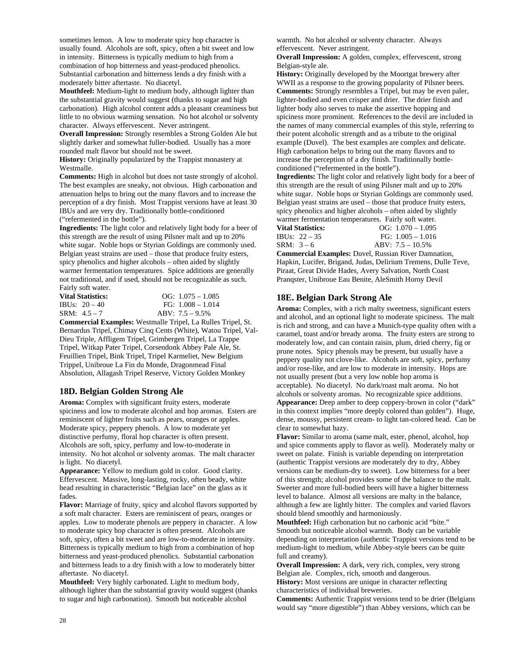<span id="page-30-0"></span>sometimes lemon. A low to moderate spicy hop character is usually found. Alcohols are soft, spicy, often a bit sweet and low in intensity. Bitterness is typically medium to high from a combination of hop bitterness and yeast-produced phenolics. Substantial carbonation and bitterness lends a dry finish with a moderately bitter aftertaste. No diacetyl.

**Mouthfeel:** Medium-light to medium body, although lighter than the substantial gravity would suggest (thanks to sugar and high carbonation). High alcohol content adds a pleasant creaminess but little to no obvious warming sensation. No hot alcohol or solventy character. Always effervescent. Never astringent.

**Overall Impression:** Strongly resembles a Strong Golden Ale but slightly darker and somewhat fuller-bodied. Usually has a more rounded malt flavor but should not be sweet.

**History:** Originally popularized by the Trappist monastery at Westmalle.

**Comments:** High in alcohol but does not taste strongly of alcohol. The best examples are sneaky, not obvious. High carbonation and attenuation helps to bring out the many flavors and to increase the perception of a dry finish. Most Trappist versions have at least 30 IBUs and are very dry. Traditionally bottle-conditioned ("refermented in the bottle").

**Ingredients:** The light color and relatively light body for a beer of this strength are the result of using Pilsner malt and up to 20% white sugar. Noble hops or Styrian Goldings are commonly used. Belgian yeast strains are used – those that produce fruity esters, spicy phenolics and higher alcohols – often aided by slightly warmer fermentation temperatures. Spice additions are generally not traditional, and if used, should not be recognizable as such. Fairly soft water.

| <b>Vital Statistics:</b> | $OG: 1.075 - 1.085$ |
|--------------------------|---------------------|
| IBUs: $20-40$            | $FG: 1.008 - 1.014$ |
| SRM: $4.5 - 7$           | $ABV: 7.5 - 9.5\%$  |

**Commercial Examples:** Westmalle Tripel, La Rulles Tripel, St. Bernardus Tripel, Chimay Cinq Cents (White), Watou Tripel, Val-Dieu Triple, Affligem Tripel, Grimbergen Tripel, La Trappe Tripel, Witkap Pater Tripel, Corsendonk Abbey Pale Ale, St. Feuillien Tripel, Bink Tripel, Tripel Karmeliet, New Belgium Trippel, Unibroue La Fin du Monde, Dragonmead Final Absolution, Allagash Tripel Reserve, Victory Golden Monkey

#### **18D. Belgian Golden Strong Ale**

**Aroma:** Complex with significant fruity esters, moderate spiciness and low to moderate alcohol and hop aromas. Esters are reminiscent of lighter fruits such as pears, oranges or apples. Moderate spicy, peppery phenols. A low to moderate yet distinctive perfumy, floral hop character is often present. Alcohols are soft, spicy, perfumy and low-to-moderate in intensity. No hot alcohol or solventy aromas. The malt character is light. No diacetyl.

**Appearance:** Yellow to medium gold in color. Good clarity. Effervescent. Massive, long-lasting, rocky, often beady, white head resulting in characteristic "Belgian lace" on the glass as it fades.

**Flavor:** Marriage of fruity, spicy and alcohol flavors supported by a soft malt character. Esters are reminiscent of pears, oranges or apples. Low to moderate phenols are peppery in character. A low to moderate spicy hop character is often present. Alcohols are soft, spicy, often a bit sweet and are low-to-moderate in intensity. Bitterness is typically medium to high from a combination of hop bitterness and yeast-produced phenolics. Substantial carbonation and bitterness leads to a dry finish with a low to moderately bitter aftertaste. No diacetyl.

**Mouthfeel:** Very highly carbonated. Light to medium body, although lighter than the substantial gravity would suggest (thanks to sugar and high carbonation). Smooth but noticeable alcohol

warmth. No hot alcohol or solventy character. Always effervescent. Never astringent.

**Overall Impression:** A golden, complex, effervescent, strong Belgian-style ale.

**History:** Originally developed by the Moortgat brewery after WWII as a response to the growing popularity of Pilsner beers. **Comments:** Strongly resembles a Tripel, but may be even paler, lighter-bodied and even crisper and drier. The drier finish and lighter body also serves to make the assertive hopping and spiciness more prominent. References to the devil are included in the names of many commercial examples of this style, referring to their potent alcoholic strength and as a tribute to the original example (Duvel). The best examples are complex and delicate. High carbonation helps to bring out the many flavors and to increase the perception of a dry finish. Traditionally bottleconditioned ("refermented in the bottle").

**Ingredients:** The light color and relatively light body for a beer of this strength are the result of using Pilsner malt and up to 20% white sugar. Noble hops or Styrian Goldings are commonly used. Belgian yeast strains are used – those that produce fruity esters, spicy phenolics and higher alcohols – often aided by slightly warmer fermentation temperatures. Fairly soft water.

| Vital Statistics: | $OG: 1.070 - 1.095$ |
|-------------------|---------------------|
| IBUs: 22 – 35     | FG: $1.005 - 1.016$ |
| $SRM: 3-6$        | $ABV: 7.5 - 10.5\%$ |

**Commercial Examples:** Duvel, Russian River Damnation, Hapkin, Lucifer, Brigand, Judas, Delirium Tremens, Dulle Teve, Piraat, Great Divide Hades, Avery Salvation, North Coast Pranqster, Unibroue Eau Benite, AleSmith Horny Devil

#### **18E. Belgian Dark Strong Ale**

**Aroma:** Complex, with a rich malty sweetness, significant esters and alcohol, and an optional light to moderate spiciness. The malt is rich and strong, and can have a Munich-type quality often with a caramel, toast and/or bready aroma. The fruity esters are strong to moderately low, and can contain raisin, plum, dried cherry, fig or prune notes. Spicy phenols may be present, but usually have a peppery quality not clove-like. Alcohols are soft, spicy, perfumy and/or rose-like, and are low to moderate in intensity. Hops are not usually present (but a very low noble hop aroma is acceptable). No diacetyl. No dark/roast malt aroma. No hot alcohols or solventy aromas. No recognizable spice additions. **Appearance:** Deep amber to deep coppery-brown in color ("dark" in this context implies "more deeply colored than golden"). Huge, dense, moussy, persistent cream- to light tan-colored head. Can be clear to somewhat hazy.

**Flavor:** Similar to aroma (same malt, ester, phenol, alcohol, hop and spice comments apply to flavor as well). Moderately malty or sweet on palate. Finish is variable depending on interpretation (authentic Trappist versions are moderately dry to dry, Abbey versions can be medium-dry to sweet). Low bitterness for a beer of this strength; alcohol provides some of the balance to the malt. Sweeter and more full-bodied beers will have a higher bitterness level to balance. Almost all versions are malty in the balance, although a few are lightly bitter. The complex and varied flavors should blend smoothly and harmoniously.

**Mouthfeel:** High carbonation but no carbonic acid "bite." Smooth but noticeable alcohol warmth. Body can be variable depending on interpretation (authentic Trappist versions tend to be medium-light to medium, while Abbey-style beers can be quite full and creamy).

**Overall Impression:** A dark, very rich, complex, very strong Belgian ale. Complex, rich, smooth and dangerous. **History:** Most versions are unique in character reflecting characteristics of individual breweries.

**Comments:** Authentic Trappist versions tend to be drier (Belgians would say "more digestible") than Abbey versions, which can be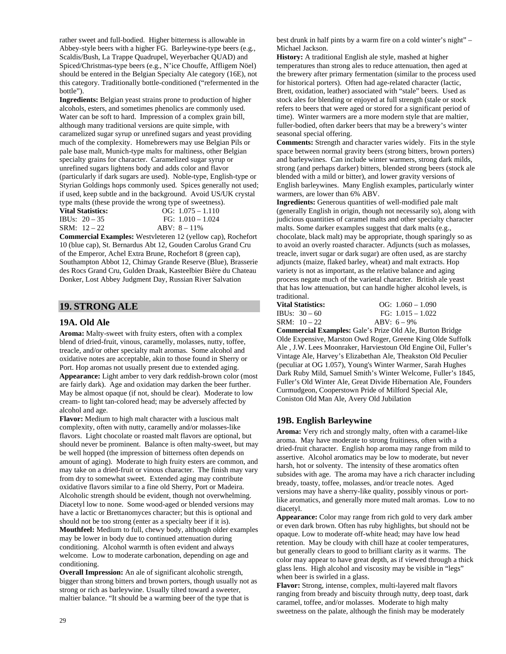<span id="page-31-0"></span>rather sweet and full-bodied. Higher bitterness is allowable in Abbey-style beers with a higher FG. Barleywine-type beers (e.g., Scaldis/Bush, La Trappe Quadrupel, Weyerbacher QUAD) and Spiced/Christmas-type beers (e.g., N'ice Chouffe, Affligem Nöel) should be entered in the Belgian Specialty Ale category (16E), not this category. Traditionally bottle-conditioned ("refermented in the bottle").

**Ingredients:** Belgian yeast strains prone to production of higher alcohols, esters, and sometimes phenolics are commonly used. Water can be soft to hard. Impression of a complex grain bill, although many traditional versions are quite simple, with caramelized sugar syrup or unrefined sugars and yeast providing much of the complexity. Homebrewers may use Belgian Pils or pale base malt, Munich-type malts for maltiness, other Belgian specialty grains for character. Caramelized sugar syrup or unrefined sugars lightens body and adds color and flavor (particularly if dark sugars are used). Noble-type, English-type or Styrian Goldings hops commonly used. Spices generally not used; if used, keep subtle and in the background. Avoid US/UK crystal type malts (these provide the wrong type of sweetness).

| type mans (these provide the wrong type of sweethess).                                                                                                                                                                                                      |                     |
|-------------------------------------------------------------------------------------------------------------------------------------------------------------------------------------------------------------------------------------------------------------|---------------------|
| <b>Vital Statistics:</b>                                                                                                                                                                                                                                    | $OG: 1.075 - 1.110$ |
| <b>IBUs:</b> $20 - 35$                                                                                                                                                                                                                                      | $FG: 1.010 - 1.024$ |
| $SRM: 12-22$                                                                                                                                                                                                                                                | $ABV: 8-11%$        |
| $C_{2}$ $C_{3}$ $C_{4}$ $C_{5}$ $C_{6}$ $D_{7}$ $D_{8}$ $D_{9}$ $D_{10}$ $D_{11}$ $D_{12}$ $D_{13}$ $D_{14}$ $D_{15}$ $D_{16}$ $D_{17}$ $D_{18}$ $D_{19}$ $D_{10}$ $D_{11}$ $D_{12}$ $D_{13}$ $D_{14}$ $D_{15}$ $D_{16}$ $D_{17}$ $D_{18}$ $D_{19}$ $D_{10$ |                     |

**Commercial Examples:** Westvleteren 12 (yellow cap), Rochefort 10 (blue cap), St. Bernardus Abt 12, Gouden Carolus Grand Cru of the Emperor, Achel Extra Brune, Rochefort 8 (green cap), Southampton Abbot 12, Chimay Grande Reserve (Blue), Brasserie des Rocs Grand Cru, Gulden Draak, Kasteelbier Bière du Chateau Donker, Lost Abbey Judgment Day, Russian River Salvation

#### **19. STRONG ALE**

#### **19A. Old Ale**

**Aroma:** Malty-sweet with fruity esters, often with a complex blend of dried-fruit, vinous, caramelly, molasses, nutty, toffee, treacle, and/or other specialty malt aromas. Some alcohol and oxidative notes are acceptable, akin to those found in Sherry or Port. Hop aromas not usually present due to extended aging. **Appearance:** Light amber to very dark reddish-brown color (most are fairly dark). Age and oxidation may darken the beer further. May be almost opaque (if not, should be clear). Moderate to low cream- to light tan-colored head; may be adversely affected by alcohol and age.

**Flavor:** Medium to high malt character with a luscious malt complexity, often with nutty, caramelly and/or molasses-like flavors. Light chocolate or roasted malt flavors are optional, but should never be prominent. Balance is often malty-sweet, but may be well hopped (the impression of bitterness often depends on amount of aging). Moderate to high fruity esters are common, and may take on a dried-fruit or vinous character. The finish may vary from dry to somewhat sweet. Extended aging may contribute oxidative flavors similar to a fine old Sherry, Port or Madeira. Alcoholic strength should be evident, though not overwhelming. Diacetyl low to none. Some wood-aged or blended versions may have a lactic or Brettanomyces character; but this is optional and should not be too strong (enter as a specialty beer if it is). **Mouthfeel:** Medium to full, chewy body, although older examples may be lower in body due to continued attenuation during conditioning. Alcohol warmth is often evident and always welcome. Low to moderate carbonation, depending on age and conditioning.

**Overall Impression:** An ale of significant alcoholic strength, bigger than strong bitters and brown porters, though usually not as strong or rich as barleywine. Usually tilted toward a sweeter, maltier balance. "It should be a warming beer of the type that is

best drunk in half pints by a warm fire on a cold winter's night" – Michael Jackson.

**History:** A traditional English ale style, mashed at higher temperatures than strong ales to reduce attenuation, then aged at the brewery after primary fermentation (similar to the process used for historical porters). Often had age-related character (lactic, Brett, oxidation, leather) associated with "stale" beers. Used as stock ales for blending or enjoyed at full strength (stale or stock refers to beers that were aged or stored for a significant period of time). Winter warmers are a more modern style that are maltier, fuller-bodied, often darker beers that may be a brewery's winter seasonal special offering.

**Comments:** Strength and character varies widely. Fits in the style space between normal gravity beers (strong bitters, brown porters) and barleywines. Can include winter warmers, strong dark milds, strong (and perhaps darker) bitters, blended strong beers (stock ale blended with a mild or bitter), and lower gravity versions of English barleywines. Many English examples, particularly winter warmers, are lower than 6% ABV.

**Ingredients:** Generous quantities of well-modified pale malt (generally English in origin, though not necessarily so), along with judicious quantities of caramel malts and other specialty character malts. Some darker examples suggest that dark malts (e.g., chocolate, black malt) may be appropriate, though sparingly so as to avoid an overly roasted character. Adjuncts (such as molasses, treacle, invert sugar or dark sugar) are often used, as are starchy adjuncts (maize, flaked barley, wheat) and malt extracts. Hop variety is not as important, as the relative balance and aging process negate much of the varietal character. British ale yeast that has low attenuation, but can handle higher alcohol levels, is traditional.

| Vital Statistics: | $OG: 1.060 - 1.090$ |
|-------------------|---------------------|
| IBUs: 30 – 60     | FG: $1.015 - 1.022$ |
| SRM: 10 – 22      | ABV: $6 - 9\%$      |

**Commercial Examples:** Gale's Prize Old Ale, Burton Bridge Olde Expensive, Marston Owd Roger, Greene King Olde Suffolk Ale , J.W. Lees Moonraker, Harviestoun Old Engine Oil, Fuller's Vintage Ale, Harvey's Elizabethan Ale, Theakston Old Peculier (peculiar at OG 1.057), Young's Winter Warmer, Sarah Hughes Dark Ruby Mild, Samuel Smith's Winter Welcome, Fuller's 1845, Fuller's Old Winter Ale, Great Divide Hibernation Ale, Founders Curmudgeon, Cooperstown Pride of Milford Special Ale, Coniston Old Man Ale, Avery Old Jubilation

#### **19B. English Barleywine**

**Aroma:** Very rich and strongly malty, often with a caramel-like aroma. May have moderate to strong fruitiness, often with a dried-fruit character. English hop aroma may range from mild to assertive. Alcohol aromatics may be low to moderate, but never harsh, hot or solventy. The intensity of these aromatics often subsides with age. The aroma may have a rich character including bready, toasty, toffee, molasses, and/or treacle notes. Aged versions may have a sherry-like quality, possibly vinous or portlike aromatics, and generally more muted malt aromas. Low to no diacetyl.

**Appearance:** Color may range from rich gold to very dark amber or even dark brown. Often has ruby highlights, but should not be opaque. Low to moderate off-white head; may have low head retention. May be cloudy with chill haze at cooler temperatures, but generally clears to good to brilliant clarity as it warms. The color may appear to have great depth, as if viewed through a thick glass lens. High alcohol and viscosity may be visible in "legs" when beer is swirled in a glass.

**Flavor:** Strong, intense, complex, multi-layered malt flavors ranging from bready and biscuity through nutty, deep toast, dark caramel, toffee, and/or molasses. Moderate to high malty sweetness on the palate, although the finish may be moderately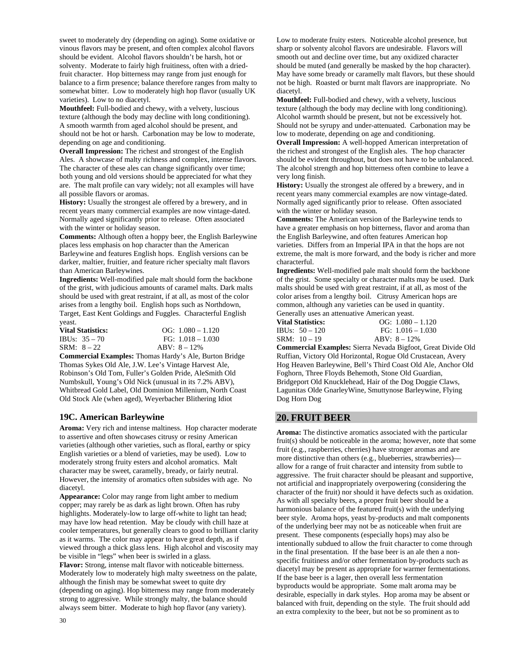<span id="page-32-0"></span>sweet to moderately dry (depending on aging). Some oxidative or vinous flavors may be present, and often complex alcohol flavors should be evident. Alcohol flavors shouldn't be harsh, hot or solventy. Moderate to fairly high fruitiness, often with a driedfruit character. Hop bitterness may range from just enough for balance to a firm presence; balance therefore ranges from malty to somewhat bitter. Low to moderately high hop flavor (usually UK varieties). Low to no diacetyl.

**Mouthfeel:** Full-bodied and chewy, with a velvety, luscious texture (although the body may decline with long conditioning). A smooth warmth from aged alcohol should be present, and should not be hot or harsh. Carbonation may be low to moderate, depending on age and conditioning.

**Overall Impression:** The richest and strongest of the English Ales. A showcase of malty richness and complex, intense flavors. The character of these ales can change significantly over time; both young and old versions should be appreciated for what they are. The malt profile can vary widely; not all examples will have all possible flavors or aromas.

**History:** Usually the strongest ale offered by a brewery, and in recent years many commercial examples are now vintage-dated. Normally aged significantly prior to release. Often associated with the winter or holiday season.

**Comments:** Although often a hoppy beer, the English Barleywine places less emphasis on hop character than the American Barleywine and features English hops. English versions can be darker, maltier, fruitier, and feature richer specialty malt flavors than American Barleywines.

**Ingredients:** Well-modified pale malt should form the backbone of the grist, with judicious amounts of caramel malts. Dark malts should be used with great restraint, if at all, as most of the color arises from a lengthy boil. English hops such as Northdown, Target, East Kent Goldings and Fuggles. Characterful English yeast.

| Vital Statistics: | $OG: 1.080 - 1.120$ |
|-------------------|---------------------|
| IBUs: $35 - 70$   | $FG: 1.018 - 1.030$ |
| SRM: $8-22$       | $ABV: 8-12%$        |

**Commercial Examples:** Thomas Hardy's Ale, Burton Bridge Thomas Sykes Old Ale, J.W. Lee's Vintage Harvest Ale, Robinson's Old Tom, Fuller's Golden Pride, AleSmith Old Numbskull, Young's Old Nick (unusual in its 7.2% ABV), Whitbread Gold Label, Old Dominion Millenium, North Coast Old Stock Ale (when aged), Weyerbacher Blithering Idiot

#### **19C. American Barleywine**

**Aroma:** Very rich and intense maltiness. Hop character moderate to assertive and often showcases citrusy or resiny American varieties (although other varieties, such as floral, earthy or spicy English varieties or a blend of varieties, may be used). Low to moderately strong fruity esters and alcohol aromatics. Malt character may be sweet, caramelly, bready, or fairly neutral. However, the intensity of aromatics often subsides with age. No diacetyl.

**Appearance:** Color may range from light amber to medium copper; may rarely be as dark as light brown. Often has ruby highlights. Moderately-low to large off-white to light tan head; may have low head retention. May be cloudy with chill haze at cooler temperatures, but generally clears to good to brilliant clarity as it warms. The color may appear to have great depth, as if viewed through a thick glass lens. High alcohol and viscosity may be visible in "legs" when beer is swirled in a glass. **Flavor:** Strong, intense malt flavor with noticeable bitterness. Moderately low to moderately high malty sweetness on the palate, although the finish may be somewhat sweet to quite dry (depending on aging). Hop bitterness may range from moderately strong to aggressive. While strongly malty, the balance should always seem bitter. Moderate to high hop flavor (any variety).

Low to moderate fruity esters. Noticeable alcohol presence, but sharp or solventy alcohol flavors are undesirable. Flavors will smooth out and decline over time, but any oxidized character should be muted (and generally be masked by the hop character). May have some bready or caramelly malt flavors, but these should not be high. Roasted or burnt malt flavors are inappropriate. No diacetyl.

**Mouthfeel:** Full-bodied and chewy, with a velvety, luscious texture (although the body may decline with long conditioning). Alcohol warmth should be present, but not be excessively hot. Should not be syrupy and under-attenuated. Carbonation may be low to moderate, depending on age and conditioning.

**Overall Impression:** A well-hopped American interpretation of the richest and strongest of the English ales. The hop character should be evident throughout, but does not have to be unbalanced. The alcohol strength and hop bitterness often combine to leave a very long finish.

**History:** Usually the strongest ale offered by a brewery, and in recent years many commercial examples are now vintage-dated. Normally aged significantly prior to release. Often associated with the winter or holiday season.

**Comments:** The American version of the Barleywine tends to have a greater emphasis on hop bitterness, flavor and aroma than the English Barleywine, and often features American hop varieties. Differs from an Imperial IPA in that the hops are not extreme, the malt is more forward, and the body is richer and more characterful.

**Ingredients:** Well-modified pale malt should form the backbone of the grist. Some specialty or character malts may be used. Dark malts should be used with great restraint, if at all, as most of the color arises from a lengthy boil. Citrusy American hops are common, although any varieties can be used in quantity. Generally uses an attenuative American yeast.

| $\sigma$                 |                     |  |  |  |  |
|--------------------------|---------------------|--|--|--|--|
| <b>Vital Statistics:</b> | OG: $1.080 - 1.120$ |  |  |  |  |
| <b>IBUs:</b> $50 - 120$  | FG: $1.016 - 1.030$ |  |  |  |  |
| SRM: $10-19$             | $ABV: 8-12%$        |  |  |  |  |

**Commercial Examples:** Sierra Nevada Bigfoot, Great Divide Old Ruffian, Victory Old Horizontal, Rogue Old Crustacean, Avery Hog Heaven Barleywine, Bell's Third Coast Old Ale, Anchor Old Foghorn, Three Floyds Behemoth, Stone Old Guardian, Bridgeport Old Knucklehead, Hair of the Dog Doggie Claws, Lagunitas Olde GnarleyWine, Smuttynose Barleywine, Flying Dog Horn Dog

#### **20. FRUIT BEER**

**Aroma:** The distinctive aromatics associated with the particular fruit(s) should be noticeable in the aroma; however, note that some fruit (e.g., raspberries, cherries) have stronger aromas and are more distinctive than others (e.g., blueberries, strawberries) allow for a range of fruit character and intensity from subtle to aggressive. The fruit character should be pleasant and supportive, not artificial and inappropriately overpowering (considering the character of the fruit) nor should it have defects such as oxidation. As with all specialty beers, a proper fruit beer should be a harmonious balance of the featured fruit(s) with the underlying beer style. Aroma hops, yeast by-products and malt components of the underlying beer may not be as noticeable when fruit are present. These components (especially hops) may also be intentionally subdued to allow the fruit character to come through in the final presentation. If the base beer is an ale then a nonspecific fruitiness and/or other fermentation by-products such as diacetyl may be present as appropriate for warmer fermentations. If the base beer is a lager, then overall less fermentation byproducts would be appropriate. Some malt aroma may be desirable, especially in dark styles. Hop aroma may be absent or balanced with fruit, depending on the style. The fruit should add an extra complexity to the beer, but not be so prominent as to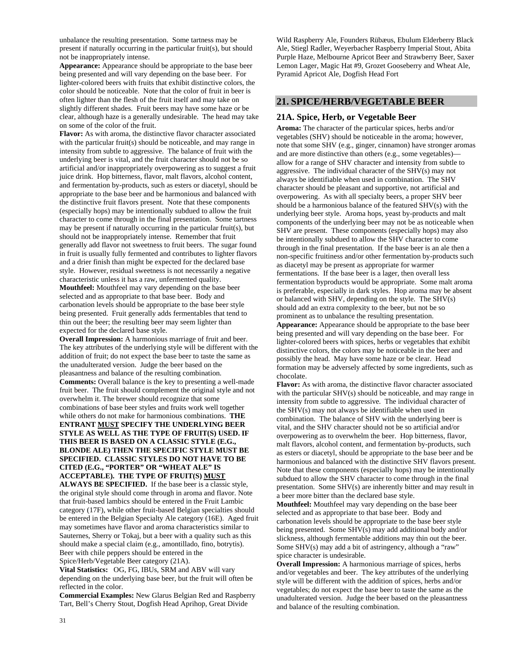<span id="page-33-0"></span>unbalance the resulting presentation. Some tartness may be present if naturally occurring in the particular fruit(s), but should not be inappropriately intense.

**Appearance:** Appearance should be appropriate to the base beer being presented and will vary depending on the base beer. For lighter-colored beers with fruits that exhibit distinctive colors, the color should be noticeable. Note that the color of fruit in beer is often lighter than the flesh of the fruit itself and may take on slightly different shades. Fruit beers may have some haze or be clear, although haze is a generally undesirable. The head may take on some of the color of the fruit.

**Flavor:** As with aroma, the distinctive flavor character associated with the particular fruit(s) should be noticeable, and may range in intensity from subtle to aggressive. The balance of fruit with the underlying beer is vital, and the fruit character should not be so artificial and/or inappropriately overpowering as to suggest a fruit juice drink. Hop bitterness, flavor, malt flavors, alcohol content, and fermentation by-products, such as esters or diacetyl, should be appropriate to the base beer and be harmonious and balanced with the distinctive fruit flavors present. Note that these components (especially hops) may be intentionally subdued to allow the fruit character to come through in the final presentation. Some tartness may be present if naturally occurring in the particular fruit(s), but should not be inappropriately intense. Remember that fruit generally add flavor not sweetness to fruit beers. The sugar found in fruit is usually fully fermented and contributes to lighter flavors and a drier finish than might be expected for the declared base style. However, residual sweetness is not necessarily a negative characteristic unless it has a raw, unfermented quality. **Mouthfeel:** Mouthfeel may vary depending on the base beer selected and as appropriate to that base beer. Body and carbonation levels should be appropriate to the base beer style being presented. Fruit generally adds fermentables that tend to thin out the beer; the resulting beer may seem lighter than expected for the declared base style.

**Overall Impression:** A harmonious marriage of fruit and beer. The key attributes of the underlying style will be different with the addition of fruit; do not expect the base beer to taste the same as the unadulterated version. Judge the beer based on the pleasantness and balance of the resulting combination. **Comments:** Overall balance is the key to presenting a well-made fruit beer. The fruit should complement the original style and not overwhelm it. The brewer should recognize that some combinations of base beer styles and fruits work well together while others do not make for harmonious combinations. **THE ENTRANT MUST SPECIFY THE UNDERLYING BEER STYLE AS WELL AS THE TYPE OF FRUIT(S) USED. IF THIS BEER IS BASED ON A CLASSIC STYLE (E.G., BLONDE ALE) THEN THE SPECIFIC STYLE MUST BE SPECIFIED. CLASSIC STYLES DO NOT HAVE TO BE CITED (E.G., "PORTER" OR "WHEAT ALE" IS ACCEPTABLE). THE TYPE OF FRUIT(S) MUST**

**ALWAYS BE SPECIFIED.** If the base beer is a classic style, the original style should come through in aroma and flavor. Note that fruit-based lambics should be entered in the Fruit Lambic category (17F), while other fruit-based Belgian specialties should be entered in the Belgian Specialty Ale category (16E). Aged fruit may sometimes have flavor and aroma characteristics similar to Sauternes, Sherry or Tokaj, but a beer with a quality such as this should make a special claim (e.g., amontillado, fino, botrytis). Beer with chile peppers should be entered in the

Spice/Herb/Vegetable Beer category (21A).

**Vital Statistics:** OG, FG, IBUs, SRM and ABV will vary depending on the underlying base beer, but the fruit will often be reflected in the color.

**Commercial Examples:** New Glarus Belgian Red and Raspberry Tart, Bell's Cherry Stout, Dogfish Head Aprihop, Great Divide

Wild Raspberry Ale, Founders Rübæus, Ebulum Elderberry Black Ale, Stiegl Radler, Weyerbacher Raspberry Imperial Stout, Abita Purple Haze, Melbourne Apricot Beer and Strawberry Beer, Saxer Lemon Lager, Magic Hat #9, Grozet Gooseberry and Wheat Ale, Pyramid Apricot Ale, Dogfish Head Fort

#### **21. SPICE/HERB/VEGETABLE BEER**

#### **21A. Spice, Herb, or Vegetable Beer**

**Aroma:** The character of the particular spices, herbs and/or vegetables (SHV) should be noticeable in the aroma; however, note that some SHV (e.g., ginger, cinnamon) have stronger aromas and are more distinctive than others (e.g., some vegetables) allow for a range of SHV character and intensity from subtle to aggressive. The individual character of the SHV(s) may not always be identifiable when used in combination. The SHV character should be pleasant and supportive, not artificial and overpowering. As with all specialty beers, a proper SHV beer should be a harmonious balance of the featured SHV(s) with the underlying beer style. Aroma hops, yeast by-products and malt components of the underlying beer may not be as noticeable when SHV are present. These components (especially hops) may also be intentionally subdued to allow the SHV character to come through in the final presentation. If the base beer is an ale then a non-specific fruitiness and/or other fermentation by-products such as diacetyl may be present as appropriate for warmer fermentations. If the base beer is a lager, then overall less fermentation byproducts would be appropriate. Some malt aroma is preferable, especially in dark styles. Hop aroma may be absent or balanced with SHV, depending on the style. The SHV(s) should add an extra complexity to the beer, but not be so prominent as to unbalance the resulting presentation. **Appearance:** Appearance should be appropriate to the base beer being presented and will vary depending on the base beer. For lighter-colored beers with spices, herbs or vegetables that exhibit distinctive colors, the colors may be noticeable in the beer and possibly the head. May have some haze or be clear. Head formation may be adversely affected by some ingredients, such as chocolate.

**Flavor:** As with aroma, the distinctive flavor character associated with the particular SHV(s) should be noticeable, and may range in intensity from subtle to aggressive. The individual character of the SHV(s) may not always be identifiable when used in combination. The balance of SHV with the underlying beer is vital, and the SHV character should not be so artificial and/or overpowering as to overwhelm the beer. Hop bitterness, flavor, malt flavors, alcohol content, and fermentation by-products, such as esters or diacetyl, should be appropriate to the base beer and be harmonious and balanced with the distinctive SHV flavors present. Note that these components (especially hops) may be intentionally subdued to allow the SHV character to come through in the final presentation. Some SHV(s) are inherently bitter and may result in a beer more bitter than the declared base style.

**Mouthfeel:** Mouthfeel may vary depending on the base beer selected and as appropriate to that base beer. Body and carbonation levels should be appropriate to the base beer style being presented. Some SHV(s) may add additional body and/or slickness, although fermentable additions may thin out the beer. Some SHV(s) may add a bit of astringency, although a "raw" spice character is undesirable.

**Overall Impression:** A harmonious marriage of spices, herbs and/or vegetables and beer. The key attributes of the underlying style will be different with the addition of spices, herbs and/or vegetables; do not expect the base beer to taste the same as the unadulterated version. Judge the beer based on the pleasantness and balance of the resulting combination.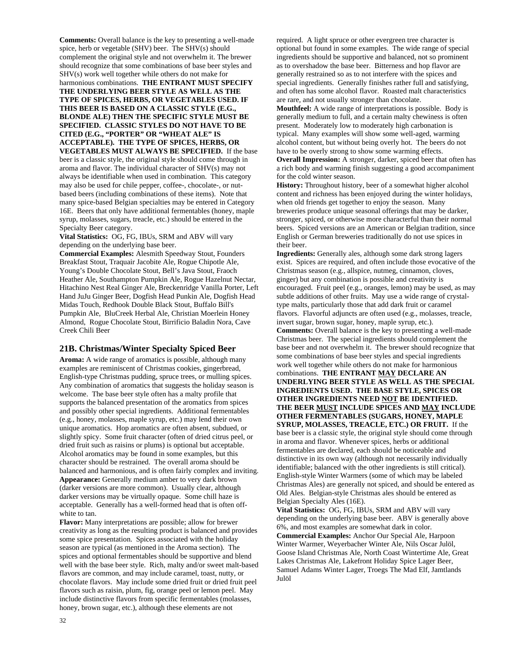<span id="page-34-0"></span>**Comments:** Overall balance is the key to presenting a well-made spice, herb or vegetable (SHV) beer. The SHV(s) should complement the original style and not overwhelm it. The brewer should recognize that some combinations of base beer styles and SHV(s) work well together while others do not make for harmonious combinations. **THE ENTRANT MUST SPECIFY THE UNDERLYING BEER STYLE AS WELL AS THE TYPE OF SPICES, HERBS, OR VEGETABLES USED. IF THIS BEER IS BASED ON A CLASSIC STYLE (E.G., BLONDE ALE) THEN THE SPECIFIC STYLE MUST BE SPECIFIED. CLASSIC STYLES DO NOT HAVE TO BE CITED (E.G., "PORTER" OR "WHEAT ALE" IS ACCEPTABLE). THE TYPE OF SPICES, HERBS, OR VEGETABLES MUST ALWAYS BE SPECIFIED.** If the base beer is a classic style, the original style should come through in aroma and flavor. The individual character of SHV(s) may not always be identifiable when used in combination. This category may also be used for chile pepper, coffee-, chocolate-, or nutbased beers (including combinations of these items). Note that many spice-based Belgian specialties may be entered in Category 16E. Beers that only have additional fermentables (honey, maple syrup, molasses, sugars, treacle, etc.) should be entered in the Specialty Beer category.

**Vital Statistics:** OG, FG, IBUs, SRM and ABV will vary depending on the underlying base beer.

**Commercial Examples:** Alesmith Speedway Stout, Founders Breakfast Stout, Traquair Jacobite Ale, Rogue Chipotle Ale, Young's Double Chocolate Stout, Bell's Java Stout, Fraoch Heather Ale, Southampton Pumpkin Ale, Rogue Hazelnut Nectar, Hitachino Nest Real Ginger Ale, Breckenridge Vanilla Porter, Left Hand JuJu Ginger Beer, Dogfish Head Punkin Ale, Dogfish Head Midas Touch, Redhook Double Black Stout, Buffalo Bill's Pumpkin Ale, BluCreek Herbal Ale, Christian Moerlein Honey Almond, Rogue Chocolate Stout, Birrificio Baladin Nora, Cave Creek Chili Beer

#### **21B. Christmas/Winter Specialty Spiced Beer**

**Aroma:** A wide range of aromatics is possible, although many examples are reminiscent of Christmas cookies, gingerbread, English-type Christmas pudding, spruce trees, or mulling spices. Any combination of aromatics that suggests the holiday season is welcome. The base beer style often has a malty profile that supports the balanced presentation of the aromatics from spices and possibly other special ingredients. Additional fermentables (e.g., honey, molasses, maple syrup, etc.) may lend their own unique aromatics. Hop aromatics are often absent, subdued, or slightly spicy. Some fruit character (often of dried citrus peel, or dried fruit such as raisins or plums) is optional but acceptable. Alcohol aromatics may be found in some examples, but this character should be restrained. The overall aroma should be balanced and harmonious, and is often fairly complex and inviting. **Appearance:** Generally medium amber to very dark brown (darker versions are more common). Usually clear, although darker versions may be virtually opaque. Some chill haze is acceptable. Generally has a well-formed head that is often offwhite to tan.

**Flavor:** Many interpretations are possible; allow for brewer creativity as long as the resulting product is balanced and provides some spice presentation. Spices associated with the holiday season are typical (as mentioned in the Aroma section). The spices and optional fermentables should be supportive and blend well with the base beer style. Rich, malty and/or sweet malt-based flavors are common, and may include caramel, toast, nutty, or chocolate flavors. May include some dried fruit or dried fruit peel flavors such as raisin, plum, fig, orange peel or lemon peel. May include distinctive flavors from specific fermentables (molasses, honey, brown sugar, etc.), although these elements are not

required. A light spruce or other evergreen tree character is optional but found in some examples. The wide range of special ingredients should be supportive and balanced, not so prominent as to overshadow the base beer. Bitterness and hop flavor are generally restrained so as to not interfere with the spices and special ingredients. Generally finishes rather full and satisfying, and often has some alcohol flavor. Roasted malt characteristics are rare, and not usually stronger than chocolate.

**Mouthfeel:** A wide range of interpretations is possible. Body is generally medium to full, and a certain malty chewiness is often present. Moderately low to moderately high carbonation is typical. Many examples will show some well-aged, warming alcohol content, but without being overly hot. The beers do not have to be overly strong to show some warming effects.

**Overall Impression:** A stronger, darker, spiced beer that often has a rich body and warming finish suggesting a good accompaniment for the cold winter season.

**History:** Throughout history, beer of a somewhat higher alcohol content and richness has been enjoyed during the winter holidays, when old friends get together to enjoy the season. Many breweries produce unique seasonal offerings that may be darker, stronger, spiced, or otherwise more characterful than their normal beers. Spiced versions are an American or Belgian tradition, since English or German breweries traditionally do not use spices in their beer.

**Ingredients:** Generally ales, although some dark strong lagers exist. Spices are required, and often include those evocative of the Christmas season (e.g., allspice, nutmeg, cinnamon, cloves, ginger) but any combination is possible and creativity is encouraged. Fruit peel (e.g., oranges, lemon) may be used, as may subtle additions of other fruits. May use a wide range of crystaltype malts, particularly those that add dark fruit or caramel flavors. Flavorful adjuncts are often used (e.g., molasses, treacle, invert sugar, brown sugar, honey, maple syrup, etc.).

**Comments:** Overall balance is the key to presenting a well-made Christmas beer. The special ingredients should complement the base beer and not overwhelm it. The brewer should recognize that some combinations of base beer styles and special ingredients work well together while others do not make for harmonious combinations. **THE ENTRANT MAY DECLARE AN UNDERLYING BEER STYLE AS WELL AS THE SPECIAL** 

**INGREDIENTS USED. THE BASE STYLE, SPICES OR OTHER INGREDIENTS NEED NOT BE IDENTIFIED. THE BEER MUST INCLUDE SPICES AND MAY INCLUDE OTHER FERMENTABLES (SUGARS, HONEY, MAPLE SYRUP, MOLASSES, TREACLE, ETC.) OR FRUIT.** If the base beer is a classic style, the original style should come through in aroma and flavor. Whenever spices, herbs or additional fermentables are declared, each should be noticeable and distinctive in its own way (although not necessarily individually identifiable; balanced with the other ingredients is still critical). English-style Winter Warmers (some of which may be labeled

Christmas Ales) are generally not spiced, and should be entered as Old Ales. Belgian-style Christmas ales should be entered as Belgian Specialty Ales (16E).

**Vital Statistics:** OG, FG, IBUs, SRM and ABV will vary depending on the underlying base beer. ABV is generally above 6%, and most examples are somewhat dark in color. **Commercial Examples:** Anchor Our Special Ale, Harpoon Winter Warmer, Weyerbacher Winter Ale, Nils Oscar Julöl, Goose Island Christmas Ale, North Coast Wintertime Ale, Great Lakes Christmas Ale, Lakefront Holiday Spice Lager Beer, Samuel Adams Winter Lager, Troegs The Mad Elf, Jamtlands Julöl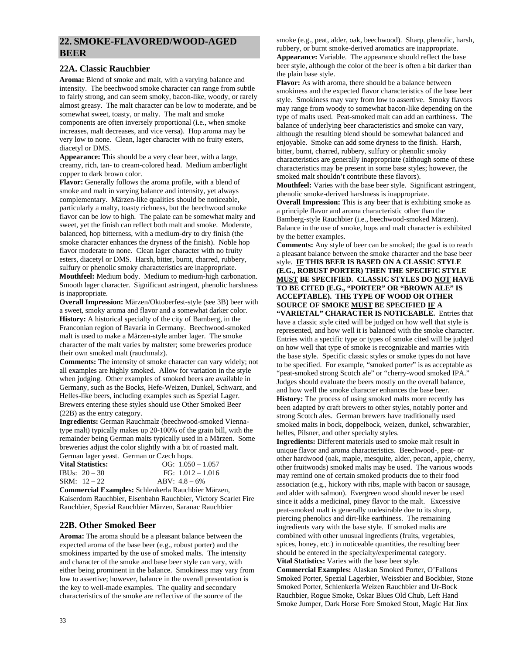#### <span id="page-35-0"></span>**22. SMOKE-FLAVORED/WOOD-AGED BEER**

#### **22A. Classic Rauchbier**

**Aroma:** Blend of smoke and malt, with a varying balance and intensity. The beechwood smoke character can range from subtle to fairly strong, and can seem smoky, bacon-like, woody, or rarely almost greasy. The malt character can be low to moderate, and be somewhat sweet, toasty, or malty. The malt and smoke components are often inversely proportional (i.e., when smoke increases, malt decreases, and vice versa). Hop aroma may be very low to none. Clean, lager character with no fruity esters, diacetyl or DMS.

**Appearance:** This should be a very clear beer, with a large, creamy, rich, tan- to cream-colored head. Medium amber/light copper to dark brown color.

**Flavor:** Generally follows the aroma profile, with a blend of smoke and malt in varying balance and intensity, yet always complementary. Märzen-like qualities should be noticeable, particularly a malty, toasty richness, but the beechwood smoke flavor can be low to high. The palate can be somewhat malty and sweet, yet the finish can reflect both malt and smoke. Moderate, balanced, hop bitterness, with a medium-dry to dry finish (the smoke character enhances the dryness of the finish). Noble hop flavor moderate to none. Clean lager character with no fruity esters, diacetyl or DMS. Harsh, bitter, burnt, charred, rubbery, sulfury or phenolic smoky characteristics are inappropriate. **Mouthfeel:** Medium body. Medium to medium-high carbonation.

Smooth lager character. Significant astringent, phenolic harshness is inappropriate.

**Overall Impression:** Märzen/Oktoberfest-style (see 3B) beer with a sweet, smoky aroma and flavor and a somewhat darker color. **History:** A historical specialty of the city of Bamberg, in the Franconian region of Bavaria in Germany. Beechwood-smoked malt is used to make a Märzen-style amber lager. The smoke character of the malt varies by maltster; some breweries produce their own smoked malt (rauchmalz).

**Comments:** The intensity of smoke character can vary widely; not all examples are highly smoked. Allow for variation in the style when judging. Other examples of smoked beers are available in Germany, such as the Bocks, Hefe-Weizen, Dunkel, Schwarz, and Helles-like beers, including examples such as Spezial Lager. Brewers entering these styles should use Other Smoked Beer (22B) as the entry category.

**Ingredients:** German Rauchmalz (beechwood-smoked Viennatype malt) typically makes up 20-100% of the grain bill, with the remainder being German malts typically used in a Märzen. Some breweries adjust the color slightly with a bit of roasted malt. German lager yeast. German or Czech hops.

| <b>Vital Statistics:</b> | OG: $1.050 - 1.057$ |
|--------------------------|---------------------|
| IBUs: $20-30$            | FG: $1.012 - 1.016$ |
| $SRM: 12-22$             | $ABV: 4.8 - 6\%$    |

**Commercial Examples:** Schlenkerla Rauchbier Märzen, Kaiserdom Rauchbier, Eisenbahn Rauchbier, Victory Scarlet Fire Rauchbier, Spezial Rauchbier Märzen, Saranac Rauchbier

#### **22B. Other Smoked Beer**

**Aroma:** The aroma should be a pleasant balance between the expected aroma of the base beer (e.g., robust porter) and the smokiness imparted by the use of smoked malts. The intensity and character of the smoke and base beer style can vary, with either being prominent in the balance. Smokiness may vary from low to assertive; however, balance in the overall presentation is the key to well-made examples. The quality and secondary characteristics of the smoke are reflective of the source of the

smoke (e.g., peat, alder, oak, beechwood). Sharp, phenolic, harsh, rubbery, or burnt smoke-derived aromatics are inappropriate. **Appearance:** Variable. The appearance should reflect the base beer style, although the color of the beer is often a bit darker than the plain base style.

**Flavor:** As with aroma, there should be a balance between smokiness and the expected flavor characteristics of the base beer style. Smokiness may vary from low to assertive. Smoky flavors may range from woody to somewhat bacon-like depending on the type of malts used. Peat-smoked malt can add an earthiness. The balance of underlying beer characteristics and smoke can vary, although the resulting blend should be somewhat balanced and enjoyable. Smoke can add some dryness to the finish. Harsh, bitter, burnt, charred, rubbery, sulfury or phenolic smoky characteristics are generally inappropriate (although some of these characteristics may be present in some base styles; however, the smoked malt shouldn't contribute these flavors).

**Mouthfeel:** Varies with the base beer style. Significant astringent, phenolic smoke-derived harshness is inappropriate.

**Overall Impression:** This is any beer that is exhibiting smoke as a principle flavor and aroma characteristic other than the Bamberg-style Rauchbier (i.e., beechwood-smoked Märzen). Balance in the use of smoke, hops and malt character is exhibited by the better examples.

**Comments:** Any style of beer can be smoked; the goal is to reach a pleasant balance between the smoke character and the base beer style. **IF THIS BEER IS BASED ON A CLASSIC STYLE (E.G., ROBUST PORTER) THEN THE SPECIFIC STYLE MUST BE SPECIFIED. CLASSIC STYLES DO NOT HAVE TO BE CITED (E.G., "PORTER" OR "BROWN ALE" IS ACCEPTABLE). THE TYPE OF WOOD OR OTHER SOURCE OF SMOKE MUST BE SPECIFIED IF A** 

**"VARIETAL" CHARACTER IS NOTICEABLE.** Entries that have a classic style cited will be judged on how well that style is represented, and how well it is balanced with the smoke character. Entries with a specific type or types of smoke cited will be judged on how well that type of smoke is recognizable and marries with the base style. Specific classic styles or smoke types do not have to be specified. For example, "smoked porter" is as acceptable as "peat-smoked strong Scotch ale" or "cherry-wood smoked IPA." Judges should evaluate the beers mostly on the overall balance, and how well the smoke character enhances the base beer.

**History:** The process of using smoked malts more recently has been adapted by craft brewers to other styles, notably porter and strong Scotch ales. German brewers have traditionally used smoked malts in bock, doppelbock, weizen, dunkel, schwarzbier, helles, Pilsner, and other specialty styles.

**Ingredients:** Different materials used to smoke malt result in unique flavor and aroma characteristics. Beechwood-, peat- or other hardwood (oak, maple, mesquite, alder, pecan, apple, cherry, other fruitwoods) smoked malts may be used. The various woods may remind one of certain smoked products due to their food association (e.g., hickory with ribs, maple with bacon or sausage, and alder with salmon). Evergreen wood should never be used since it adds a medicinal, piney flavor to the malt. Excessive peat-smoked malt is generally undesirable due to its sharp, piercing phenolics and dirt-like earthiness. The remaining ingredients vary with the base style. If smoked malts are combined with other unusual ingredients (fruits, vegetables, spices, honey, etc.) in noticeable quantities, the resulting beer should be entered in the specialty/experimental category. **Vital Statistics:** Varies with the base beer style.

**Commercial Examples:** Alaskan Smoked Porter, O'Fallons Smoked Porter, Spezial Lagerbier, Weissbier and Bockbier, Stone Smoked Porter, Schlenkerla Weizen Rauchbier and Ur-Bock Rauchbier, Rogue Smoke, Oskar Blues Old Chub, Left Hand Smoke Jumper, Dark Horse Fore Smoked Stout, Magic Hat Jinx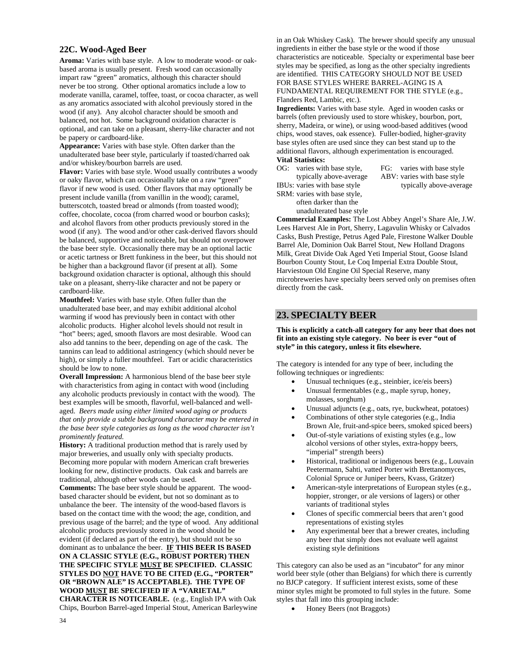#### <span id="page-36-0"></span>**22C. Wood-Aged Beer**

**Aroma:** Varies with base style. A low to moderate wood- or oakbased aroma is usually present. Fresh wood can occasionally impart raw "green" aromatics, although this character should never be too strong. Other optional aromatics include a low to moderate vanilla, caramel, toffee, toast, or cocoa character, as well as any aromatics associated with alcohol previously stored in the wood (if any). Any alcohol character should be smooth and balanced, not hot. Some background oxidation character is optional, and can take on a pleasant, sherry-like character and not be papery or cardboard-like.

**Appearance:** Varies with base style. Often darker than the unadulterated base beer style, particularly if toasted/charred oak and/or whiskey/bourbon barrels are used.

**Flavor:** Varies with base style. Wood usually contributes a woody or oaky flavor, which can occasionally take on a raw "green" flavor if new wood is used. Other flavors that may optionally be present include vanilla (from vanillin in the wood); caramel, butterscotch, toasted bread or almonds (from toasted wood); coffee, chocolate, cocoa (from charred wood or bourbon casks); and alcohol flavors from other products previously stored in the wood (if any). The wood and/or other cask-derived flavors should be balanced, supportive and noticeable, but should not overpower the base beer style. Occasionally there may be an optional lactic or acetic tartness or Brett funkiness in the beer, but this should not be higher than a background flavor (if present at all). Some background oxidation character is optional, although this should take on a pleasant, sherry-like character and not be papery or cardboard-like.

**Mouthfeel:** Varies with base style. Often fuller than the unadulterated base beer, and may exhibit additional alcohol warming if wood has previously been in contact with other alcoholic products. Higher alcohol levels should not result in "hot" beers; aged, smooth flavors are most desirable. Wood can also add tannins to the beer, depending on age of the cask. The tannins can lead to additional astringency (which should never be high), or simply a fuller mouthfeel. Tart or acidic characteristics should be low to none.

**Overall Impression:** A harmonious blend of the base beer style with characteristics from aging in contact with wood (including any alcoholic products previously in contact with the wood). The best examples will be smooth, flavorful, well-balanced and wellaged. *Beers made using either limited wood aging or products that only provide a subtle background character may be entered in the base beer style categories as long as the wood character isn't prominently featured.* 

**History:** A traditional production method that is rarely used by major breweries, and usually only with specialty products. Becoming more popular with modern American craft breweries looking for new, distinctive products. Oak cask and barrels are traditional, although other woods can be used.

**Comments:** The base beer style should be apparent. The woodbased character should be evident, but not so dominant as to unbalance the beer. The intensity of the wood-based flavors is based on the contact time with the wood; the age, condition, and previous usage of the barrel; and the type of wood. Any additional alcoholic products previously stored in the wood should be evident (if declared as part of the entry), but should not be so dominant as to unbalance the beer. **IF THIS BEER IS BASED ON A CLASSIC STYLE (E.G., ROBUST PORTER) THEN THE SPECIFIC STYLE MUST BE SPECIFIED. CLASSIC STYLES DO NOT HAVE TO BE CITED (E.G., "PORTER" OR "BROWN ALE" IS ACCEPTABLE). THE TYPE OF WOOD MUST BE SPECIFIED IF A "VARIETAL" CHARACTER IS NOTICEABLE.** (e.g., English IPA with Oak Chips, Bourbon Barrel-aged Imperial Stout, American Barleywine

in an Oak Whiskey Cask). The brewer should specify any unusual ingredients in either the base style or the wood if those characteristics are noticeable. Specialty or experimental base beer styles may be specified, as long as the other specialty ingredients are identified. THIS CATEGORY SHOULD NOT BE USED FOR BASE STYLES WHERE BARREL-AGING IS A FUNDAMENTAL REQUIREMENT FOR THE STYLE (e.g., Flanders Red, Lambic, etc.).

**Ingredients:** Varies with base style. Aged in wooden casks or barrels (often previously used to store whiskey, bourbon, port, sherry, Madeira, or wine), or using wood-based additives (wood chips, wood staves, oak essence). Fuller-bodied, higher-gravity base styles often are used since they can best stand up to the additional flavors, although experimentation is encouraged. **Vital Statistics:** 

- OG: varies with base style, FG: varies with base style
- typically above-average ABV: varies with base style
- IBUs: varies with base style typically above-average SRM: varies with base style, often darker than the
	- unadulterated base style

**Commercial Examples:** The Lost Abbey Angel's Share Ale, J.W. Lees Harvest Ale in Port, Sherry, Lagavulin Whisky or Calvados Casks, Bush Prestige, Petrus Aged Pale, Firestone Walker Double Barrel Ale, Dominion Oak Barrel Stout, New Holland Dragons Milk, Great Divide Oak Aged Yeti Imperial Stout, Goose Island Bourbon County Stout, Le Coq Imperial Extra Double Stout, Harviestoun Old Engine Oil Special Reserve, many microbreweries have specialty beers served only on premises often directly from the cask.

#### **23. SPECIALTY BEER**

#### **This is explicitly a catch-all category for any beer that does not fit into an existing style category. No beer is ever "out of style" in this category, unless it fits elsewhere.**

The category is intended for any type of beer, including the following techniques or ingredients:

- Unusual techniques (e.g., steinbier, ice/eis beers)
- Unusual fermentables (e.g., maple syrup, honey, molasses, sorghum)
- Unusual adjuncts (e.g., oats, rye, buckwheat, potatoes)
- Combinations of other style categories (e.g., India
- Brown Ale, fruit-and-spice beers, smoked spiced beers) • Out-of-style variations of existing styles (e.g., low
- alcohol versions of other styles, extra-hoppy beers, "imperial" strength beers)
- Historical, traditional or indigenous beers (e.g., Louvain Peetermann, Sahti, vatted Porter with Brettanomyces, Colonial Spruce or Juniper beers, Kvass, Grätzer)
- American-style interpretations of European styles (e.g., hoppier, stronger, or ale versions of lagers) or other variants of traditional styles
- Clones of specific commercial beers that aren't good representations of existing styles
- Any experimental beer that a brewer creates, including any beer that simply does not evaluate well against existing style definitions

This category can also be used as an "incubator" for any minor world beer style (other than Belgians) for which there is currently no BJCP category. If sufficient interest exists, some of these minor styles might be promoted to full styles in the future. Some styles that fall into this grouping include:

• Honey Beers (not Braggots)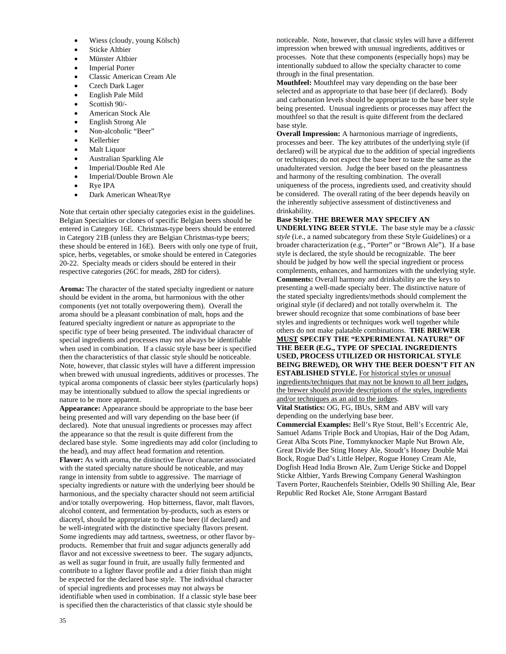- Wiess (cloudy, young Kölsch)
- Sticke Altbier
- Münster Altbier
- **Imperial Porter**
- Classic American Cream Ale
- Czech Dark Lager
- English Pale Mild
- Scottish 90/-
- American Stock Ale
- English Strong Ale
- Non-alcoholic "Beer"
- Kellerbier
- Malt Liquor
- Australian Sparkling Ale
- Imperial/Double Red Ale
- Imperial/Double Brown Ale
- Rye IPA
- Dark American Wheat/Rye

Note that certain other specialty categories exist in the guidelines. Belgian Specialties or clones of specific Belgian beers should be entered in Category 16E. Christmas-type beers should be entered in Category 21B (unless they are Belgian Christmas-type beers; these should be entered in 16E). Beers with only one type of fruit, spice, herbs, vegetables, or smoke should be entered in Categories 20-22. Specialty meads or ciders should be entered in their respective categories (26C for meads, 28D for ciders).

**Aroma:** The character of the stated specialty ingredient or nature should be evident in the aroma, but harmonious with the other components (yet not totally overpowering them). Overall the aroma should be a pleasant combination of malt, hops and the featured specialty ingredient or nature as appropriate to the specific type of beer being presented. The individual character of special ingredients and processes may not always be identifiable when used in combination. If a classic style base beer is specified then the characteristics of that classic style should be noticeable. Note, however, that classic styles will have a different impression when brewed with unusual ingredients, additives or processes. The typical aroma components of classic beer styles (particularly hops) may be intentionally subdued to allow the special ingredients or nature to be more apparent.

**Appearance:** Appearance should be appropriate to the base beer being presented and will vary depending on the base beer (if declared). Note that unusual ingredients or processes may affect the appearance so that the result is quite different from the declared base style. Some ingredients may add color (including to the head), and may affect head formation and retention. **Flavor:** As with aroma, the distinctive flavor character associated with the stated specialty nature should be noticeable, and may range in intensity from subtle to aggressive. The marriage of specialty ingredients or nature with the underlying beer should be harmonious, and the specialty character should not seem artificial and/or totally overpowering. Hop bitterness, flavor, malt flavors, alcohol content, and fermentation by-products, such as esters or diacetyl, should be appropriate to the base beer (if declared) and be well-integrated with the distinctive specialty flavors present. Some ingredients may add tartness, sweetness, or other flavor byproducts. Remember that fruit and sugar adjuncts generally add flavor and not excessive sweetness to beer. The sugary adjuncts, as well as sugar found in fruit, are usually fully fermented and contribute to a lighter flavor profile and a drier finish than might be expected for the declared base style. The individual character of special ingredients and processes may not always be identifiable when used in combination. If a classic style base beer is specified then the characteristics of that classic style should be

noticeable. Note, however, that classic styles will have a different impression when brewed with unusual ingredients, additives or processes. Note that these components (especially hops) may be intentionally subdued to allow the specialty character to come through in the final presentation.

**Mouthfeel:** Mouthfeel may vary depending on the base beer selected and as appropriate to that base beer (if declared). Body and carbonation levels should be appropriate to the base beer style being presented. Unusual ingredients or processes may affect the mouthfeel so that the result is quite different from the declared base style.

**Overall Impression:** A harmonious marriage of ingredients, processes and beer. The key attributes of the underlying style (if declared) will be atypical due to the addition of special ingredients or techniques; do not expect the base beer to taste the same as the unadulterated version. Judge the beer based on the pleasantness and harmony of the resulting combination. The overall uniqueness of the process, ingredients used, and creativity should be considered. The overall rating of the beer depends heavily on the inherently subjective assessment of distinctiveness and drinkability.

#### **Base Style: THE BREWER MAY SPECIFY AN**

**UNDERLYING BEER STYLE.** The base style may be a *classic style* (i.e., a named subcategory from these Style Guidelines) or a broader characterization (e.g., "Porter" or "Brown Ale"). If a base style is declared, the style should be recognizable. The beer should be judged by how well the special ingredient or process complements, enhances, and harmonizes with the underlying style. **Comments:** Overall harmony and drinkability are the keys to presenting a well-made specialty beer. The distinctive nature of the stated specialty ingredients/methods should complement the original style (if declared) and not totally overwhelm it. The brewer should recognize that some combinations of base beer styles and ingredients or techniques work well together while others do not make palatable combinations. **THE BREWER MUST SPECIFY THE "EXPERIMENTAL NATURE" OF THE BEER (E.G., TYPE OF SPECIAL INGREDIENTS USED, PROCESS UTILIZED OR HISTORICAL STYLE BEING BREWED), OR WHY THE BEER DOESN'T FIT AN ESTABLISHED STYLE.** For historical styles or unusual ingredients/techniques that may not be known to all beer judges, the brewer should provide descriptions of the styles, ingredients and/or techniques as an aid to the judges.

**Vital Statistics:** OG, FG, IBUs, SRM and ABV will vary depending on the underlying base beer.

**Commercial Examples:** Bell's Rye Stout, Bell's Eccentric Ale, Samuel Adams Triple Bock and Utopias, Hair of the Dog Adam, Great Alba Scots Pine, Tommyknocker Maple Nut Brown Ale, Great Divide Bee Sting Honey Ale, Stoudt's Honey Double Mai Bock, Rogue Dad's Little Helper, Rogue Honey Cream Ale, Dogfish Head India Brown Ale, Zum Uerige Sticke and Doppel Sticke Altbier, Yards Brewing Company General Washington Tavern Porter, Rauchenfels Steinbier, Odells 90 Shilling Ale, Bear Republic Red Rocket Ale, Stone Arrogant Bastard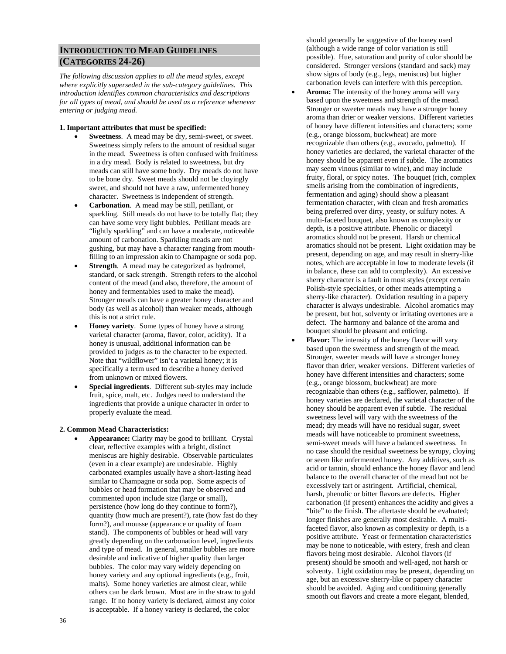#### <span id="page-38-0"></span>**INTRODUCTION TO MEAD GUIDELINES (CATEGORIES 24-26)**

*The following discussion applies to all the mead styles, except where explicitly superseded in the sub-category guidelines. This introduction identifies common characteristics and descriptions for all types of mead, and should be used as a reference whenever entering or judging mead.* 

#### **1. Important attributes that must be specified:**

- **Sweetness**. A mead may be dry, semi-sweet, or sweet. Sweetness simply refers to the amount of residual sugar in the mead. Sweetness is often confused with fruitiness in a dry mead. Body is related to sweetness, but dry meads can still have some body. Dry meads do not have to be bone dry. Sweet meads should not be cloyingly sweet, and should not have a raw, unfermented honey character. Sweetness is independent of strength.
- **Carbonation**. A mead may be still, petillant, or sparkling. Still meads do not have to be totally flat; they can have some very light bubbles. Petillant meads are "lightly sparkling" and can have a moderate, noticeable amount of carbonation. Sparkling meads are not gushing, but may have a character ranging from mouthfilling to an impression akin to Champagne or soda pop.
- **Strength.** A mead may be categorized as hydromel, standard, or sack strength. Strength refers to the alcohol content of the mead (and also, therefore, the amount of honey and fermentables used to make the mead). Stronger meads can have a greater honey character and body (as well as alcohol) than weaker meads, although this is not a strict rule.
- **Honey variety**. Some types of honey have a strong varietal character (aroma, flavor, color, acidity). If a honey is unusual, additional information can be provided to judges as to the character to be expected. Note that "wildflower" isn't a varietal honey; it is specifically a term used to describe a honey derived from unknown or mixed flowers.
- **Special ingredients**. Different sub-styles may include fruit, spice, malt, etc. Judges need to understand the ingredients that provide a unique character in order to properly evaluate the mead.

#### **2. Common Mead Characteristics:**

• **Appearance:** Clarity may be good to brilliant. Crystal clear, reflective examples with a bright, distinct meniscus are highly desirable. Observable particulates (even in a clear example) are undesirable. Highly carbonated examples usually have a short-lasting head similar to Champagne or soda pop. Some aspects of bubbles or head formation that may be observed and commented upon include size (large or small), persistence (how long do they continue to form?), quantity (how much are present?), rate (how fast do they form?), and mousse (appearance or quality of foam stand). The components of bubbles or head will vary greatly depending on the carbonation level, ingredients and type of mead. In general, smaller bubbles are more desirable and indicative of higher quality than larger bubbles. The color may vary widely depending on honey variety and any optional ingredients (e.g., fruit, malts). Some honey varieties are almost clear, while others can be dark brown. Most are in the straw to gold range. If no honey variety is declared, almost any color is acceptable. If a honey variety is declared, the color

should generally be suggestive of the honey used (although a wide range of color variation is still possible). Hue, saturation and purity of color should be considered. Stronger versions (standard and sack) may show signs of body (e.g., legs, meniscus) but higher carbonation levels can interfere with this perception.

- Aroma: The intensity of the honey aroma will vary based upon the sweetness and strength of the mead. Stronger or sweeter meads may have a stronger honey aroma than drier or weaker versions. Different varieties of honey have different intensities and characters; some (e.g., orange blossom, buckwheat) are more recognizable than others (e.g., avocado, palmetto). If honey varieties are declared, the varietal character of the honey should be apparent even if subtle. The aromatics may seem vinous (similar to wine), and may include fruity, floral, or spicy notes. The bouquet (rich, complex smells arising from the combination of ingredients, fermentation and aging) should show a pleasant fermentation character, with clean and fresh aromatics being preferred over dirty, yeasty, or sulfury notes. A multi-faceted bouquet, also known as complexity or depth, is a positive attribute. Phenolic or diacetyl aromatics should not be present. Harsh or chemical aromatics should not be present. Light oxidation may be present, depending on age, and may result in sherry-like notes, which are acceptable in low to moderate levels (if in balance, these can add to complexity). An excessive sherry character is a fault in most styles (except certain Polish-style specialties, or other meads attempting a sherry-like character). Oxidation resulting in a papery character is always undesirable. Alcohol aromatics may be present, but hot, solventy or irritating overtones are a defect. The harmony and balance of the aroma and bouquet should be pleasant and enticing.
- **Flavor:** The intensity of the honey flavor will vary based upon the sweetness and strength of the mead. Stronger, sweeter meads will have a stronger honey flavor than drier, weaker versions. Different varieties of honey have different intensities and characters; some (e.g., orange blossom, buckwheat) are more recognizable than others (e.g., safflower, palmetto). If honey varieties are declared, the varietal character of the honey should be apparent even if subtle. The residual sweetness level will vary with the sweetness of the mead; dry meads will have no residual sugar, sweet meads will have noticeable to prominent sweetness, semi-sweet meads will have a balanced sweetness. In no case should the residual sweetness be syrupy, cloying or seem like unfermented honey. Any additives, such as acid or tannin, should enhance the honey flavor and lend balance to the overall character of the mead but not be excessively tart or astringent. Artificial, chemical, harsh, phenolic or bitter flavors are defects. Higher carbonation (if present) enhances the acidity and gives a "bite" to the finish. The aftertaste should be evaluated; longer finishes are generally most desirable. A multifaceted flavor, also known as complexity or depth, is a positive attribute. Yeast or fermentation characteristics may be none to noticeable, with estery, fresh and clean flavors being most desirable. Alcohol flavors (if present) should be smooth and well-aged, not harsh or solventy. Light oxidation may be present, depending on age, but an excessive sherry-like or papery character should be avoided. Aging and conditioning generally smooth out flavors and create a more elegant, blended,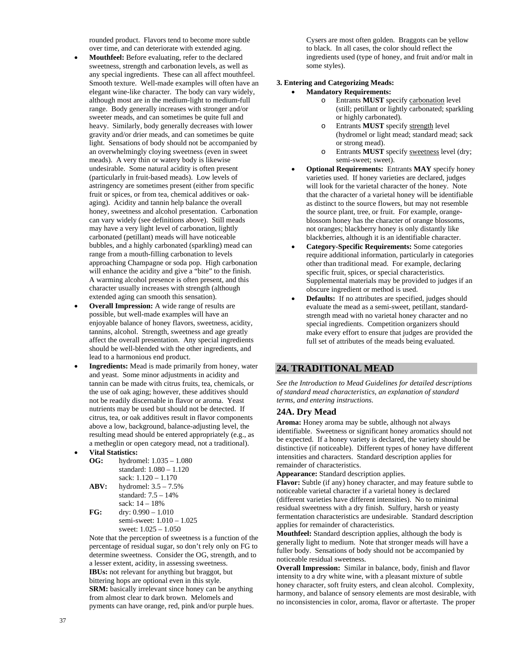rounded product. Flavors tend to become more subtle over time, and can deteriorate with extended aging.

- <span id="page-39-0"></span>• **Mouthfeel:** Before evaluating, refer to the declared sweetness, strength and carbonation levels, as well as any special ingredients. These can all affect mouthfeel. Smooth texture. Well-made examples will often have an elegant wine-like character. The body can vary widely, although most are in the medium-light to medium-full range. Body generally increases with stronger and/or sweeter meads, and can sometimes be quite full and heavy. Similarly, body generally decreases with lower gravity and/or drier meads, and can sometimes be quite light. Sensations of body should not be accompanied by an overwhelmingly cloying sweetness (even in sweet meads). A very thin or watery body is likewise undesirable. Some natural acidity is often present (particularly in fruit-based meads). Low levels of astringency are sometimes present (either from specific fruit or spices, or from tea, chemical additives or oakaging). Acidity and tannin help balance the overall honey, sweetness and alcohol presentation. Carbonation can vary widely (see definitions above). Still meads may have a very light level of carbonation, lightly carbonated (petillant) meads will have noticeable bubbles, and a highly carbonated (sparkling) mead can range from a mouth-filling carbonation to levels approaching Champagne or soda pop. High carbonation will enhance the acidity and give a "bite" to the finish. A warming alcohol presence is often present, and this character usually increases with strength (although extended aging can smooth this sensation).
- **Overall Impression:** A wide range of results are possible, but well-made examples will have an enjoyable balance of honey flavors, sweetness, acidity, tannins, alcohol. Strength, sweetness and age greatly affect the overall presentation. Any special ingredients should be well-blended with the other ingredients, and lead to a harmonious end product.
- **Ingredients:** Mead is made primarily from honey, water and yeast. Some minor adjustments in acidity and tannin can be made with citrus fruits, tea, chemicals, or the use of oak aging; however, these additives should not be readily discernable in flavor or aroma. Yeast nutrients may be used but should not be detected. If citrus, tea, or oak additives result in flavor components above a low, background, balance-adjusting level, the resulting mead should be entered appropriately (e.g., as a metheglin or open category mead, not a traditional).

#### • **Vital Statistics:**

| OG:  | hydromel: $1.035 - 1.080$ |
|------|---------------------------|
|      | standard: $1.080 - 1.120$ |
|      | sack: $1.120 - 1.170$     |
| ABV: | hydromel: $3.5 - 7.5\%$   |
|      | standard: $7.5 - 14\%$    |

 sack: 14 – 18% **FG:** dry: 0.990 – 1.010 semi-sweet: 1.010 – 1.025 sweet: 1.025 – 1.050

Note that the perception of sweetness is a function of the percentage of residual sugar, so don't rely only on FG to determine sweetness. Consider the OG, strength, and to a lesser extent, acidity, in assessing sweetness. **IBUs:** not relevant for anything but braggot, but bittering hops are optional even in this style. **SRM:** basically irrelevant since honey can be anything from almost clear to dark brown. Melomels and pyments can have orange, red, pink and/or purple hues.

Cysers are most often golden. Braggots can be yellow to black. In all cases, the color should reflect the ingredients used (type of honey, and fruit and/or malt in some styles).

#### **3. Entering and Categorizing Meads:**

- **Mandatory Requirements:** 
	- o Entrants **MUST** specify carbonation level (still; petillant or lightly carbonated; sparkling or highly carbonated).
	- o Entrants **MUST** specify strength level (hydromel or light mead; standard mead; sack or strong mead).
	- o Entrants **MUST** specify sweetness level (dry; semi-sweet; sweet).
- **Optional Requirements:** Entrants **MAY** specify honey varieties used. If honey varieties are declared, judges will look for the varietal character of the honey. Note that the character of a varietal honey will be identifiable as distinct to the source flowers, but may not resemble the source plant, tree, or fruit. For example, orangeblossom honey has the character of orange blossoms, not oranges; blackberry honey is only distantly like blackberries, although it is an identifiable character.
- **Category-Specific Requirements:** Some categories require additional information, particularly in categories other than traditional mead. For example, declaring specific fruit, spices, or special characteristics. Supplemental materials may be provided to judges if an obscure ingredient or method is used.
- **Defaults:** If no attributes are specified, judges should evaluate the mead as a semi-sweet, petillant, standardstrength mead with no varietal honey character and no special ingredients. Competition organizers should make every effort to ensure that judges are provided the full set of attributes of the meads being evaluated.

#### **24. TRADITIONAL MEAD**

*See the Introduction to Mead Guidelines for detailed descriptions of standard mead characteristics, an explanation of standard terms, and entering instructions.* 

#### **24A. Dry Mead**

**Aroma:** Honey aroma may be subtle, although not always identifiable. Sweetness or significant honey aromatics should not be expected. If a honey variety is declared, the variety should be distinctive (if noticeable). Different types of honey have different intensities and characters. Standard description applies for remainder of characteristics.

**Appearance:** Standard description applies.

**Flavor:** Subtle (if any) honey character, and may feature subtle to noticeable varietal character if a varietal honey is declared (different varieties have different intensities). No to minimal residual sweetness with a dry finish. Sulfury, harsh or yeasty fermentation characteristics are undesirable. Standard description applies for remainder of characteristics.

**Mouthfeel:** Standard description applies, although the body is generally light to medium. Note that stronger meads will have a fuller body. Sensations of body should not be accompanied by noticeable residual sweetness.

**Overall Impression:** Similar in balance, body, finish and flavor intensity to a dry white wine, with a pleasant mixture of subtle honey character, soft fruity esters, and clean alcohol. Complexity, harmony, and balance of sensory elements are most desirable, with no inconsistencies in color, aroma, flavor or aftertaste. The proper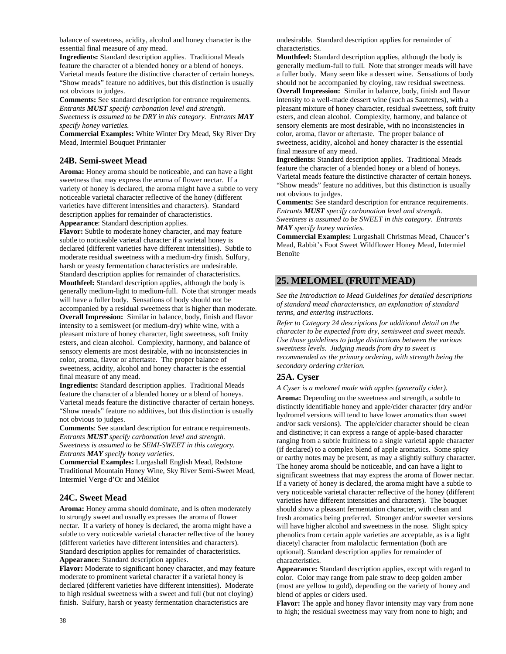<span id="page-40-0"></span>balance of sweetness, acidity, alcohol and honey character is the essential final measure of any mead.

**Ingredients:** Standard description applies. Traditional Meads feature the character of a blended honey or a blend of honeys. Varietal meads feature the distinctive character of certain honeys. "Show meads" feature no additives, but this distinction is usually not obvious to judges.

**Comments:** See standard description for entrance requirements. *Entrants MUST specify carbonation level and strength.* 

*Sweetness is assumed to be DRY in this category. Entrants MAY specify honey varieties.*

**Commercial Examples:** White Winter Dry Mead, Sky River Dry Mead, Intermiel Bouquet Printanier

#### **24B. Semi-sweet Mead**

**Aroma:** Honey aroma should be noticeable, and can have a light sweetness that may express the aroma of flower nectar. If a variety of honey is declared, the aroma might have a subtle to very noticeable varietal character reflective of the honey (different varieties have different intensities and characters). Standard description applies for remainder of characteristics.

**Appearance**: Standard description applies.

**Flavor:** Subtle to moderate honey character, and may feature subtle to noticeable varietal character if a varietal honey is declared (different varieties have different intensities). Subtle to moderate residual sweetness with a medium-dry finish. Sulfury, harsh or yeasty fermentation characteristics are undesirable. Standard description applies for remainder of characteristics.

**Mouthfeel:** Standard description applies, although the body is generally medium-light to medium-full. Note that stronger meads will have a fuller body. Sensations of body should not be accompanied by a residual sweetness that is higher than moderate.

**Overall Impression:** Similar in balance, body, finish and flavor intensity to a semisweet (or medium-dry) white wine, with a pleasant mixture of honey character, light sweetness, soft fruity esters, and clean alcohol. Complexity, harmony, and balance of sensory elements are most desirable, with no inconsistencies in color, aroma, flavor or aftertaste. The proper balance of sweetness, acidity, alcohol and honey character is the essential final measure of any mead.

**Ingredients:** Standard description applies. Traditional Meads feature the character of a blended honey or a blend of honeys. Varietal meads feature the distinctive character of certain honeys. "Show meads" feature no additives, but this distinction is usually not obvious to judges.

**Comments**: See standard description for entrance requirements. *Entrants MUST specify carbonation level and strength. Sweetness is assumed to be SEMI-SWEET in this category. Entrants MAY specify honey varieties.*

**Commercial Examples:** Lurgashall English Mead, Redstone Traditional Mountain Honey Wine, Sky River Semi-Sweet Mead, Intermiel Verge d'Or and Mélilot

#### **24C. Sweet Mead**

**Aroma:** Honey aroma should dominate, and is often moderately to strongly sweet and usually expresses the aroma of flower nectar. If a variety of honey is declared, the aroma might have a subtle to very noticeable varietal character reflective of the honey (different varieties have different intensities and characters). Standard description applies for remainder of characteristics. **Appearance:** Standard description applies.

**Flavor:** Moderate to significant honey character, and may feature moderate to prominent varietal character if a varietal honey is declared (different varieties have different intensities). Moderate to high residual sweetness with a sweet and full (but not cloying) finish. Sulfury, harsh or yeasty fermentation characteristics are

undesirable. Standard description applies for remainder of characteristics.

**Mouthfeel:** Standard description applies, although the body is generally medium-full to full. Note that stronger meads will have a fuller body. Many seem like a dessert wine. Sensations of body should not be accompanied by cloying, raw residual sweetness. **Overall Impression:** Similar in balance, body, finish and flavor intensity to a well-made dessert wine (such as Sauternes), with a pleasant mixture of honey character, residual sweetness, soft fruity esters, and clean alcohol. Complexity, harmony, and balance of sensory elements are most desirable, with no inconsistencies in color, aroma, flavor or aftertaste. The proper balance of sweetness, acidity, alcohol and honey character is the essential final measure of any mead.

**Ingredients:** Standard description applies. Traditional Meads feature the character of a blended honey or a blend of honeys. Varietal meads feature the distinctive character of certain honeys. "Show meads" feature no additives, but this distinction is usually not obvious to judges.

**Comments:** See standard description for entrance requirements. *Entrants MUST specify carbonation level and strength. Sweetness is assumed to be SWEET in this category. Entrants MAY specify honey varieties.*

**Commercial Examples:** Lurgashall Christmas Mead, Chaucer's Mead, Rabbit's Foot Sweet Wildflower Honey Mead, Intermiel Benoîte

#### **25. MELOMEL (FRUIT MEAD)**

*See the Introduction to Mead Guidelines for detailed descriptions of standard mead characteristics, an explanation of standard terms, and entering instructions.* 

*Refer to Category 24 descriptions for additional detail on the character to be expected from dry, semisweet and sweet meads. Use those guidelines to judge distinctions between the various sweetness levels. Judging meads from dry to sweet is recommended as the primary ordering, with strength being the secondary ordering criterion.*

#### **25A. Cyser**

*A Cyser is a melomel made with apples (generally cider).* 

**Aroma:** Depending on the sweetness and strength, a subtle to distinctly identifiable honey and apple/cider character (dry and/or hydromel versions will tend to have lower aromatics than sweet and/or sack versions). The apple/cider character should be clean and distinctive; it can express a range of apple-based character ranging from a subtle fruitiness to a single varietal apple character (if declared) to a complex blend of apple aromatics. Some spicy or earthy notes may be present, as may a slightly sulfury character. The honey aroma should be noticeable, and can have a light to significant sweetness that may express the aroma of flower nectar. If a variety of honey is declared, the aroma might have a subtle to very noticeable varietal character reflective of the honey (different varieties have different intensities and characters). The bouquet should show a pleasant fermentation character, with clean and fresh aromatics being preferred. Stronger and/or sweeter versions will have higher alcohol and sweetness in the nose. Slight spicy phenolics from certain apple varieties are acceptable, as is a light diacetyl character from malolactic fermentation (both are optional). Standard description applies for remainder of characteristics.

**Appearance:** Standard description applies, except with regard to color. Color may range from pale straw to deep golden amber (most are yellow to gold), depending on the variety of honey and blend of apples or ciders used.

**Flavor:** The apple and honey flavor intensity may vary from none to high; the residual sweetness may vary from none to high; and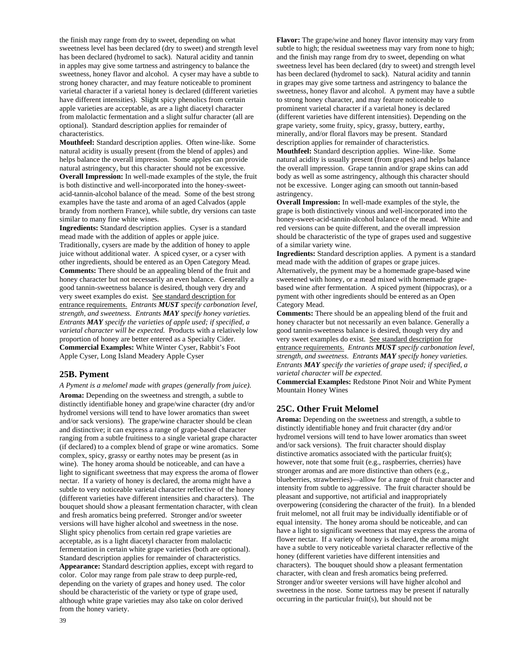<span id="page-41-0"></span>the finish may range from dry to sweet, depending on what sweetness level has been declared (dry to sweet) and strength level has been declared (hydromel to sack). Natural acidity and tannin in apples may give some tartness and astringency to balance the sweetness, honey flavor and alcohol. A cyser may have a subtle to strong honey character, and may feature noticeable to prominent varietal character if a varietal honey is declared (different varieties have different intensities). Slight spicy phenolics from certain apple varieties are acceptable, as are a light diacetyl character from malolactic fermentation and a slight sulfur character (all are optional). Standard description applies for remainder of characteristics.

**Mouthfeel:** Standard description applies. Often wine-like. Some natural acidity is usually present (from the blend of apples) and helps balance the overall impression. Some apples can provide natural astringency, but this character should not be excessive. **Overall Impression:** In well-made examples of the style, the fruit is both distinctive and well-incorporated into the honey-sweetacid-tannin-alcohol balance of the mead. Some of the best strong examples have the taste and aroma of an aged Calvados (apple brandy from northern France), while subtle, dry versions can taste similar to many fine white wines.

**Ingredients:** Standard description applies. Cyser is a standard mead made with the addition of apples or apple juice. Traditionally, cysers are made by the addition of honey to apple juice without additional water. A spiced cyser, or a cyser with other ingredients, should be entered as an Open Category Mead. **Comments:** There should be an appealing blend of the fruit and honey character but not necessarily an even balance. Generally a good tannin-sweetness balance is desired, though very dry and very sweet examples do exist. See standard description for entrance requirements.*Entrants MUST specify carbonation level, strength, and sweetness. Entrants MAY specify honey varieties. Entrants MAY specify the varieties of apple used; if specified, a varietal character will be expected.* Products with a relatively low proportion of honey are better entered as a Specialty Cider. **Commercial Examples:** White Winter Cyser, Rabbit's Foot Apple Cyser, Long Island Meadery Apple Cyser

#### **25B. Pyment**

#### *A Pyment is a melomel made with grapes (generally from juice).*

**Aroma:** Depending on the sweetness and strength, a subtle to distinctly identifiable honey and grape/wine character (dry and/or hydromel versions will tend to have lower aromatics than sweet and/or sack versions). The grape/wine character should be clean and distinctive; it can express a range of grape-based character ranging from a subtle fruitiness to a single varietal grape character (if declared) to a complex blend of grape or wine aromatics. Some complex, spicy, grassy or earthy notes may be present (as in wine). The honey aroma should be noticeable, and can have a light to significant sweetness that may express the aroma of flower nectar. If a variety of honey is declared, the aroma might have a subtle to very noticeable varietal character reflective of the honey (different varieties have different intensities and characters). The bouquet should show a pleasant fermentation character, with clean and fresh aromatics being preferred. Stronger and/or sweeter versions will have higher alcohol and sweetness in the nose. Slight spicy phenolics from certain red grape varieties are acceptable, as is a light diacetyl character from malolactic fermentation in certain white grape varieties (both are optional). Standard description applies for remainder of characteristics. **Appearance:** Standard description applies, except with regard to color. Color may range from pale straw to deep purple-red, depending on the variety of grapes and honey used. The color should be characteristic of the variety or type of grape used, although white grape varieties may also take on color derived from the honey variety.

**Flavor:** The grape/wine and honey flavor intensity may vary from subtle to high; the residual sweetness may vary from none to high; and the finish may range from dry to sweet, depending on what sweetness level has been declared (dry to sweet) and strength level has been declared (hydromel to sack). Natural acidity and tannin in grapes may give some tartness and astringency to balance the sweetness, honey flavor and alcohol. A pyment may have a subtle to strong honey character, and may feature noticeable to prominent varietal character if a varietal honey is declared (different varieties have different intensities). Depending on the grape variety, some fruity, spicy, grassy, buttery, earthy, minerally, and/or floral flavors may be present. Standard description applies for remainder of characteristics. **Mouthfeel:** Standard description applies. Wine-like. Some natural acidity is usually present (from grapes) and helps balance the overall impression. Grape tannin and/or grape skins can add body as well as some astringency, although this character should not be excessive. Longer aging can smooth out tannin-based astringency.

**Overall Impression:** In well-made examples of the style, the grape is both distinctively vinous and well-incorporated into the honey-sweet-acid-tannin-alcohol balance of the mead. White and red versions can be quite different, and the overall impression should be characteristic of the type of grapes used and suggestive of a similar variety wine.

**Ingredients:** Standard description applies. A pyment is a standard mead made with the addition of grapes or grape juices.

Alternatively, the pyment may be a homemade grape-based wine sweetened with honey, or a mead mixed with homemade grapebased wine after fermentation. A spiced pyment (hippocras), or a pyment with other ingredients should be entered as an Open Category Mead.

**Comments:** There should be an appealing blend of the fruit and honey character but not necessarily an even balance. Generally a good tannin-sweetness balance is desired, though very dry and very sweet examples do exist. See standard description for entrance requirements.*Entrants MUST specify carbonation level, strength, and sweetness. Entrants MAY specify honey varieties. Entrants MAY specify the varieties of grape used; if specified, a varietal character will be expected.* 

**Commercial Examples:** Redstone Pinot Noir and White Pyment Mountain Honey Wines

#### **25C. Other Fruit Melomel**

**Aroma:** Depending on the sweetness and strength, a subtle to distinctly identifiable honey and fruit character (dry and/or hydromel versions will tend to have lower aromatics than sweet and/or sack versions). The fruit character should display distinctive aromatics associated with the particular fruit(s); however, note that some fruit (e.g., raspberries, cherries) have stronger aromas and are more distinctive than others (e.g., blueberries, strawberries)—allow for a range of fruit character and intensity from subtle to aggressive. The fruit character should be pleasant and supportive, not artificial and inappropriately overpowering (considering the character of the fruit). In a blended fruit melomel, not all fruit may be individually identifiable or of equal intensity. The honey aroma should be noticeable, and can have a light to significant sweetness that may express the aroma of flower nectar. If a variety of honey is declared, the aroma might have a subtle to very noticeable varietal character reflective of the honey (different varieties have different intensities and characters). The bouquet should show a pleasant fermentation character, with clean and fresh aromatics being preferred. Stronger and/or sweeter versions will have higher alcohol and sweetness in the nose. Some tartness may be present if naturally occurring in the particular fruit(s), but should not be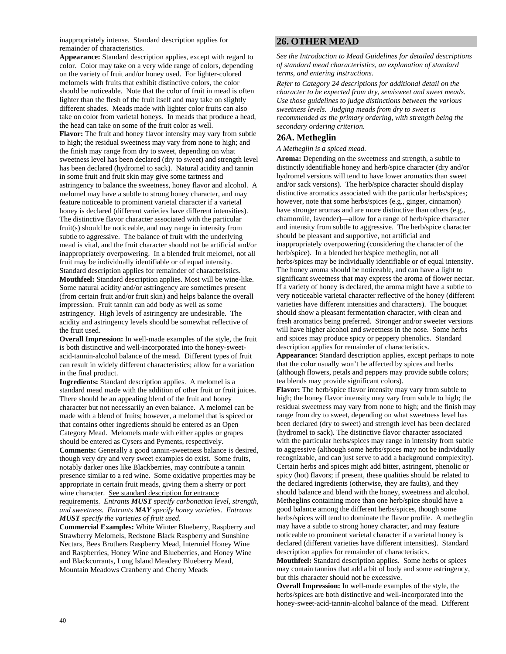<span id="page-42-0"></span>inappropriately intense. Standard description applies for remainder of characteristics.

**Appearance:** Standard description applies, except with regard to color. Color may take on a very wide range of colors, depending on the variety of fruit and/or honey used. For lighter-colored melomels with fruits that exhibit distinctive colors, the color should be noticeable. Note that the color of fruit in mead is often lighter than the flesh of the fruit itself and may take on slightly different shades. Meads made with lighter color fruits can also take on color from varietal honeys. In meads that produce a head, the head can take on some of the fruit color as well.

**Flavor:** The fruit and honey flavor intensity may vary from subtle to high; the residual sweetness may vary from none to high; and the finish may range from dry to sweet, depending on what sweetness level has been declared (dry to sweet) and strength level has been declared (hydromel to sack). Natural acidity and tannin in some fruit and fruit skin may give some tartness and astringency to balance the sweetness, honey flavor and alcohol. A melomel may have a subtle to strong honey character, and may feature noticeable to prominent varietal character if a varietal honey is declared (different varieties have different intensities). The distinctive flavor character associated with the particular fruit(s) should be noticeable, and may range in intensity from subtle to aggressive. The balance of fruit with the underlying mead is vital, and the fruit character should not be artificial and/or inappropriately overpowering. In a blended fruit melomel, not all fruit may be individually identifiable or of equal intensity. Standard description applies for remainder of characteristics.

**Mouthfeel:** Standard description applies. Most will be wine-like. Some natural acidity and/or astringency are sometimes present (from certain fruit and/or fruit skin) and helps balance the overall impression. Fruit tannin can add body as well as some astringency. High levels of astringency are undesirable. The acidity and astringency levels should be somewhat reflective of the fruit used.

**Overall Impression:** In well-made examples of the style, the fruit is both distinctive and well-incorporated into the honey-sweetacid-tannin-alcohol balance of the mead. Different types of fruit can result in widely different characteristics; allow for a variation in the final product.

**Ingredients:** Standard description applies. A melomel is a standard mead made with the addition of other fruit or fruit juices. There should be an appealing blend of the fruit and honey character but not necessarily an even balance. A melomel can be made with a blend of fruits; however, a melomel that is spiced or that contains other ingredients should be entered as an Open Category Mead. Melomels made with either apples or grapes should be entered as Cysers and Pyments, respectively. **Comments:** Generally a good tannin-sweetness balance is desired, though very dry and very sweet examples do exist. Some fruits, notably darker ones like Blackberries, may contribute a tannin presence similar to a red wine. Some oxidative properties may be appropriate in certain fruit meads, giving them a sherry or port wine character. See standard description for entrance requirements.*Entrants MUST specify carbonation level, strength, and sweetness. Entrants MAY specify honey varieties. Entrants MUST specify the varieties of fruit used.* 

**Commercial Examples:** White Winter Blueberry, Raspberry and Strawberry Melomels, Redstone Black Raspberry and Sunshine Nectars, Bees Brothers Raspberry Mead, Intermiel Honey Wine and Raspberries, Honey Wine and Blueberries, and Honey Wine and Blackcurrants, Long Island Meadery Blueberry Mead, Mountain Meadows Cranberry and Cherry Meads

#### **26. OTHER MEAD**

*See the Introduction to Mead Guidelines for detailed descriptions of standard mead characteristics, an explanation of standard terms, and entering instructions.* 

*Refer to Category 24 descriptions for additional detail on the character to be expected from dry, semisweet and sweet meads. Use those guidelines to judge distinctions between the various sweetness levels. Judging meads from dry to sweet is recommended as the primary ordering, with strength being the secondary ordering criterion.*

#### **26A. Metheglin**

*A Metheglin is a spiced mead.* 

**Aroma:** Depending on the sweetness and strength, a subtle to distinctly identifiable honey and herb/spice character (dry and/or hydromel versions will tend to have lower aromatics than sweet and/or sack versions). The herb/spice character should display distinctive aromatics associated with the particular herbs/spices; however, note that some herbs/spices (e.g., ginger, cinnamon) have stronger aromas and are more distinctive than others (e.g., chamomile, lavender)—allow for a range of herb/spice character and intensity from subtle to aggressive. The herb/spice character should be pleasant and supportive, not artificial and inappropriately overpowering (considering the character of the herb/spice). In a blended herb/spice metheglin, not all herbs/spices may be individually identifiable or of equal intensity. The honey aroma should be noticeable, and can have a light to significant sweetness that may express the aroma of flower nectar. If a variety of honey is declared, the aroma might have a subtle to very noticeable varietal character reflective of the honey (different varieties have different intensities and characters). The bouquet should show a pleasant fermentation character, with clean and fresh aromatics being preferred. Stronger and/or sweeter versions will have higher alcohol and sweetness in the nose. Some herbs and spices may produce spicy or peppery phenolics. Standard description applies for remainder of characteristics.

**Appearance:** Standard description applies, except perhaps to note that the color usually won't be affected by spices and herbs (although flowers, petals and peppers may provide subtle colors; tea blends may provide significant colors).

**Flavor:** The herb/spice flavor intensity may vary from subtle to high; the honey flavor intensity may vary from subtle to high; the residual sweetness may vary from none to high; and the finish may range from dry to sweet, depending on what sweetness level has been declared (dry to sweet) and strength level has been declared (hydromel to sack). The distinctive flavor character associated with the particular herbs/spices may range in intensity from subtle to aggressive (although some herbs/spices may not be individually recognizable, and can just serve to add a background complexity). Certain herbs and spices might add bitter, astringent, phenolic or spicy (hot) flavors; if present, these qualities should be related to the declared ingredients (otherwise, they are faults), and they should balance and blend with the honey, sweetness and alcohol. Metheglins containing more than one herb/spice should have a good balance among the different herbs/spices, though some herbs/spices will tend to dominate the flavor profile. A metheglin may have a subtle to strong honey character, and may feature noticeable to prominent varietal character if a varietal honey is declared (different varieties have different intensities). Standard description applies for remainder of characteristics.

**Mouthfeel:** Standard description applies. Some herbs or spices may contain tannins that add a bit of body and some astringency, but this character should not be excessive.

**Overall Impression:** In well-made examples of the style, the herbs/spices are both distinctive and well-incorporated into the honey-sweet-acid-tannin-alcohol balance of the mead. Different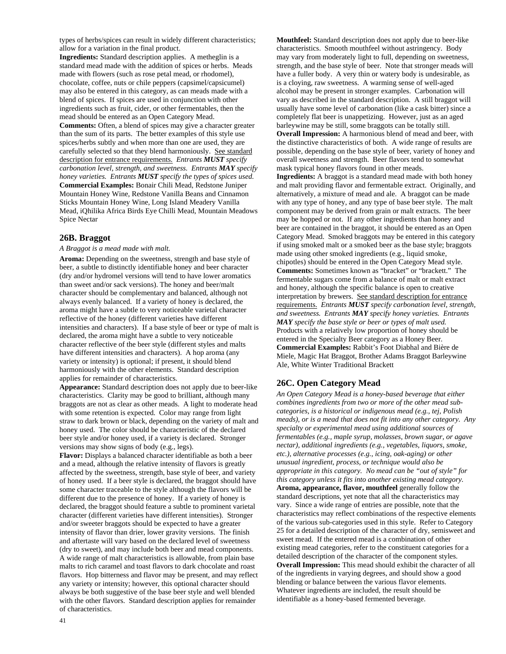<span id="page-43-0"></span>types of herbs/spices can result in widely different characteristics; allow for a variation in the final product.

**Ingredients:** Standard description applies. A metheglin is a standard mead made with the addition of spices or herbs. Meads made with flowers (such as rose petal mead, or rhodomel), chocolate, coffee, nuts or chile peppers (capsimel/capsicumel) may also be entered in this category, as can meads made with a blend of spices. If spices are used in conjunction with other ingredients such as fruit, cider, or other fermentables, then the mead should be entered as an Open Category Mead. **Comments:** Often, a blend of spices may give a character greater than the sum of its parts. The better examples of this style use spices/herbs subtly and when more than one are used, they are carefully selected so that they blend harmoniously. See standard description for entrance requirements.*Entrants MUST specify carbonation level, strength, and sweetness. Entrants MAY specify honey varieties. Entrants MUST specify the types of spices used.*  **Commercial Examples:** Bonair Chili Mead, Redstone Juniper Mountain Honey Wine, Redstone Vanilla Beans and Cinnamon Sticks Mountain Honey Wine, Long Island Meadery Vanilla Mead, iQhilika Africa Birds Eye Chilli Mead, Mountain Meadows Spice Nectar

#### **26B. Braggot**

#### *A Braggot is a mead made with malt.*

**Aroma:** Depending on the sweetness, strength and base style of beer, a subtle to distinctly identifiable honey and beer character (dry and/or hydromel versions will tend to have lower aromatics than sweet and/or sack versions). The honey and beer/malt character should be complementary and balanced, although not always evenly balanced. If a variety of honey is declared, the aroma might have a subtle to very noticeable varietal character reflective of the honey (different varieties have different intensities and characters). If a base style of beer or type of malt is declared, the aroma might have a subtle to very noticeable character reflective of the beer style (different styles and malts have different intensities and characters). A hop aroma (any variety or intensity) is optional; if present, it should blend harmoniously with the other elements. Standard description applies for remainder of characteristics.

**Appearance:** Standard description does not apply due to beer-like characteristics. Clarity may be good to brilliant, although many braggots are not as clear as other meads. A light to moderate head with some retention is expected. Color may range from light straw to dark brown or black, depending on the variety of malt and honey used. The color should be characteristic of the declared beer style and/or honey used, if a variety is declared. Stronger versions may show signs of body (e.g., legs).

**Flavor:** Displays a balanced character identifiable as both a beer and a mead, although the relative intensity of flavors is greatly affected by the sweetness, strength, base style of beer, and variety of honey used. If a beer style is declared, the braggot should have some character traceable to the style although the flavors will be different due to the presence of honey. If a variety of honey is declared, the braggot should feature a subtle to prominent varietal character (different varieties have different intensities). Stronger and/or sweeter braggots should be expected to have a greater intensity of flavor than drier, lower gravity versions. The finish and aftertaste will vary based on the declared level of sweetness (dry to sweet), and may include both beer and mead components. A wide range of malt characteristics is allowable, from plain base malts to rich caramel and toast flavors to dark chocolate and roast flavors. Hop bitterness and flavor may be present, and may reflect any variety or intensity; however, this optional character should always be both suggestive of the base beer style and well blended with the other flavors. Standard description applies for remainder of characteristics.

**Mouthfeel:** Standard description does not apply due to beer-like characteristics. Smooth mouthfeel without astringency. Body may vary from moderately light to full, depending on sweetness, strength, and the base style of beer. Note that stronger meads will have a fuller body. A very thin or watery body is undesirable, as is a cloying, raw sweetness. A warming sense of well-aged alcohol may be present in stronger examples. Carbonation will vary as described in the standard description. A still braggot will usually have some level of carbonation (like a cask bitter) since a completely flat beer is unappetizing. However, just as an aged barleywine may be still, some braggots can be totally still.

**Overall Impression:** A harmonious blend of mead and beer, with the distinctive characteristics of both. A wide range of results are possible, depending on the base style of beer, variety of honey and overall sweetness and strength. Beer flavors tend to somewhat mask typical honey flavors found in other meads.

**Ingredients:** A braggot is a standard mead made with both honey and malt providing flavor and fermentable extract. Originally, and alternatively, a mixture of mead and ale. A braggot can be made with any type of honey, and any type of base beer style. The malt component may be derived from grain or malt extracts. The beer may be hopped or not. If any other ingredients than honey and beer are contained in the braggot, it should be entered as an Open Category Mead. Smoked braggots may be entered in this category if using smoked malt or a smoked beer as the base style; braggots made using other smoked ingredients (e.g., liquid smoke, chipotles) should be entered in the Open Category Mead style. **Comments:** Sometimes known as "bracket" or "brackett." The fermentable sugars come from a balance of malt or malt extract and honey, although the specific balance is open to creative interpretation by brewers. See standard description for entrance requirements.*Entrants MUST specify carbonation level, strength, and sweetness. Entrants MAY specify honey varieties. Entrants MAY specify the base style or beer or types of malt used.*  Products with a relatively low proportion of honey should be entered in the Specialty Beer category as a Honey Beer. **Commercial Examples:** Rabbit's Foot Diabhal and Bière de Miele, Magic Hat Braggot, Brother Adams Braggot Barleywine Ale, White Winter Traditional Brackett

#### **26C. Open Category Mead**

*An Open Category Mead is a honey-based beverage that either combines ingredients from two or more of the other mead subcategories, is a historical or indigenous mead (e.g., tej, Polish meads), or is a mead that does not fit into any other category. Any specialty or experimental mead using additional sources of fermentables (e.g., maple syrup, molasses, brown sugar, or agave nectar), additional ingredients (e.g., vegetables, liquors, smoke, etc.), alternative processes (e.g., icing, oak-aging) or other unusual ingredient, process, or technique would also be appropriate in this category. No mead can be "out of style" for this category unless it fits into another existing mead category.*  **Aroma, appearance, flavor, mouthfeel** generally follow the standard descriptions, yet note that all the characteristics may vary. Since a wide range of entries are possible, note that the characteristics may reflect combinations of the respective elements of the various sub-categories used in this style. Refer to Category 25 for a detailed description of the character of dry, semisweet and sweet mead. If the entered mead is a combination of other existing mead categories, refer to the constituent categories for a detailed description of the character of the component styles. **Overall Impression:** This mead should exhibit the character of all of the ingredients in varying degrees, and should show a good blending or balance between the various flavor elements. Whatever ingredients are included, the result should be identifiable as a honey-based fermented beverage.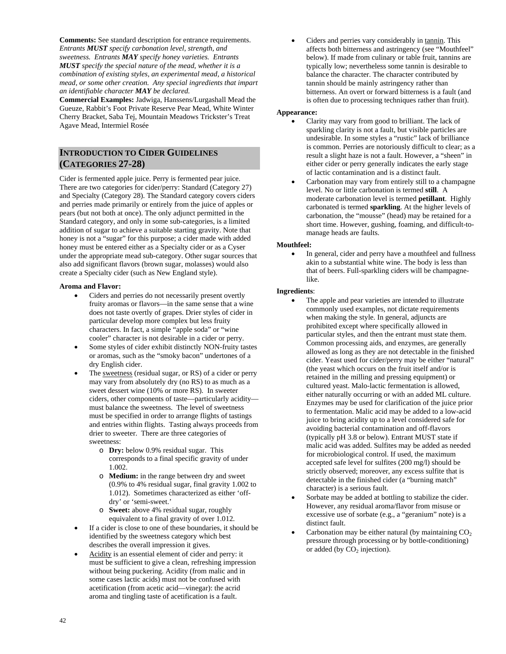<span id="page-44-0"></span>**Comments:** See standard description for entrance requirements. *Entrants MUST specify carbonation level, strength, and sweetness. Entrants MAY specify honey varieties. Entrants MUST specify the special nature of the mead, whether it is a combination of existing styles, an experimental mead, a historical mead, or some other creation. Any special ingredients that impart an identifiable character MAY be declared.* 

**Commercial Examples:** Jadwiga, Hanssens/Lurgashall Mead the Gueuze, Rabbit's Foot Private Reserve Pear Mead, White Winter Cherry Bracket, Saba Tej, Mountain Meadows Trickster's Treat Agave Mead, Intermiel Rosée

#### **INTRODUCTION TO CIDER GUIDELINES (CATEGORIES 27-28)**

Cider is fermented apple juice. Perry is fermented pear juice. There are two categories for cider/perry: Standard (Category 27) and Specialty (Category 28). The Standard category covers ciders and perries made primarily or entirely from the juice of apples or pears (but not both at once). The only adjunct permitted in the Standard category, and only in some sub-categories, is a limited addition of sugar to achieve a suitable starting gravity. Note that honey is not a "sugar" for this purpose; a cider made with added honey must be entered either as a Specialty cider or as a Cyser under the appropriate mead sub-category. Other sugar sources that also add significant flavors (brown sugar, molasses) would also create a Specialty cider (such as New England style).

#### **Aroma and Flavor:**

- Ciders and perries do not necessarily present overtly fruity aromas or flavors—in the same sense that a wine does not taste overtly of grapes. Drier styles of cider in particular develop more complex but less fruity characters. In fact, a simple "apple soda" or "wine cooler" character is not desirable in a cider or perry.
- Some styles of cider exhibit distinctly NON-fruity tastes or aromas, such as the "smoky bacon" undertones of a dry English cider.
- The sweetness (residual sugar, or RS) of a cider or perry may vary from absolutely dry (no RS) to as much as a sweet dessert wine (10% or more RS). In sweeter ciders, other components of taste—particularly acidity must balance the sweetness. The level of sweetness must be specified in order to arrange flights of tastings and entries within flights. Tasting always proceeds from drier to sweeter. There are three categories of sweetness:
	- o **Dry:** below 0.9% residual sugar. This corresponds to a final specific gravity of under 1.002.
	- o **Medium:** in the range between dry and sweet (0.9% to 4% residual sugar, final gravity 1.002 to 1.012). Sometimes characterized as either 'offdry' or 'semi-sweet.'
	- o **Sweet:** above 4% residual sugar, roughly equivalent to a final gravity of over 1.012.
- If a cider is close to one of these boundaries, it should be identified by the sweetness category which best describes the overall impression it gives.
- Acidity is an essential element of cider and perry: it must be sufficient to give a clean, refreshing impression without being puckering. Acidity (from malic and in some cases lactic acids) must not be confused with acetification (from acetic acid—vinegar): the acrid aroma and tingling taste of acetification is a fault.

• Ciders and perries vary considerably in tannin. This affects both bitterness and astringency (see "Mouthfeel" below). If made from culinary or table fruit, tannins are typically low; nevertheless some tannin is desirable to balance the character. The character contributed by tannin should be mainly astringency rather than bitterness. An overt or forward bitterness is a fault (and is often due to processing techniques rather than fruit).

#### **Appearance:**

- Clarity may vary from good to brilliant. The lack of sparkling clarity is not a fault, but visible particles are undesirable. In some styles a "rustic" lack of brilliance is common. Perries are notoriously difficult to clear; as a result a slight haze is not a fault. However, a "sheen" in either cider or perry generally indicates the early stage of lactic contamination and is a distinct fault.
- Carbonation may vary from entirely still to a champagne level. No or little carbonation is termed **still**. A moderate carbonation level is termed **petillant**. Highly carbonated is termed **sparkling**. At the higher levels of carbonation, the "mousse" (head) may be retained for a short time. However, gushing, foaming, and difficult-tomanage heads are faults.

#### **Mouthfeel:**

In general, cider and perry have a mouthfeel and fullness akin to a substantial white wine. The body is less than that of beers. Full-sparkling ciders will be champagnelike.

#### **Ingredients**:

- The apple and pear varieties are intended to illustrate commonly used examples, not dictate requirements when making the style. In general, adjuncts are prohibited except where specifically allowed in particular styles, and then the entrant must state them. Common processing aids, and enzymes, are generally allowed as long as they are not detectable in the finished cider. Yeast used for cider/perry may be either "natural" (the yeast which occurs on the fruit itself and/or is retained in the milling and pressing equipment) or cultured yeast. Malo-lactic fermentation is allowed, either naturally occurring or with an added ML culture. Enzymes may be used for clarification of the juice prior to fermentation. Malic acid may be added to a low-acid juice to bring acidity up to a level considered safe for avoiding bacterial contamination and off-flavors (typically pH 3.8 or below). Entrant MUST state if malic acid was added. Sulfites may be added as needed for microbiological control. If used, the maximum accepted safe level for sulfites (200 mg/l) should be strictly observed; moreover, any excess sulfite that is detectable in the finished cider (a "burning match" character) is a serious fault.
- Sorbate may be added at bottling to stabilize the cider. However, any residual aroma/flavor from misuse or excessive use of sorbate (e.g., a "geranium" note) is a distinct fault.
- Carbonation may be either natural (by maintaining  $CO<sub>2</sub>$ ) pressure through processing or by bottle-conditioning) or added (by  $CO<sub>2</sub>$  injection).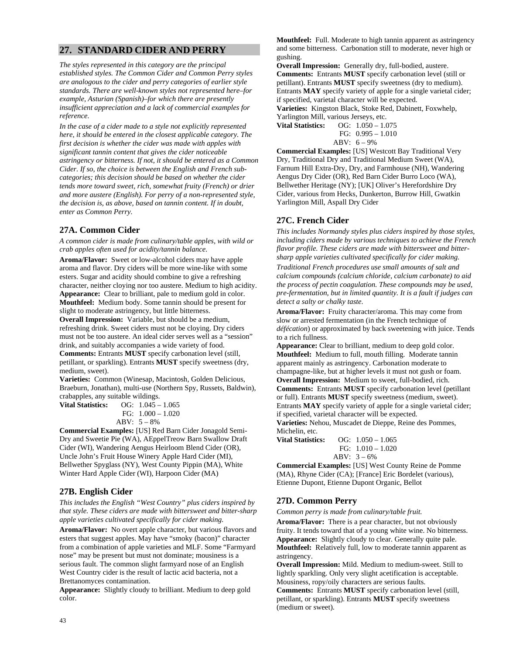#### <span id="page-45-0"></span>**27. STANDARD CIDER AND PERRY**

*The styles represented in this category are the principal established styles. The Common Cider and Common Perry styles are analogous to the cider and perry categories of earlier style standards. There are well-known styles not represented here–for example, Asturian (Spanish)–for which there are presently insufficient appreciation and a lack of commercial examples for reference.* 

*In the case of a cider made to a style not explicitly represented here, it should be entered in the closest applicable category. The first decision is whether the cider was made with apples with significant tannin content that gives the cider noticeable astringency or bitterness. If not, it should be entered as a Common Cider. If so, the choice is between the English and French subcategories; this decision should be based on whether the cider tends more toward sweet, rich, somewhat fruity (French) or drier and more austere (English). For perry of a non-represented style, the decision is, as above, based on tannin content. If in doubt, enter as Common Perry.* 

#### **27A. Common Cider**

*A common cider is made from culinary/table apples, with wild or crab apples often used for acidity/tannin balance.* 

**Aroma/Flavor:** Sweet or low-alcohol ciders may have apple aroma and flavor. Dry ciders will be more wine-like with some esters. Sugar and acidity should combine to give a refreshing character, neither cloying nor too austere. Medium to high acidity. **Appearance:** Clear to brilliant, pale to medium gold in color. **Mouthfeel:** Medium body. Some tannin should be present for slight to moderate astringency, but little bitterness.

**Overall Impression:** Variable, but should be a medium, refreshing drink. Sweet ciders must not be cloying. Dry ciders must not be too austere. An ideal cider serves well as a "session" drink, and suitably accompanies a wide variety of food. **Comments:** Entrants **MUST** specify carbonation level (still, petillant, or sparkling). Entrants **MUST** specify sweetness (dry, medium, sweet).

**Varieties:** Common (Winesap, Macintosh, Golden Delicious, Braeburn, Jonathan), multi-use (Northern Spy, Russets, Baldwin), crabapples, any suitable wildings.

**Vital Statistics:** OG: 1.045 – 1.065 FG: 1.000 – 1.020

ABV: 5 – 8%

**Commercial Examples:** [US] Red Barn Cider Jonagold Semi-Dry and Sweetie Pie (WA), AEppelTreow Barn Swallow Draft Cider (WI), Wandering Aengus Heirloom Blend Cider (OR), Uncle John's Fruit House Winery Apple Hard Cider (MI), Bellwether Spyglass (NY), West County Pippin (MA), White Winter Hard Apple Cider (WI), Harpoon Cider (MA)

#### **27B. English Cider**

*This includes the English "West Country" plus ciders inspired by that style. These ciders are made with bittersweet and bitter-sharp apple varieties cultivated specifically for cider making.* 

**Aroma/Flavor:** No overt apple character, but various flavors and esters that suggest apples. May have "smoky (bacon)" character from a combination of apple varieties and MLF. Some "Farmyard nose" may be present but must not dominate; mousiness is a serious fault. The common slight farmyard nose of an English West Country cider is the result of lactic acid bacteria, not a Brettanomyces contamination.

**Appearance:** Slightly cloudy to brilliant. Medium to deep gold color.

**Mouthfeel:** Full. Moderate to high tannin apparent as astringency and some bitterness. Carbonation still to moderate, never high or gushing.

**Overall Impression:** Generally dry, full-bodied, austere. **Comments:** Entrants **MUST** specify carbonation level (still or petillant). Entrants **MUST** specify sweetness (dry to medium). Entrants **MAY** specify variety of apple for a single varietal cider; if specified, varietal character will be expected.

**Varieties:** Kingston Black, Stoke Red, Dabinett, Foxwhelp, Yarlington Mill, various Jerseys, etc.

**Vital Statistics:** OG: 1.050 – 1.075 FG: 0.995 – 1.010

ABV:  $6 - 9%$ 

**Commercial Examples:** [US] Westcott Bay Traditional Very Dry, Traditional Dry and Traditional Medium Sweet (WA), Farnum Hill Extra-Dry, Dry, and Farmhouse (NH), Wandering Aengus Dry Cider (OR), Red Barn Cider Burro Loco (WA), Bellwether Heritage (NY); [UK] Oliver's Herefordshire Dry Cider, various from Hecks, Dunkerton, Burrow Hill, Gwatkin Yarlington Mill, Aspall Dry Cider

#### **27C. French Cider**

*This includes Normandy styles plus ciders inspired by those styles, including ciders made by various techniques to achieve the French flavor profile. These ciders are made with bittersweet and bittersharp apple varieties cultivated specifically for cider making.* 

*Traditional French procedures use small amounts of salt and calcium compounds (calcium chloride, calcium carbonate) to aid the process of pectin coagulation. These compounds may be used, pre-fermentation, but in limited quantity. It is a fault if judges can detect a salty or chalky taste.* 

**Aroma/Flavor:** Fruity character/aroma. This may come from slow or arrested fermentation (in the French technique of *défécation*) or approximated by back sweetening with juice. Tends to a rich fullness.

**Appearance:** Clear to brilliant, medium to deep gold color. **Mouthfeel:** Medium to full, mouth filling. Moderate tannin apparent mainly as astringency. Carbonation moderate to champagne-like, but at higher levels it must not gush or foam. **Overall Impression:** Medium to sweet, full-bodied, rich. **Comments:** Entrants **MUST** specify carbonation level (petillant or full). Entrants **MUST** specify sweetness (medium, sweet). Entrants **MAY** specify variety of apple for a single varietal cider; if specified, varietal character will be expected. **Varieties:** Nehou, Muscadet de Dieppe, Reine des Pommes,

Michelin, etc. **Vital Statistics:** OG: 1.050 – 1.065 FG: 1.010 – 1.020 ABV:  $3 - 6%$ 

**Commercial Examples:** [US] West County Reine de Pomme (MA), Rhyne Cider (CA); [France] Eric Bordelet (various), Etienne Dupont, Etienne Dupont Organic, Bellot

#### **27D. Common Perry**

*Common perry is made from culinary/table fruit.* 

**Aroma/Flavor:** There is a pear character, but not obviously fruity. It tends toward that of a young white wine. No bitterness. **Appearance:** Slightly cloudy to clear. Generally quite pale. **Mouthfeel:** Relatively full, low to moderate tannin apparent as astringency.

**Overall Impression:** Mild. Medium to medium-sweet. Still to lightly sparkling. Only very slight acetification is acceptable. Mousiness, ropy/oily characters are serious faults.

**Comments:** Entrants **MUST** specify carbonation level (still, petillant, or sparkling). Entrants **MUST** specify sweetness (medium or sweet).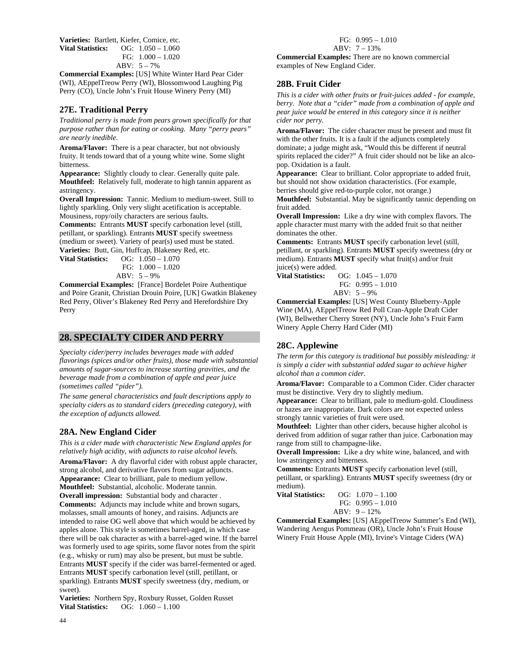<span id="page-46-0"></span>**Varieties:** Bartlett, Kiefer, Comice, etc. **Vital Statistics:** OG: 1.050 – 1.060

FG:  $1.000 - 1.020$ 

 $ABV: 5-7%$ 

**Commercial Examples:** [US] White Winter Hard Pear Cider (WI), AEppelTreow Perry (WI), Blossomwood Laughing Pig Perry (CO), Uncle John's Fruit House Winery Perry (MI)

#### **27E. Traditional Perry**

*Traditional perry is made from pears grown specifically for that purpose rather than for eating or cooking. Many "perry pears" are nearly inedible.* 

**Aroma/Flavor:** There is a pear character, but not obviously fruity. It tends toward that of a young white wine. Some slight bitterness.

**Appearance:** Slightly cloudy to clear. Generally quite pale. **Mouthfeel:** Relatively full, moderate to high tannin apparent as astringency.

**Overall Impression:** Tannic. Medium to medium-sweet. Still to lightly sparkling. Only very slight acetification is acceptable. Mousiness, ropy/oily characters are serious faults.

**Comments:** Entrants **MUST** specify carbonation level (still, petillant, or sparkling). Entrants **MUST** specify sweetness (medium or sweet). Variety of pear(s) used must be stated. **Varieties:** Butt, Gin, Huffcap, Blakeney Red, etc.

**Vital Statistics:** OG:  $1.050 - 1.070$ FG: 1.000 – 1.020

 $ABV: 5-9%$ 

**Commercial Examples:** [France] Bordelet Poire Authentique and Poire Granit, Christian Drouin Poire, [UK] Gwatkin Blakeney Red Perry, Oliver's Blakeney Red Perry and Herefordshire Dry Perry

#### **28. SPECIALTY CIDER AND PERRY**

*Specialty cider/perry includes beverages made with added flavorings (spices and/or other fruits), those made with substantial amounts of sugar-sources to increase starting gravities, and the beverage made from a combination of apple and pear juice (sometimes called "pider").* 

*The same general characteristics and fault descriptions apply to specialty ciders as to standard ciders (preceding category), with the exception of adjuncts allowed.* 

#### **28A. New England Cider**

*This is a cider made with characteristic New England apples for relatively high acidity, with adjuncts to raise alcohol levels.* 

**Aroma/Flavor:** A dry flavorful cider with robust apple character, strong alcohol, and derivative flavors from sugar adjuncts. **Appearance:** Clear to brilliant, pale to medium yellow. **Mouthfeel:** Substantial, alcoholic. Moderate tannin. **Overall impression:** Substantial body and character . **Comments:** Adjuncts may include white and brown sugars, molasses, small amounts of honey, and raisins. Adjuncts are intended to raise OG well above that which would be achieved by apples alone. This style is sometimes barrel-aged, in which case there will be oak character as with a barrel-aged wine. If the barrel was formerly used to age spirits, some flavor notes from the spirit (e.g., whisky or rum) may also be present, but must be subtle. Entrants **MUST** specify if the cider was barrel-fermented or aged. Entrants **MUST** specify carbonation level (still, petillant, or sparkling). Entrants **MUST** specify sweetness (dry, medium, or sweet).

**Varieties:** Northern Spy, Roxbury Russet, Golden Russet **Vital Statistics:** OG:  $1.060 - 1.100$ 

#### FG: 0.995 – 1.010

ABV: 7 – 13%

**Commercial Examples:** There are no known commercial examples of New England Cider.

#### **28B. Fruit Cider**

*This is a cider with other fruits or fruit-juices added - for example, berry. Note that a "cider" made from a combination of apple and pear juice would be entered in this category since it is neither cider nor perry.* 

**Aroma/Flavor:** The cider character must be present and must fit with the other fruits. It is a fault if the adjuncts completely dominate; a judge might ask, "Would this be different if neutral spirits replaced the cider?" A fruit cider should not be like an alcopop. Oxidation is a fault.

**Appearance:** Clear to brilliant. Color appropriate to added fruit, but should not show oxidation characteristics. (For example, berries should give red-to-purple color, not orange.)

**Mouthfeel:** Substantial. May be significantly tannic depending on fruit added.

**Overall Impression:** Like a dry wine with complex flavors. The apple character must marry with the added fruit so that neither dominates the other.

**Comments:** Entrants **MUST** specify carbonation level (still, petillant, or sparkling). Entrants **MUST** specify sweetness (dry or medium). Entrants **MUST** specify what fruit(s) and/or fruit juice(s) were added.

| Vital Statistics: | $OG: 1.045 - 1.070$ |
|-------------------|---------------------|
|                   | FG: $0.995 - 1.010$ |
|                   | $ABV: 5-9%$         |

**Commercial Examples:** [US] West County Blueberry-Apple Wine (MA), AEppelTreow Red Poll Cran-Apple Draft Cider (WI), Bellwether Cherry Street (NY), Uncle John's Fruit Farm Winery Apple Cherry Hard Cider (MI)

#### **28C. Applewine**

*The term for this category is traditional but possibly misleading: it is simply a cider with substantial added sugar to achieve higher alcohol than a common cider.* 

**Aroma/Flavor:** Comparable to a Common Cider. Cider character must be distinctive. Very dry to slightly medium.

**Appearance:** Clear to brilliant, pale to medium-gold. Cloudiness or hazes are inappropriate. Dark colors are not expected unless strongly tannic varieties of fruit were used.

**Mouthfeel:** Lighter than other ciders, because higher alcohol is derived from addition of sugar rather than juice. Carbonation may range from still to champagne-like.

**Overall Impression:** Like a dry white wine, balanced, and with low astringency and bitterness.

**Comments:** Entrants **MUST** specify carbonation level (still, petillant, or sparkling). Entrants **MUST** specify sweetness (dry or medium).

| Vital Statistics: | $OG: 1.070 - 1.100$ |
|-------------------|---------------------|
|                   | FG: $0.995 - 1.010$ |
|                   | $ABV: 9-12%$        |

**Commercial Examples:** [US] AEppelTreow Summer's End (WI), Wandering Aengus Pommeau (OR), Uncle John's Fruit House Winery Fruit House Apple (MI), Irvine's Vintage Ciders (WA)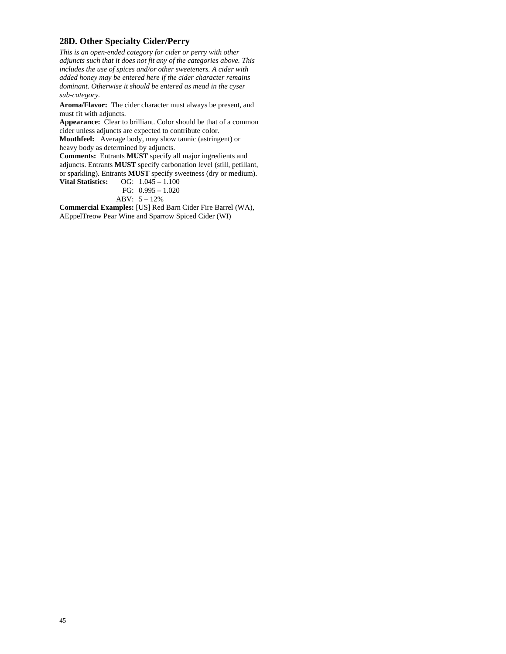#### <span id="page-47-0"></span>**28D. Other Specialty Cider/Perry**

*This is an open-ended category for cider or perry with other adjuncts such that it does not fit any of the categories above. This includes the use of spices and/or other sweeteners. A cider with added honey may be entered here if the cider character remains dominant. Otherwise it should be entered as mead in the cyser sub-category.* 

**Aroma/Flavor:** The cider character must always be present, and must fit with adjuncts.

**Appearance:** Clear to brilliant. Color should be that of a common cider unless adjuncts are expected to contribute color.

**Mouthfeel:** Average body, may show tannic (astringent) or heavy body as determined by adjuncts.

**Comments:** Entrants **MUST** specify all major ingredients and adjuncts. Entrants **MUST** specify carbonation level (still, petillant, or sparkling). Entrants **MUST** specify sweetness (dry or medium). **Vital Statistics:** OG:  $1.045 - 1.100$ 

**OG:**  $1.045 - 1.100$ 

FG: 0.995 – 1.020

ABV: 5 – 12%

**Commercial Examples:** [US] Red Barn Cider Fire Barrel (WA), AEppelTreow Pear Wine and Sparrow Spiced Cider (WI)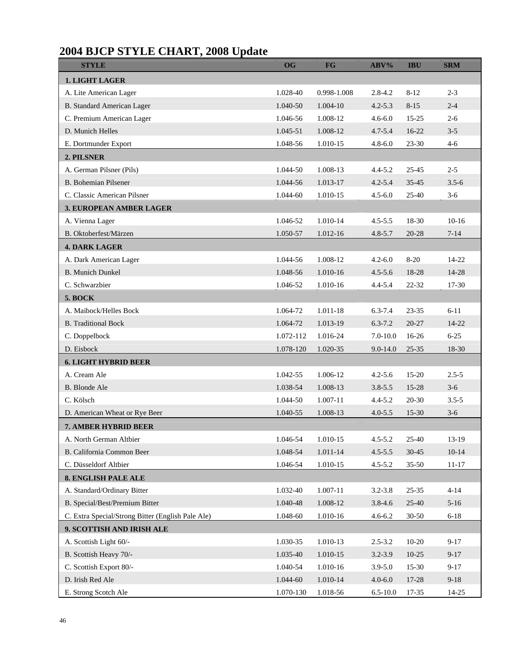# <span id="page-48-0"></span>**2004 BJCP STYLE CHART, 2008 Update**

| <b>STYLE</b>                                      | <b>OG</b> | FG           | $ABV\%$      | <b>IBU</b> | <b>SRM</b> |
|---------------------------------------------------|-----------|--------------|--------------|------------|------------|
| <b>1. LIGHT LAGER</b>                             |           |              |              |            |            |
| A. Lite American Lager                            | 1.028-40  | 0.998-1.008  | $2.8 - 4.2$  | $8 - 12$   | $2 - 3$    |
| <b>B.</b> Standard American Lager                 | 1.040-50  | 1.004-10     | $4.2 - 5.3$  | $8 - 15$   | $2 - 4$    |
| C. Premium American Lager                         | 1.046-56  | 1.008-12     | $4.6 - 6.0$  | $15 - 25$  | $2 - 6$    |
| D. Munich Helles                                  | 1.045-51  | 1.008-12     | $4.7 - 5.4$  | $16-22$    | $3 - 5$    |
| E. Dortmunder Export                              | 1.048-56  | 1.010-15     | $4.8 - 6.0$  | $23 - 30$  | $4 - 6$    |
| 2. PILSNER                                        |           |              |              |            |            |
| A. German Pilsner (Pils)                          | 1.044-50  | 1.008-13     | $4.4 - 5.2$  | $25 - 45$  | $2 - 5$    |
| <b>B.</b> Bohemian Pilsener                       | 1.044-56  | 1.013-17     | $4.2 - 5.4$  | $35 - 45$  | $3.5 - 6$  |
| C. Classic American Pilsner                       | 1.044-60  | 1.010-15     | $4.5 - 6.0$  | $25 - 40$  | $3-6$      |
| 3. EUROPEAN AMBER LAGER                           |           |              |              |            |            |
| A. Vienna Lager                                   | 1.046-52  | 1.010-14     | $4.5 - 5.5$  | 18-30      | $10-16$    |
| B. Oktoberfest/Märzen                             | 1.050-57  | 1.012-16     | $4.8 - 5.7$  | $20 - 28$  | $7 - 14$   |
| <b>4. DARK LAGER</b>                              |           |              |              |            |            |
| A. Dark American Lager                            | 1.044-56  | 1.008-12     | $4.2 - 6.0$  | $8 - 20$   | $14-22$    |
| <b>B.</b> Munich Dunkel                           | 1.048-56  | 1.010-16     | $4.5 - 5.6$  | 18-28      | 14-28      |
| C. Schwarzbier                                    | 1.046-52  | 1.010-16     | $4.4 - 5.4$  | $22 - 32$  | $17 - 30$  |
| <b>5. BOCK</b>                                    |           |              |              |            |            |
| A. Maibock/Helles Bock                            | 1.064-72  | 1.011-18     | $6.3 - 7.4$  | 23-35      | $6 - 11$   |
| <b>B.</b> Traditional Bock                        | 1.064-72  | 1.013-19     | $6.3 - 7.2$  | 20-27      | 14-22      |
| C. Doppelbock                                     | 1.072-112 | 1.016-24     | $7.0 - 10.0$ | 16-26      | $6 - 25$   |
| D. Eisbock                                        | 1.078-120 | 1.020-35     | $9.0 - 14.0$ | $25 - 35$  | 18-30      |
| <b>6. LIGHT HYBRID BEER</b>                       |           |              |              |            |            |
| A. Cream Ale                                      | 1.042-55  | 1.006-12     | $4.2 - 5.6$  | $15 - 20$  | $2.5 - 5$  |
| <b>B.</b> Blonde Ale                              | 1.038-54  | 1.008-13     | $3.8 - 5.5$  | 15-28      | $3-6$      |
| C. Kölsch                                         | 1.044-50  | 1.007-11     | $4.4 - 5.2$  | $20 - 30$  | $3.5 - 5$  |
| D. American Wheat or Rye Beer                     | 1.040-55  | 1.008-13     | $4.0 - 5.5$  | 15-30      | $3-6$      |
| 7. AMBER HYBRID BEER                              |           |              |              |            |            |
| A. North German Altbier                           | 1.046-54  | 1.010-15     | $4.5 - 5.2$  | 25-40      | $13-19$    |
| B. California Common Beer                         | 1.048-54  | $1.011 - 14$ | $4.5 - 5.5$  | $30 - 45$  | $10 - 14$  |
| C. Düsseldorf Altbier                             | 1.046-54  | 1.010-15     | $4.5 - 5.2$  | 35-50      | $11 - 17$  |
| 8. ENGLISH PALE ALE                               |           |              |              |            |            |
| A. Standard/Ordinary Bitter                       | 1.032-40  | $1.007 - 11$ | $3.2 - 3.8$  | $25 - 35$  | $4 - 14$   |
| B. Special/Best/Premium Bitter                    | 1.040-48  | 1.008-12     | $3.8 - 4.6$  | 25-40      | $5-16$     |
| C. Extra Special/Strong Bitter (English Pale Ale) | 1.048-60  | $1.010 - 16$ | $4.6 - 6.2$  | $30 - 50$  | $6 - 18$   |
| 9. SCOTTISH AND IRISH ALE                         |           |              |              |            |            |
| A. Scottish Light 60/-                            | 1.030-35  | 1.010-13     | $2.5 - 3.2$  | $10 - 20$  | $9 - 17$   |
| B. Scottish Heavy 70/-                            | 1.035-40  | $1.010 - 15$ | $3.2 - 3.9$  | $10-25$    | $9 - 17$   |
| C. Scottish Export 80/-                           | 1.040-54  | 1.010-16     | $3.9 - 5.0$  | 15-30      | $9 - 17$   |
| D. Irish Red Ale                                  | 1.044-60  | $1.010 - 14$ | $4.0 - 6.0$  | 17-28      | $9 - 18$   |
| E. Strong Scotch Ale                              | 1.070-130 | 1.018-56     | $6.5 - 10.0$ | 17-35      | $14 - 25$  |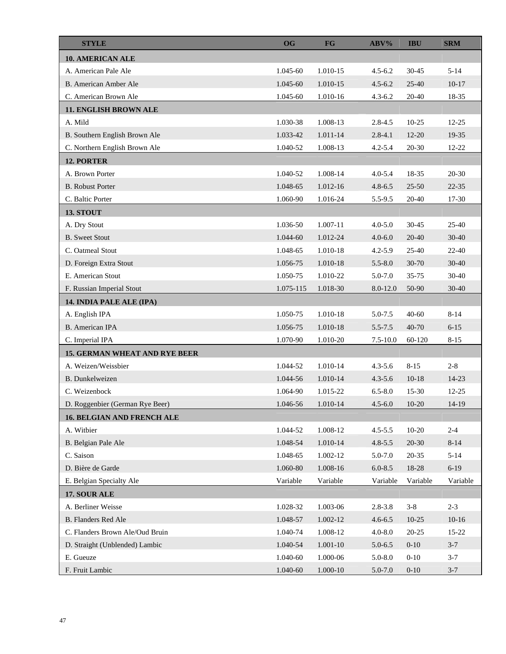| <b>STYLE</b>                         | <b>OG</b> | FG           | $ABV\%$      | <b>IBU</b> | <b>SRM</b> |
|--------------------------------------|-----------|--------------|--------------|------------|------------|
| <b>10. AMERICAN ALE</b>              |           |              |              |            |            |
| A. American Pale Ale                 | 1.045-60  | 1.010-15     | $4.5 - 6.2$  | $30 - 45$  | $5 - 14$   |
| <b>B.</b> American Amber Ale         | 1.045-60  | 1.010-15     | $4.5 - 6.2$  | 25-40      | $10-17$    |
| C. American Brown Ale                | 1.045-60  | 1.010-16     | $4.3 - 6.2$  | 20-40      | 18-35      |
| <b>11. ENGLISH BROWN ALE</b>         |           |              |              |            |            |
| A. Mild                              | 1.030-38  | 1.008-13     | $2.8 - 4.5$  | $10-25$    | $12 - 25$  |
| B. Southern English Brown Ale        | 1.033-42  | $1.011 - 14$ | $2.8 - 4.1$  | $12 - 20$  | 19-35      |
| C. Northern English Brown Ale        | 1.040-52  | 1.008-13     | $4.2 - 5.4$  | $20 - 30$  | 12-22      |
| 12. PORTER                           |           |              |              |            |            |
| A. Brown Porter                      | 1.040-52  | 1.008-14     | $4.0 - 5.4$  | 18-35      | 20-30      |
| <b>B.</b> Robust Porter              | 1.048-65  | 1.012-16     | $4.8 - 6.5$  | $25 - 50$  | $22 - 35$  |
| C. Baltic Porter                     | 1.060-90  | 1.016-24     | 5.5-9.5      | 20-40      | 17-30      |
| <b>13. STOUT</b>                     |           |              |              |            |            |
| A. Dry Stout                         | 1.036-50  | 1.007-11     | $4.0 - 5.0$  | $30 - 45$  | 25-40      |
| <b>B.</b> Sweet Stout                | 1.044-60  | 1.012-24     | $4.0 - 6.0$  | 20-40      | $30 - 40$  |
| C. Oatmeal Stout                     | 1.048-65  | 1.010-18     | $4.2 - 5.9$  | $25 - 40$  | 22-40      |
| D. Foreign Extra Stout               | 1.056-75  | 1.010-18     | $5.5 - 8.0$  | $30 - 70$  | $30 - 40$  |
| E. American Stout                    | 1.050-75  | 1.010-22     | $5.0 - 7.0$  | 35-75      | 30-40      |
| F. Russian Imperial Stout            | 1.075-115 | 1.018-30     | 8.0-12.0     | 50-90      | 30-40      |
| 14. INDIA PALE ALE (IPA)             |           |              |              |            |            |
| A. English IPA                       | 1.050-75  | 1.010-18     | $5.0 - 7.5$  | $40 - 60$  | $8 - 14$   |
| <b>B.</b> American IPA               | 1.056-75  | 1.010-18     | $5.5 - 7.5$  | $40 - 70$  | $6 - 15$   |
| C. Imperial IPA                      | 1.070-90  | 1.010-20     | $7.5 - 10.0$ | 60-120     | $8 - 15$   |
| <b>15. GERMAN WHEAT AND RYE BEER</b> |           |              |              |            |            |
| A. Weizen/Weissbier                  | 1.044-52  | 1.010-14     | $4.3 - 5.6$  | $8 - 15$   | $2 - 8$    |
| <b>B.</b> Dunkelweizen               | 1.044-56  | 1.010-14     | $4.3 - 5.6$  | $10-18$    | $14 - 23$  |
| C. Weizenbock                        | 1.064-90  | 1.015-22     | $6.5 - 8.0$  | $15-30$    | $12 - 25$  |
| D. Roggenbier (German Rye Beer)      | 1.046-56  | 1.010-14     | $4.5 - 6.0$  | $10-20$    | $14-19$    |
| <b>16. BELGIAN AND FRENCH ALE</b>    |           |              |              |            |            |
| A. Witbier                           | 1.044-52  | 1.008-12     | $4.5 - 5.5$  | $10-20$    | $2 - 4$    |
| B. Belgian Pale Ale                  | 1.048-54  | 1.010-14     | $4.8 - 5.5$  | $20-30$    | $8 - 14$   |
| C. Saison                            | 1.048-65  | 1.002-12     | $5.0 - 7.0$  | $20 - 35$  | $5 - 14$   |
| D. Bière de Garde                    | 1.060-80  | 1.008-16     | $6.0 - 8.5$  | 18-28      | $6 - 19$   |
| E. Belgian Specialty Ale             | Variable  | Variable     | Variable     | Variable   | Variable   |
| 17. SOUR ALE                         |           |              |              |            |            |
| A. Berliner Weisse                   | 1.028-32  | 1.003-06     | $2.8 - 3.8$  | $3 - 8$    | $2 - 3$    |
| <b>B. Flanders Red Ale</b>           | 1.048-57  | 1.002-12     | $4.6 - 6.5$  | $10-25$    | $10 - 16$  |
| C. Flanders Brown Ale/Oud Bruin      | 1.040-74  | 1.008-12     | $4.0 - 8.0$  | $20 - 25$  | $15 - 22$  |
| D. Straight (Unblended) Lambic       | 1.040-54  | $1.001 - 10$ | $5.0 - 6.5$  | $0 - 10$   | $3 - 7$    |
| E. Gueuze                            | 1.040-60  | 1.000-06     | $5.0 - 8.0$  | $0 - 10$   | $3 - 7$    |
| F. Fruit Lambic                      | 1.040-60  | $1.000 - 10$ | $5.0 - 7.0$  | $0 - 10$   | $3 - 7$    |